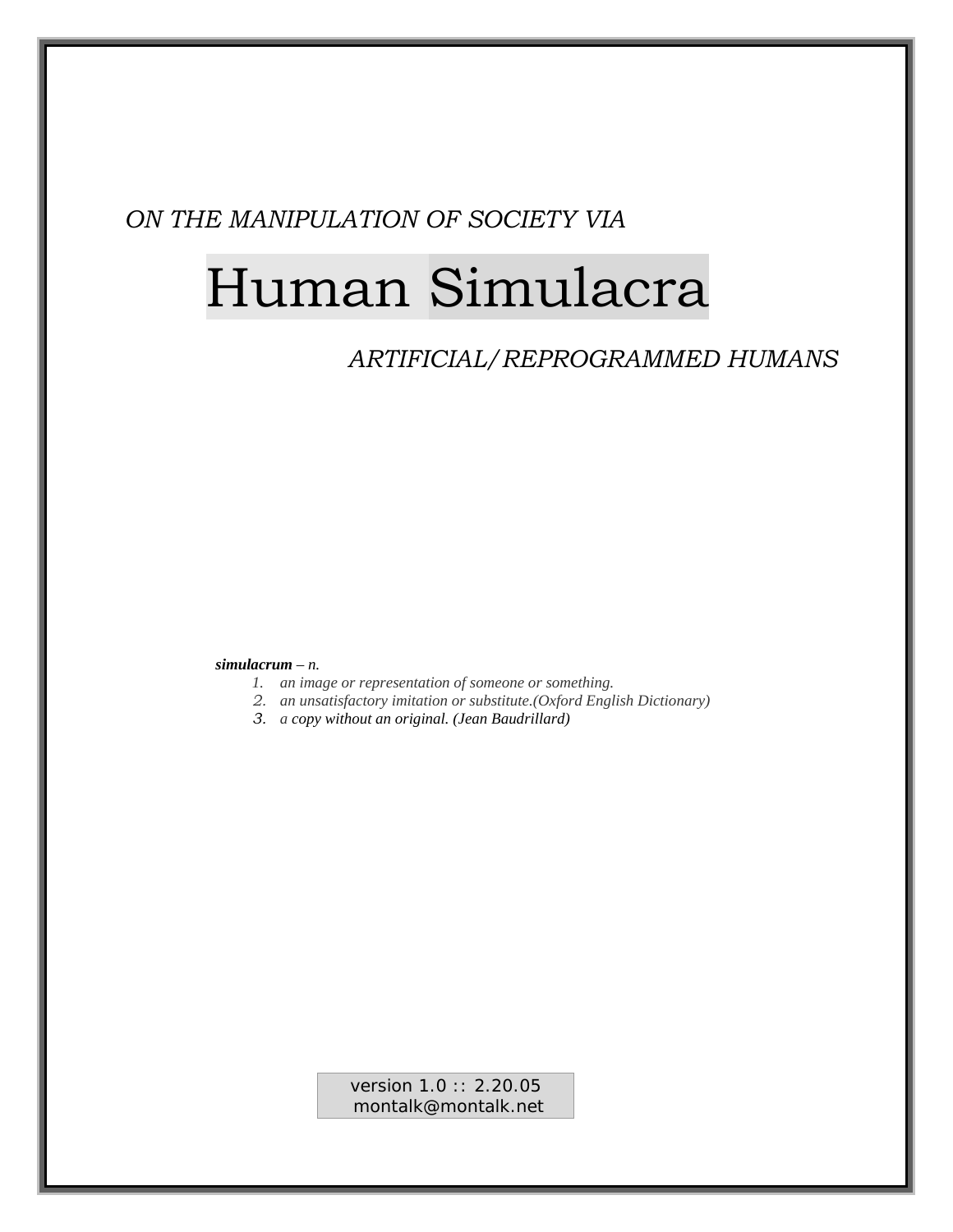# *ON THE MANIPULATION OF SOCIETY VIA*

# Human Simulacra …

# *ARTIFICIAL/REPROGRAMMED HUMANS*

#### *\* simulacrum – n.*

- *1. an image or representation of someone or something.*
- *2. an unsatisfactory imitation or substitute.(Oxford English Dictionary)*
- *3. a copy without an original. (Jean Baudrillard)*

version 1.0 :: 2.20.05 montalk@montalk.net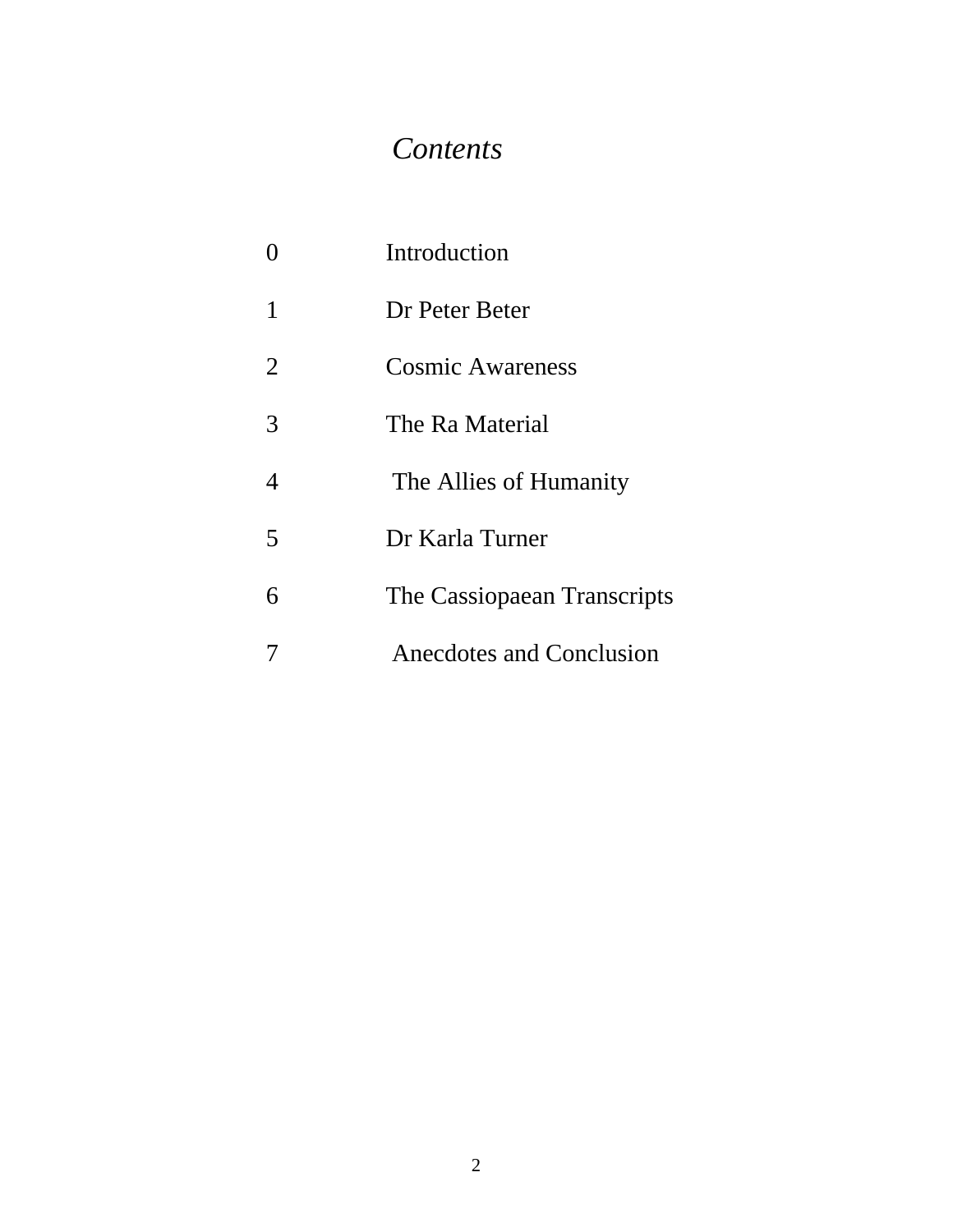# *Contents*

|                | Introduction                    |
|----------------|---------------------------------|
| 1              | Dr Peter Beter                  |
| $\overline{2}$ | <b>Cosmic Awareness</b>         |
| 3              | The Ra Material                 |
| 4              | The Allies of Humanity          |
| 5              | Dr Karla Turner                 |
| 6              | The Cassiopaean Transcripts     |
|                | <b>Anecdotes and Conclusion</b> |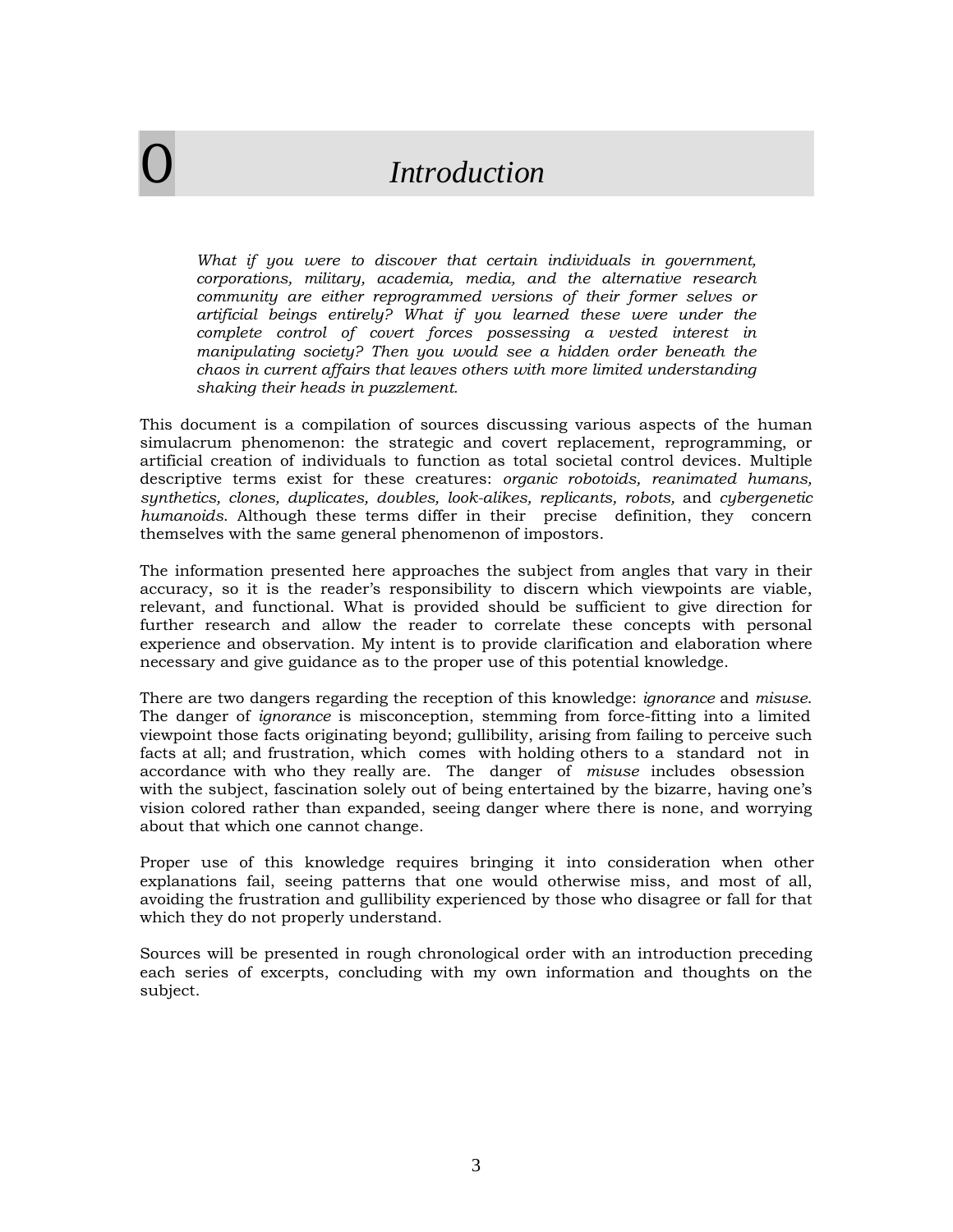# 0 *Introduction*

*What if you were to discover that certain individuals in government, corporations, military, academia, media, and the alternative research community are either reprogrammed versions of their former selves or artificial beings entirely? What if you learned these were under the complete control of covert forces possessing a vested interest in manipulating society? Then you would see a hidden order beneath the chaos in current affairs that leaves others with more limited understanding shaking their heads in puzzlement.* 

This document is a compilation of sources discussing various aspects of the human simulacrum phenomenon: the strategic and covert replacement, reprogramming, or artificial creation of individuals to function as total societal control devices. Multiple descriptive terms exist for these creatures: *organic robotoids, reanimated humans, synthetics, clones, duplicates, doubles, look-alikes, replicants, robots,* and *cybergenetic humanoids*. Although these terms differ in their precise definition, they concern themselves with the same general phenomenon of impostors.

The information presented here approaches the subject from angles that vary in their accuracy, so it is the reader's responsibility to discern which viewpoints are viable, relevant, and functional. What is provided should be sufficient to give direction for further research and allow the reader to correlate these concepts with personal experience and observation. My intent is to provide clarification and elaboration where necessary and give guidance as to the proper use of this potential knowledge.

There are two dangers regarding the reception of this knowledge: *ignorance* and *misuse*. The danger of *ignorance* is misconception, stemming from force-fitting into a limited viewpoint those facts originating beyond; gullibility, arising from failing to perceive such facts at all; and frustration, which comes with holding others to a standard not in accordance with who they really are. The danger of *misuse* includes obsession with the subject, fascination solely out of being entertained by the bizarre, having one's vision colored rather than expanded, seeing danger where there is none, and worrying about that which one cannot change.

Proper use of this knowledge requires bringing it into consideration when other explanations fail, seeing patterns that one would otherwise miss, and most of all, avoiding the frustration and gullibility experienced by those who disagree or fall for that which they do not properly understand.

Sources will be presented in rough chronological order with an introduction preceding each series of excerpts, concluding with my own information and thoughts on the subject.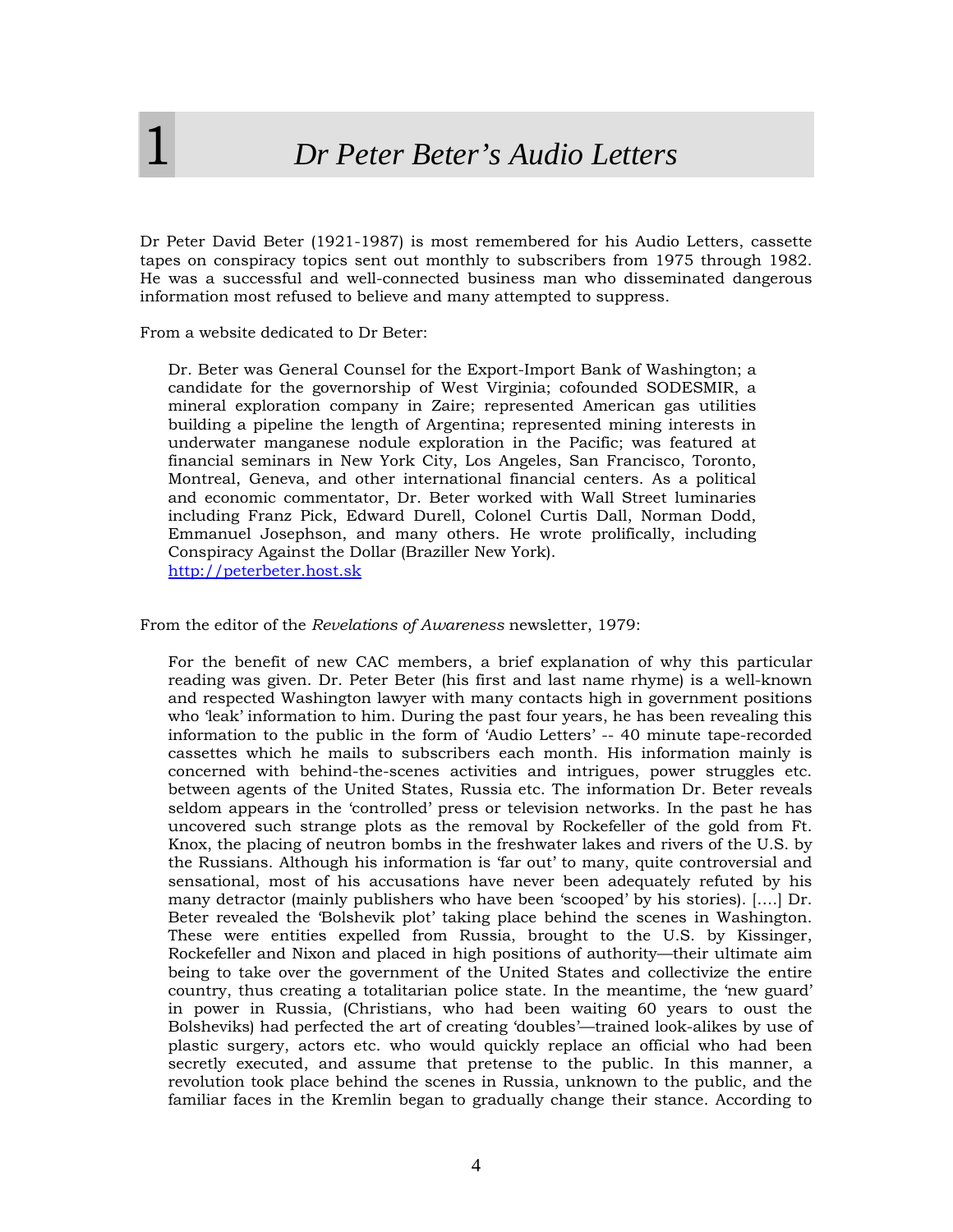Dr Peter David Beter (1921-1987) is most remembered for his Audio Letters, cassette tapes on conspiracy topics sent out monthly to subscribers from 1975 through 1982. He was a successful and well-connected business man who disseminated dangerous information most refused to believe and many attempted to suppress.

From a website dedicated to Dr Beter:

Dr. Beter was General Counsel for the Export-Import Bank of Washington; a candidate for the governorship of West Virginia; cofounded SODESMIR, a mineral exploration company in Zaire; represented American gas utilities building a pipeline the length of Argentina; represented mining interests in underwater manganese nodule exploration in the Pacific; was featured at financial seminars in New York City, Los Angeles, San Francisco, Toronto, Montreal, Geneva, and other international financial centers. As a political and economic commentator, Dr. Beter worked with Wall Street luminaries including Franz Pick, Edward Durell, Colonel Curtis Dall, Norman Dodd, Emmanuel Josephson, and many others. He wrote prolifically, including Conspiracy Against the Dollar (Braziller New York). [http://peterbeter.host.sk](http://peterbeter.host.sk/)

From the editor of the *Revelations of Awareness* newsletter, 1979:

For the benefit of new CAC members, a brief explanation of why this particular reading was given. Dr. Peter Beter (his first and last name rhyme) is a well-known and respected Washington lawyer with many contacts high in government positions who 'leak' information to him. During the past four years, he has been revealing this information to the public in the form of 'Audio Letters' -- 40 minute tape-recorded cassettes which he mails to subscribers each month. His information mainly is concerned with behind-the-scenes activities and intrigues, power struggles etc. between agents of the United States, Russia etc. The information Dr. Beter reveals seldom appears in the 'controlled' press or television networks. In the past he has uncovered such strange plots as the removal by Rockefeller of the gold from Ft. Knox, the placing of neutron bombs in the freshwater lakes and rivers of the U.S. by the Russians. Although his information is 'far out' to many, quite controversial and sensational, most of his accusations have never been adequately refuted by his many detractor (mainly publishers who have been 'scooped' by his stories). [….] Dr. Beter revealed the 'Bolshevik plot' taking place behind the scenes in Washington. These were entities expelled from Russia, brought to the U.S. by Kissinger, Rockefeller and Nixon and placed in high positions of authority—their ultimate aim being to take over the government of the United States and collectivize the entire country, thus creating a totalitarian police state. In the meantime, the 'new guard' in power in Russia, (Christians, who had been waiting 60 years to oust the Bolsheviks) had perfected the art of creating 'doubles'—trained look-alikes by use of plastic surgery, actors etc. who would quickly replace an official who had been secretly executed, and assume that pretense to the public. In this manner, a revolution took place behind the scenes in Russia, unknown to the public, and the familiar faces in the Kremlin began to gradually change their stance. According to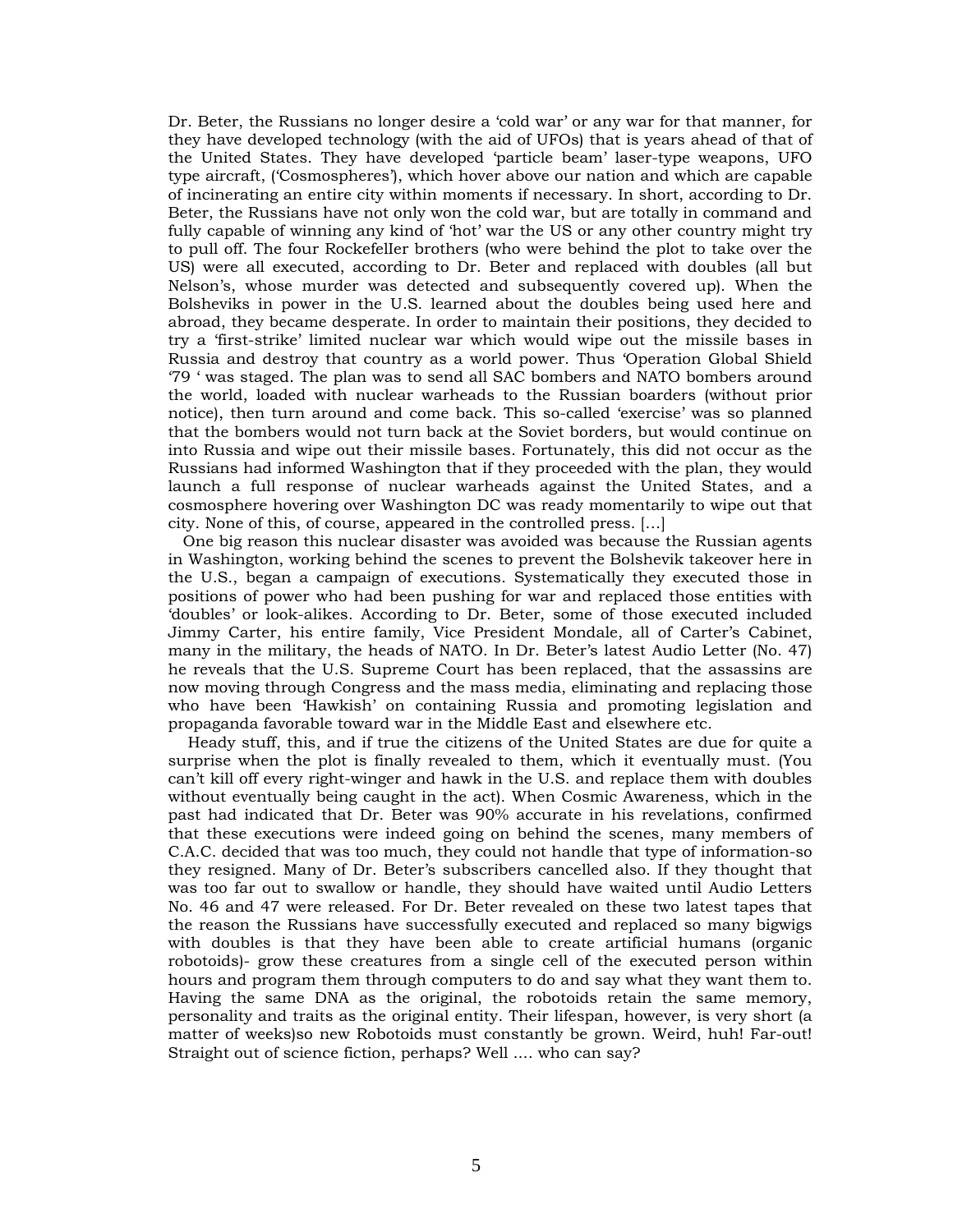Dr. Beter, the Russians no longer desire a 'cold war' or any war for that manner, for they have developed technology (with the aid of UFOs) that is years ahead of that of the United States. They have developed 'particle beam' laser-type weapons, UFO type aircraft, ('Cosmospheres'), which hover above our nation and which are capable of incinerating an entire city within moments if necessary. In short, according to Dr. Beter, the Russians have not only won the cold war, but are totally in command and fully capable of winning any kind of 'hot' war the US or any other country might try to pull off. The four RockefelIer brothers (who were behind the plot to take over the US) were all executed, according to Dr. Beter and replaced with doubles (all but Nelson's, whose murder was detected and subsequently covered up). When the Bolsheviks in power in the U.S. learned about the doubles being used here and abroad, they became desperate. In order to maintain their positions, they decided to try a 'first-strike' limited nuclear war which would wipe out the missile bases in Russia and destroy that country as a world power. Thus 'Operation Global Shield '79 ' was staged. The plan was to send all SAC bombers and NATO bombers around the world, loaded with nuclear warheads to the Russian boarders (without prior notice), then turn around and come back. This so-called 'exercise' was so planned that the bombers would not turn back at the Soviet borders, but would continue on into Russia and wipe out their missile bases. Fortunately, this did not occur as the Russians had informed Washington that if they proceeded with the plan, they would launch a full response of nuclear warheads against the United States, and a cosmosphere hovering over Washington DC was ready momentarily to wipe out that city. None of this, of course, appeared in the controlled press. […]

 One big reason this nuclear disaster was avoided was because the Russian agents in Washington, working behind the scenes to prevent the Bolshevik takeover here in the U.S., began a campaign of executions. Systematically they executed those in positions of power who had been pushing for war and replaced those entities with 'doubles' or look-alikes. According to Dr. Beter, some of those executed included Jimmy Carter, his entire family, Vice President Mondale, all of Carter's Cabinet, many in the military, the heads of NATO. In Dr. Beter's latest Audio Letter (No. 47) he reveals that the U.S. Supreme Court has been replaced, that the assassins are now moving through Congress and the mass media, eliminating and replacing those who have been 'Hawkish' on containing Russia and promoting legislation and propaganda favorable toward war in the Middle East and elsewhere etc.

 Heady stuff, this, and if true the citizens of the United States are due for quite a surprise when the plot is finally revealed to them, which it eventually must. (You can't kill off every right-winger and hawk in the U.S. and replace them with doubles without eventually being caught in the act). When Cosmic Awareness, which in the past had indicated that Dr. Beter was 90% accurate in his revelations, confirmed that these executions were indeed going on behind the scenes, many members of C.A.C. decided that was too much, they could not handle that type of information-so they resigned. Many of Dr. Beter's subscribers cancelled also. If they thought that was too far out to swallow or handle, they should have waited until Audio Letters No. 46 and 47 were released. For Dr. Beter revealed on these two latest tapes that the reason the Russians have successfully executed and replaced so many bigwigs with doubles is that they have been able to create artificial humans (organic robotoids)- grow these creatures from a single cell of the executed person within hours and program them through computers to do and say what they want them to. Having the same DNA as the original, the robotoids retain the same memory, personality and traits as the original entity. Their lifespan, however, is very short (a matter of weeks)so new Robotoids must constantly be grown. Weird, huh! Far-out! Straight out of science fiction, perhaps? Well .... who can say?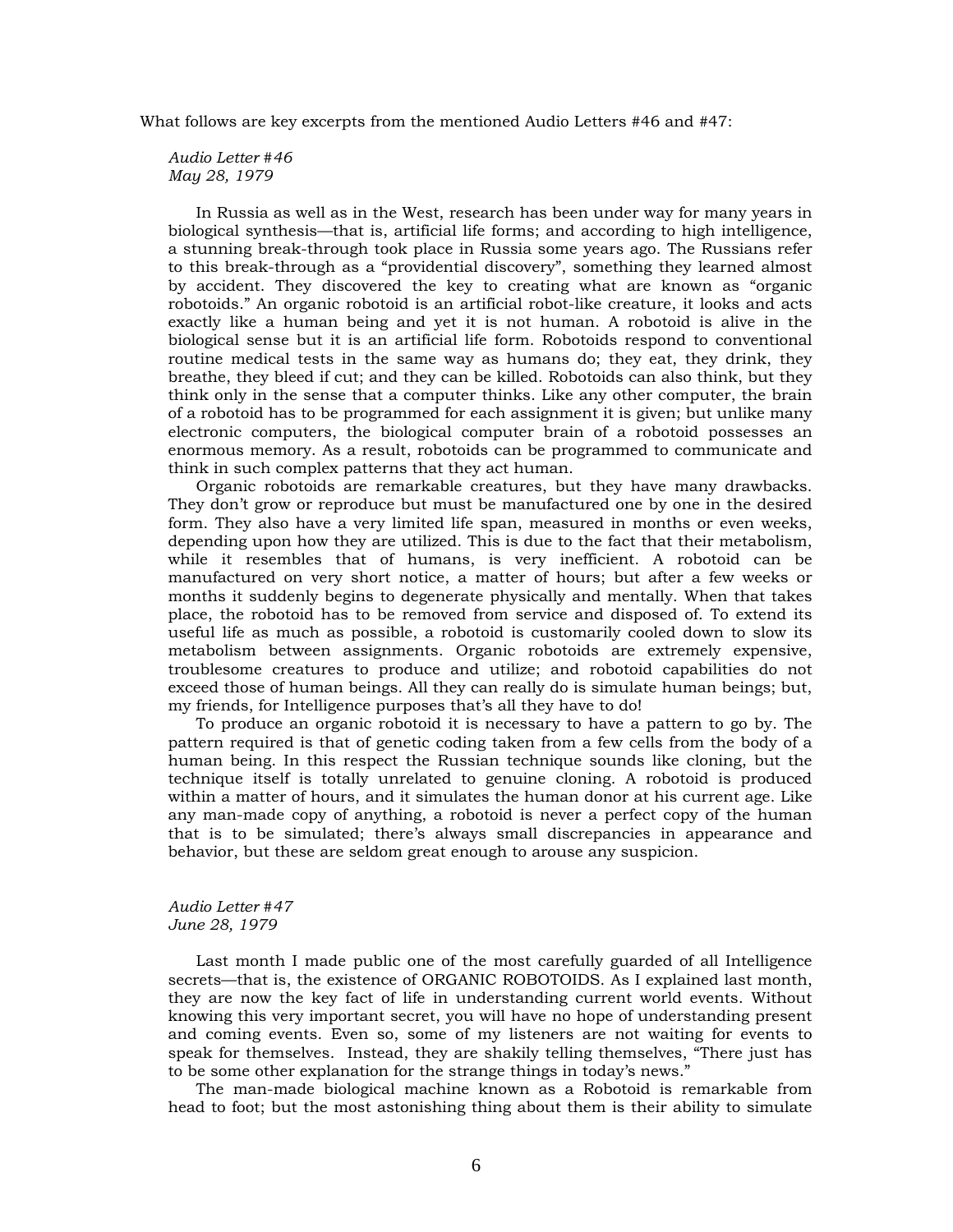What follows are key excerpts from the mentioned Audio Letters #46 and #47:

*Audio Letter #46 May 28, 1979*

In Russia as well as in the West, research has been under way for many years in biological synthesis—that is, artificial life forms; and according to high intelligence, a stunning break-through took place in Russia some years ago. The Russians refer to this break-through as a "providential discovery", something they learned almost by accident. They discovered the key to creating what are known as "organic robotoids." An organic robotoid is an artificial robot-like creature, it looks and acts exactly like a human being and yet it is not human. A robotoid is alive in the biological sense but it is an artificial life form. Robotoids respond to conventional routine medical tests in the same way as humans do; they eat, they drink, they breathe, they bleed if cut; and they can be killed. Robotoids can also think, but they think only in the sense that a computer thinks. Like any other computer, the brain of a robotoid has to be programmed for each assignment it is given; but unlike many electronic computers, the biological computer brain of a robotoid possesses an enormous memory. As a result, robotoids can be programmed to communicate and think in such complex patterns that they act human.

Organic robotoids are remarkable creatures, but they have many drawbacks. They don't grow or reproduce but must be manufactured one by one in the desired form. They also have a very limited life span, measured in months or even weeks, depending upon how they are utilized. This is due to the fact that their metabolism, while it resembles that of humans, is very inefficient. A robotoid can be manufactured on very short notice, a matter of hours; but after a few weeks or months it suddenly begins to degenerate physically and mentally. When that takes place, the robotoid has to be removed from service and disposed of. To extend its useful life as much as possible, a robotoid is customarily cooled down to slow its metabolism between assignments. Organic robotoids are extremely expensive, troublesome creatures to produce and utilize; and robotoid capabilities do not exceed those of human beings. All they can really do is simulate human beings; but, my friends, for Intelligence purposes that's all they have to do!

To produce an organic robotoid it is necessary to have a pattern to go by. The pattern required is that of genetic coding taken from a few cells from the body of a human being. In this respect the Russian technique sounds like cloning, but the technique itself is totally unrelated to genuine cloning. A robotoid is produced within a matter of hours, and it simulates the human donor at his current age. Like any man-made copy of anything, a robotoid is never a perfect copy of the human that is to be simulated; there's always small discrepancies in appearance and behavior, but these are seldom great enough to arouse any suspicion.

#### *Audio Letter #47 June 28, 1979*

Last month I made public one of the most carefully guarded of all Intelligence secrets—that is, the existence of ORGANIC ROBOTOIDS. As I explained last month, they are now the key fact of life in understanding current world events. Without knowing this very important secret, you will have no hope of understanding present and coming events. Even so, some of my listeners are not waiting for events to speak for themselves. Instead, they are shakily telling themselves, "There just has to be some other explanation for the strange things in today's news."

The man-made biological machine known as a Robotoid is remarkable from head to foot; but the most astonishing thing about them is their ability to simulate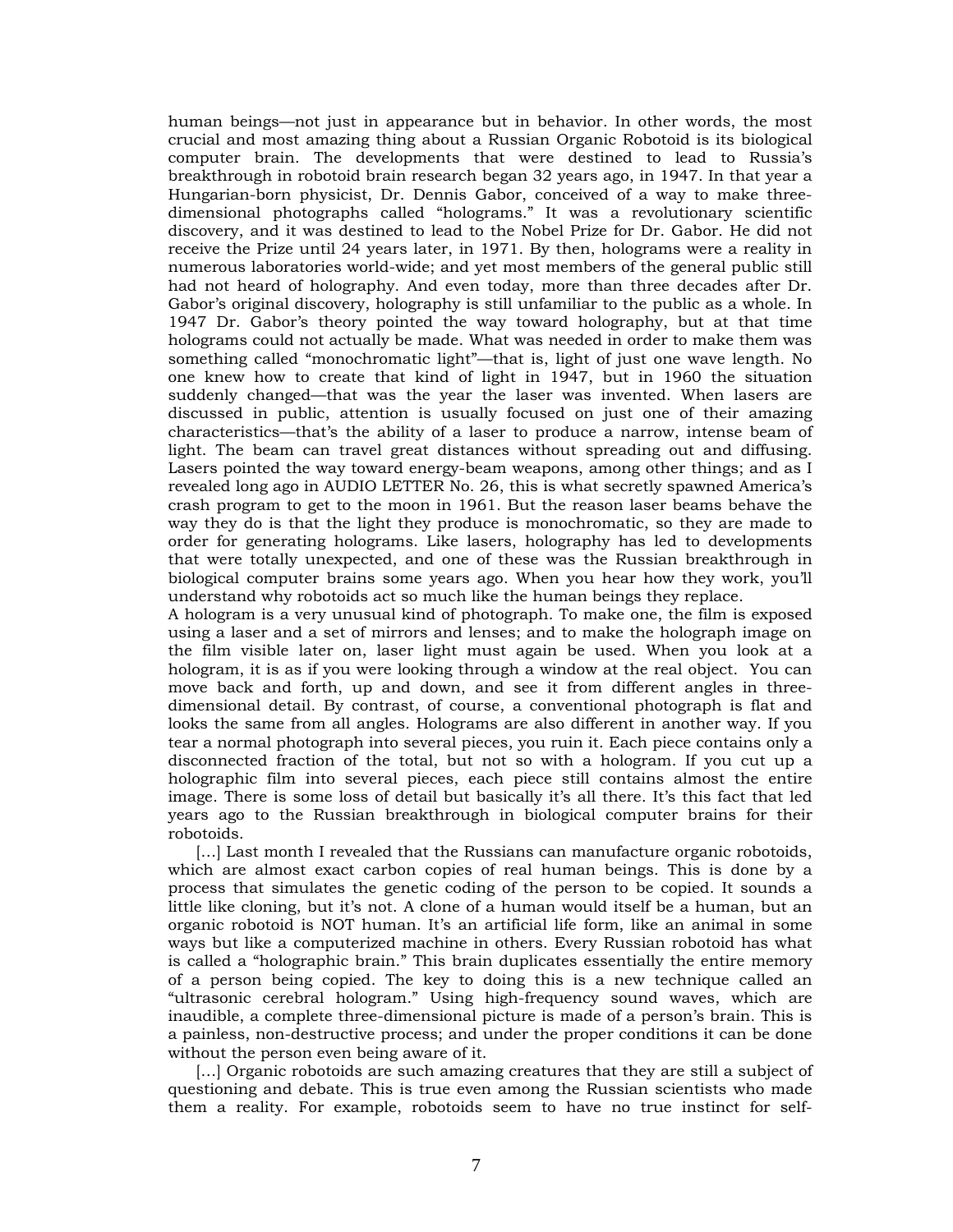human beings—not just in appearance but in behavior. In other words, the most crucial and most amazing thing about a Russian Organic Robotoid is its biological computer brain. The developments that were destined to lead to Russia's breakthrough in robotoid brain research began 32 years ago, in 1947. In that year a Hungarian-born physicist, Dr. Dennis Gabor, conceived of a way to make threedimensional photographs called "holograms." It was a revolutionary scientific discovery, and it was destined to lead to the Nobel Prize for Dr. Gabor. He did not receive the Prize until 24 years later, in 1971. By then, holograms were a reality in numerous laboratories world-wide; and yet most members of the general public still had not heard of holography. And even today, more than three decades after Dr. Gabor's original discovery, holography is still unfamiliar to the public as a whole. In 1947 Dr. Gabor's theory pointed the way toward holography, but at that time holograms could not actually be made. What was needed in order to make them was something called "monochromatic light"—that is, light of just one wave length. No one knew how to create that kind of light in 1947, but in 1960 the situation suddenly changed—that was the year the laser was invented. When lasers are discussed in public, attention is usually focused on just one of their amazing characteristics—that's the ability of a laser to produce a narrow, intense beam of light. The beam can travel great distances without spreading out and diffusing. Lasers pointed the way toward energy-beam weapons, among other things; and as I revealed long ago in AUDIO LETTER No. 26, this is what secretly spawned America's crash program to get to the moon in 1961. But the reason laser beams behave the way they do is that the light they produce is monochromatic, so they are made to order for generating holograms. Like lasers, holography has led to developments that were totally unexpected, and one of these was the Russian breakthrough in biological computer brains some years ago. When you hear how they work, you'll understand why robotoids act so much like the human beings they replace.

A hologram is a very unusual kind of photograph. To make one, the film is exposed using a laser and a set of mirrors and lenses; and to make the holograph image on the film visible later on, laser light must again be used. When you look at a hologram, it is as if you were looking through a window at the real object. You can move back and forth, up and down, and see it from different angles in threedimensional detail. By contrast, of course, a conventional photograph is flat and looks the same from all angles. Holograms are also different in another way. If you tear a normal photograph into several pieces, you ruin it. Each piece contains only a disconnected fraction of the total, but not so with a hologram. If you cut up a holographic film into several pieces, each piece still contains almost the entire image. There is some loss of detail but basically it's all there. It's this fact that led years ago to the Russian breakthrough in biological computer brains for their robotoids.

[...] Last month I revealed that the Russians can manufacture organic robotoids, which are almost exact carbon copies of real human beings. This is done by a process that simulates the genetic coding of the person to be copied. It sounds a little like cloning, but it's not. A clone of a human would itself be a human, but an organic robotoid is NOT human. It's an artificial life form, like an animal in some ways but like a computerized machine in others. Every Russian robotoid has what is called a "holographic brain." This brain duplicates essentially the entire memory of a person being copied. The key to doing this is a new technique called an "ultrasonic cerebral hologram." Using high-frequency sound waves, which are inaudible, a complete three-dimensional picture is made of a person's brain. This is a painless, non-destructive process; and under the proper conditions it can be done without the person even being aware of it.

[...] Organic robotoids are such amazing creatures that they are still a subject of questioning and debate. This is true even among the Russian scientists who made them a reality. For example, robotoids seem to have no true instinct for self-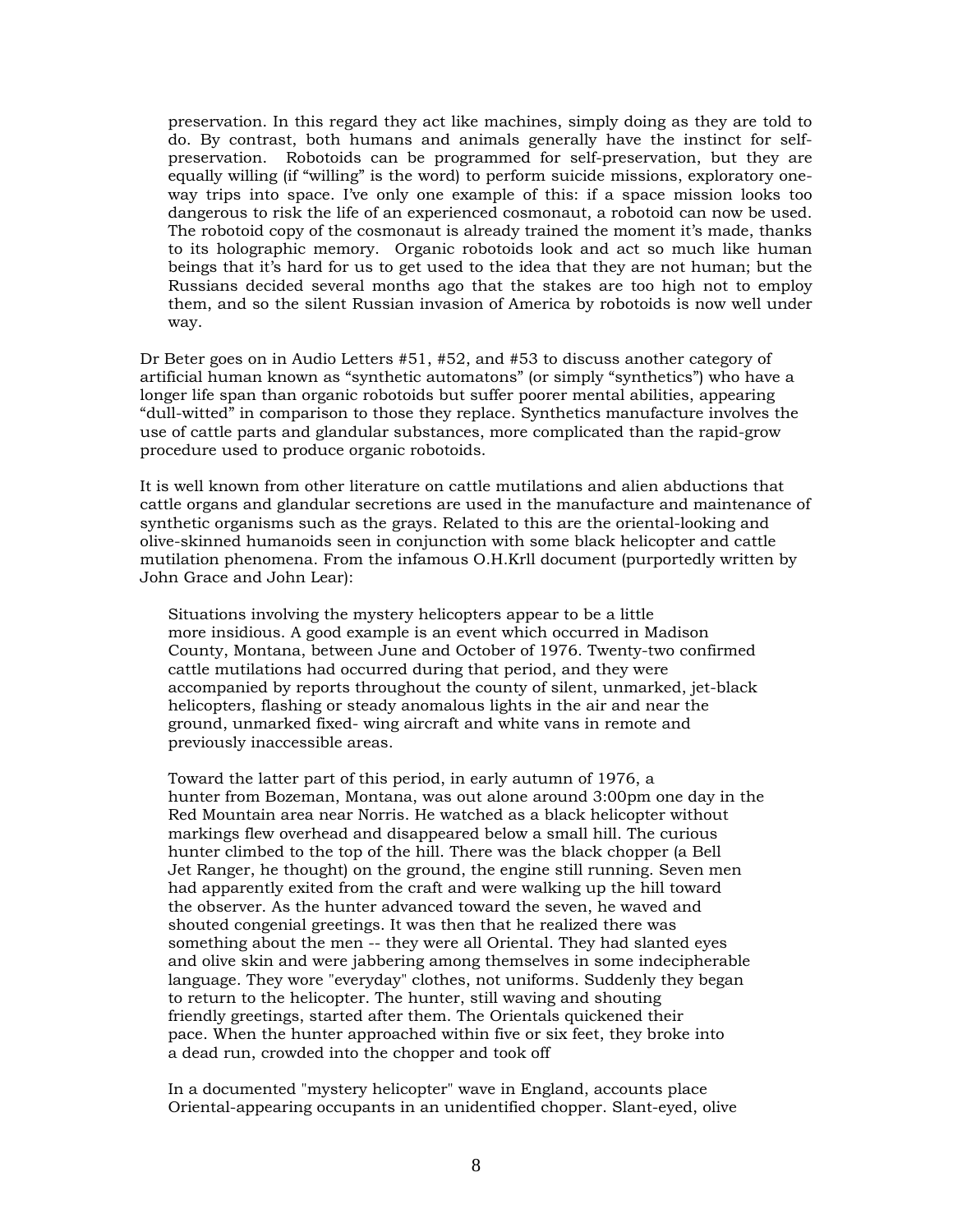preservation. In this regard they act like machines, simply doing as they are told to do. By contrast, both humans and animals generally have the instinct for selfpreservation. Robotoids can be programmed for self-preservation, but they are equally willing (if "willing" is the word) to perform suicide missions, exploratory oneway trips into space. I've only one example of this: if a space mission looks too dangerous to risk the life of an experienced cosmonaut, a robotoid can now be used. The robotoid copy of the cosmonaut is already trained the moment it's made, thanks to its holographic memory. Organic robotoids look and act so much like human beings that it's hard for us to get used to the idea that they are not human; but the Russians decided several months ago that the stakes are too high not to employ them, and so the silent Russian invasion of America by robotoids is now well under way.

Dr Beter goes on in Audio Letters #51, #52, and #53 to discuss another category of artificial human known as "synthetic automatons" (or simply "synthetics") who have a longer life span than organic robotoids but suffer poorer mental abilities, appearing "dull-witted" in comparison to those they replace. Synthetics manufacture involves the use of cattle parts and glandular substances, more complicated than the rapid-grow procedure used to produce organic robotoids.

It is well known from other literature on cattle mutilations and alien abductions that cattle organs and glandular secretions are used in the manufacture and maintenance of synthetic organisms such as the grays. Related to this are the oriental-looking and olive-skinned humanoids seen in conjunction with some black helicopter and cattle mutilation phenomena. From the infamous O.H.Krll document (purportedly written by John Grace and John Lear):

Situations involving the mystery helicopters appear to be a little more insidious. A good example is an event which occurred in Madison County, Montana, between June and October of 1976. Twenty-two confirmed cattle mutilations had occurred during that period, and they were accompanied by reports throughout the county of silent, unmarked, jet-black helicopters, flashing or steady anomalous lights in the air and near the ground, unmarked fixed- wing aircraft and white vans in remote and previously inaccessible areas.

Toward the latter part of this period, in early autumn of 1976, a hunter from Bozeman, Montana, was out alone around 3:00pm one day in the Red Mountain area near Norris. He watched as a black helicopter without markings flew overhead and disappeared below a small hill. The curious hunter climbed to the top of the hill. There was the black chopper (a Bell Jet Ranger, he thought) on the ground, the engine still running. Seven men had apparently exited from the craft and were walking up the hill toward the observer. As the hunter advanced toward the seven, he waved and shouted congenial greetings. It was then that he realized there was something about the men -- they were all Oriental. They had slanted eyes and olive skin and were jabbering among themselves in some indecipherable language. They wore "everyday" clothes, not uniforms. Suddenly they began to return to the helicopter. The hunter, still waving and shouting friendly greetings, started after them. The Orientals quickened their pace. When the hunter approached within five or six feet, they broke into a dead run, crowded into the chopper and took off

In a documented "mystery helicopter" wave in England, accounts place Oriental-appearing occupants in an unidentified chopper. Slant-eyed, olive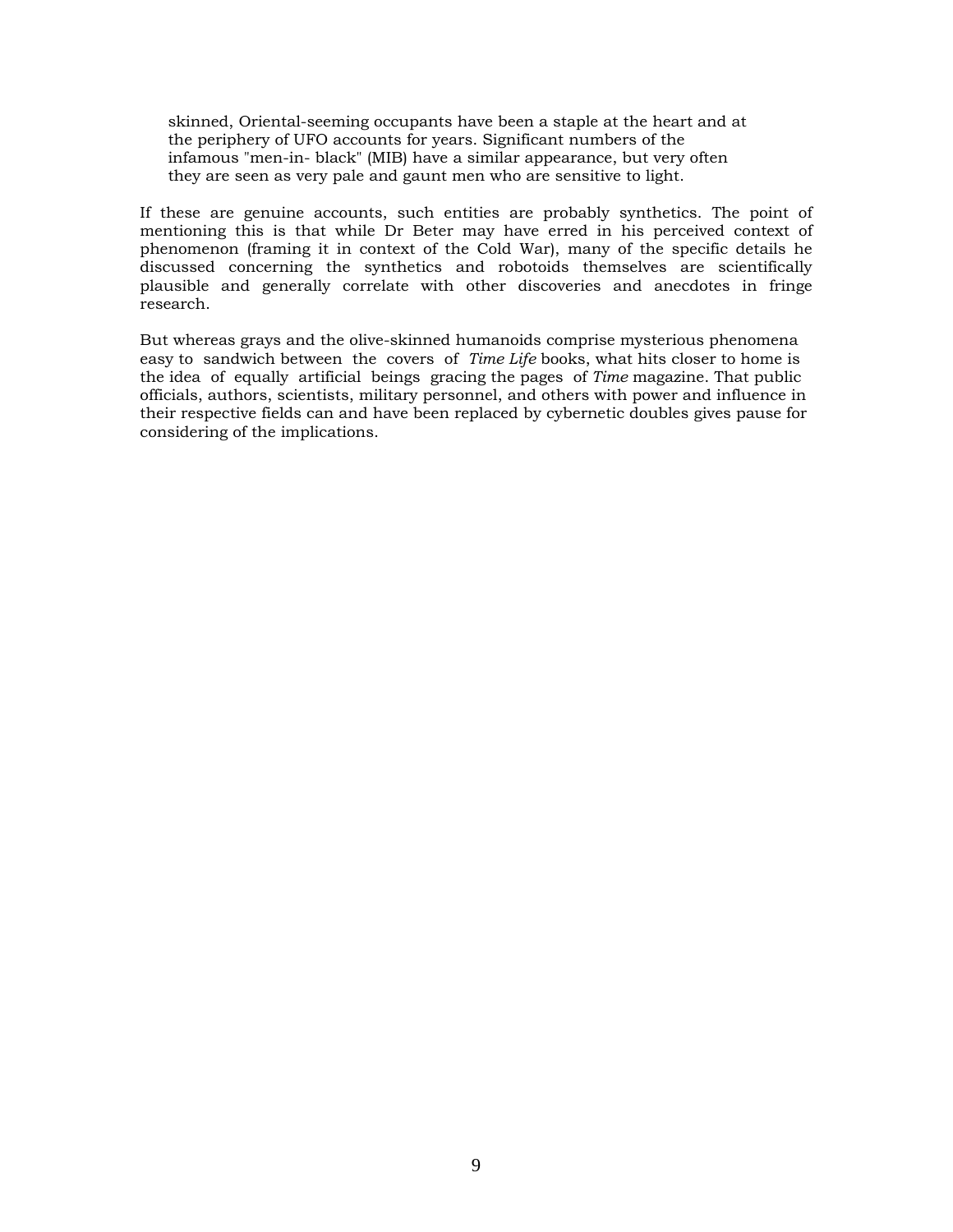skinned, Oriental-seeming occupants have been a staple at the heart and at the periphery of UFO accounts for years. Significant numbers of the infamous "men-in- black" (MIB) have a similar appearance, but very often they are seen as very pale and gaunt men who are sensitive to light.

If these are genuine accounts, such entities are probably synthetics. The point of mentioning this is that while Dr Beter may have erred in his perceived context of phenomenon (framing it in context of the Cold War), many of the specific details he discussed concerning the synthetics and robotoids themselves are scientifically plausible and generally correlate with other discoveries and anecdotes in fringe research.

But whereas grays and the olive-skinned humanoids comprise mysterious phenomena easy to sandwich between the covers of *Time Life* books, what hits closer to home is the idea of equally artificial beings gracing the pages of *Time* magazine. That public officials, authors, scientists, military personnel, and others with power and influence in their respective fields can and have been replaced by cybernetic doubles gives pause for considering of the implications.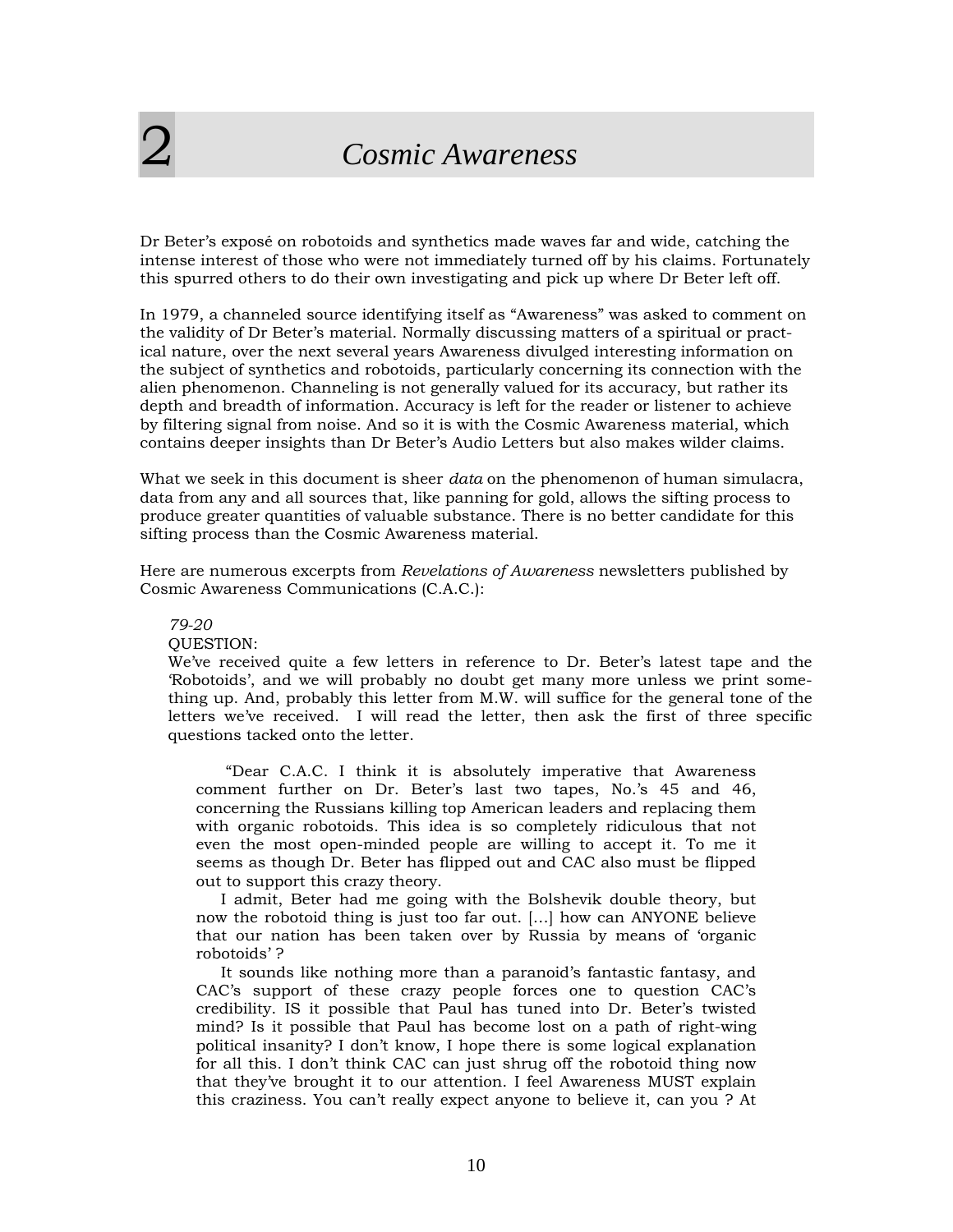Dr Beter's exposé on robotoids and synthetics made waves far and wide, catching the intense interest of those who were not immediately turned off by his claims. Fortunately this spurred others to do their own investigating and pick up where Dr Beter left off.

In 1979, a channeled source identifying itself as "Awareness" was asked to comment on the validity of Dr Beter's material. Normally discussing matters of a spiritual or practical nature, over the next several years Awareness divulged interesting information on the subject of synthetics and robotoids, particularly concerning its connection with the alien phenomenon. Channeling is not generally valued for its accuracy, but rather its depth and breadth of information. Accuracy is left for the reader or listener to achieve by filtering signal from noise. And so it is with the Cosmic Awareness material, which contains deeper insights than Dr Beter's Audio Letters but also makes wilder claims.

What we seek in this document is sheer *data* on the phenomenon of human simulacra, data from any and all sources that, like panning for gold, allows the sifting process to produce greater quantities of valuable substance. There is no better candidate for this sifting process than the Cosmic Awareness material.

Here are numerous excerpts from *Revelations of Awareness* newsletters published by Cosmic Awareness Communications (C.A.C.):

*79-20* 

QUESTION:

We've received quite a few letters in reference to Dr. Beter's latest tape and the 'Robotoids', and we will probably no doubt get many more unless we print something up. And, probably this letter from M.W. will suffice for the general tone of the letters we've received. I will read the letter, then ask the first of three specific questions tacked onto the letter.

 "Dear C.A.C. I think it is absolutely imperative that Awareness comment further on Dr. Beter's last two tapes, No.'s 45 and 46, concerning the Russians killing top American leaders and replacing them with organic robotoids. This idea is so completely ridiculous that not even the most open-minded people are willing to accept it. To me it seems as though Dr. Beter has flipped out and CAC also must be flipped out to support this crazy theory.

 I admit, Beter had me going with the Bolshevik double theory, but now the robotoid thing is just too far out. […] how can ANYONE believe that our nation has been taken over by Russia by means of 'organic robotoids' ?

 It sounds like nothing more than a paranoid's fantastic fantasy, and CAC's support of these crazy people forces one to question CAC's credibility. IS it possible that Paul has tuned into Dr. Beter's twisted mind? Is it possible that Paul has become lost on a path of right-wing political insanity? I don't know, I hope there is some logical explanation for all this. I don't think CAC can just shrug off the robotoid thing now that they've brought it to our attention. I feel Awareness MUST explain this craziness. You can't really expect anyone to believe it, can you ? At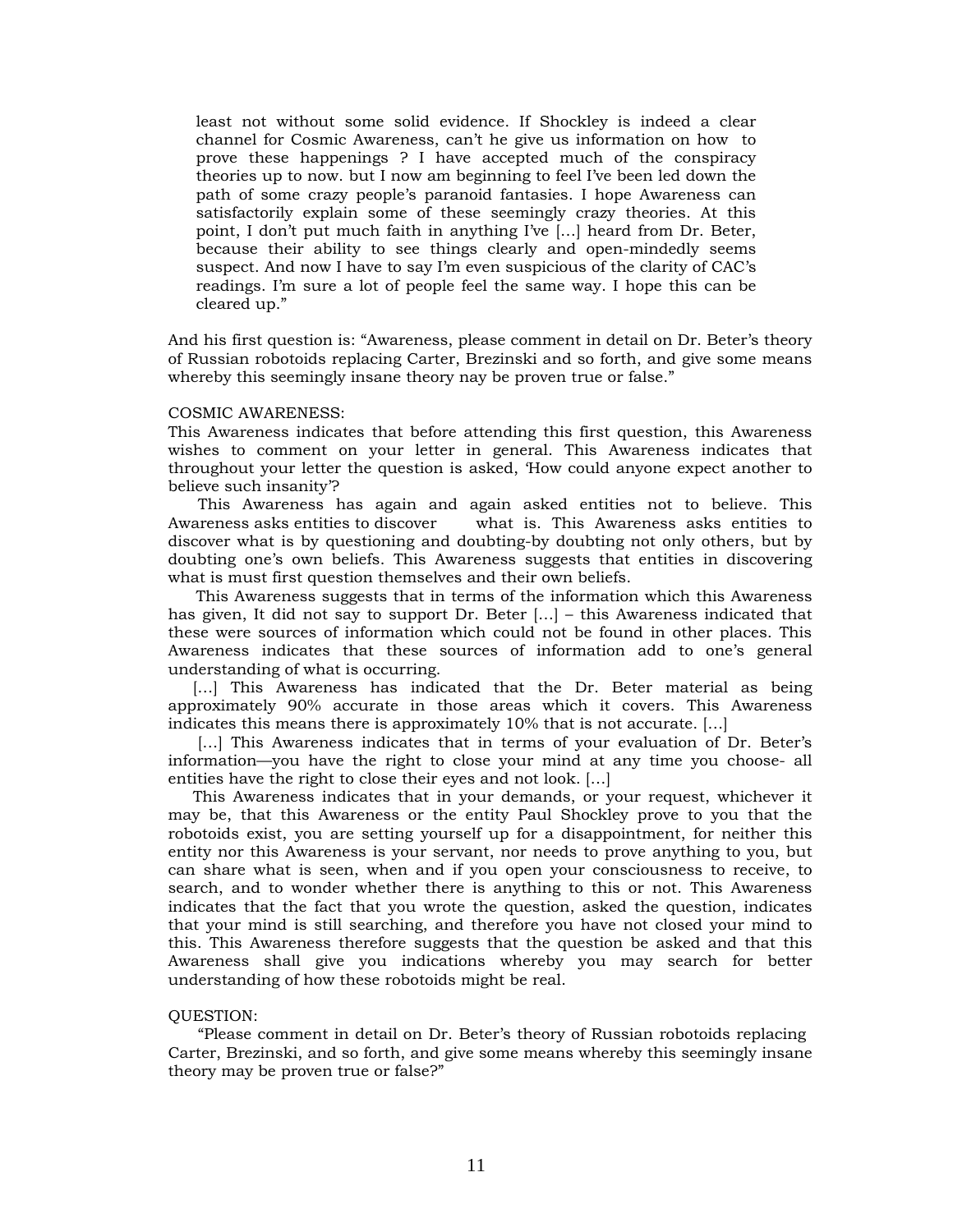least not without some solid evidence. If Shockley is indeed a clear channel for Cosmic Awareness, can't he give us information on how to prove these happenings ? I have accepted much of the conspiracy theories up to now. but I now am beginning to feel I've been led down the path of some crazy people's paranoid fantasies. I hope Awareness can satisfactorily explain some of these seemingly crazy theories. At this point, I don't put much faith in anything I've […] heard from Dr. Beter, because their ability to see things clearly and open-mindedly seems suspect. And now I have to say I'm even suspicious of the clarity of CAC's readings. I'm sure a lot of people feel the same way. I hope this can be cleared up."

And his first question is: "Awareness, please comment in detail on Dr. Beter's theory of Russian robotoids replacing Carter, Brezinski and so forth, and give some means whereby this seemingly insane theory nay be proven true or false."

#### COSMIC AWARENESS:

This Awareness indicates that before attending this first question, this Awareness wishes to comment on your letter in general. This Awareness indicates that throughout your letter the question is asked, 'How could anyone expect another to believe such insanity'?

 This Awareness has again and again asked entities not to believe. This Awareness asks entities to discover what is. This Awareness asks entities to discover what is by questioning and doubting-by doubting not only others, but by doubting one's own beliefs. This Awareness suggests that entities in discovering what is must first question themselves and their own beliefs.

This Awareness suggests that in terms of the information which this Awareness has given, It did not say to support Dr. Beter […] – this Awareness indicated that these were sources of information which could not be found in other places. This Awareness indicates that these sources of information add to one's general understanding of what is occurring.

 […] This Awareness has indicated that the Dr. Beter material as being approximately 90% accurate in those areas which it covers. This Awareness indicates this means there is approximately 10% that is not accurate. […]

[...] This Awareness indicates that in terms of your evaluation of Dr. Beter's information—you have the right to close your mind at any time you choose- all entities have the right to close their eyes and not look. […]

 This Awareness indicates that in your demands, or your request, whichever it may be, that this Awareness or the entity Paul Shockley prove to you that the robotoids exist, you are setting yourself up for a disappointment, for neither this entity nor this Awareness is your servant, nor needs to prove anything to you, but can share what is seen, when and if you open your consciousness to receive, to search, and to wonder whether there is anything to this or not. This Awareness indicates that the fact that you wrote the question, asked the question, indicates that your mind is still searching, and therefore you have not closed your mind to this. This Awareness therefore suggests that the question be asked and that this Awareness shall give you indications whereby you may search for better understanding of how these robotoids might be real.

#### QUESTION:

 "Please comment in detail on Dr. Beter's theory of Russian robotoids replacing Carter, Brezinski, and so forth, and give some means whereby this seemingly insane theory may be proven true or false?"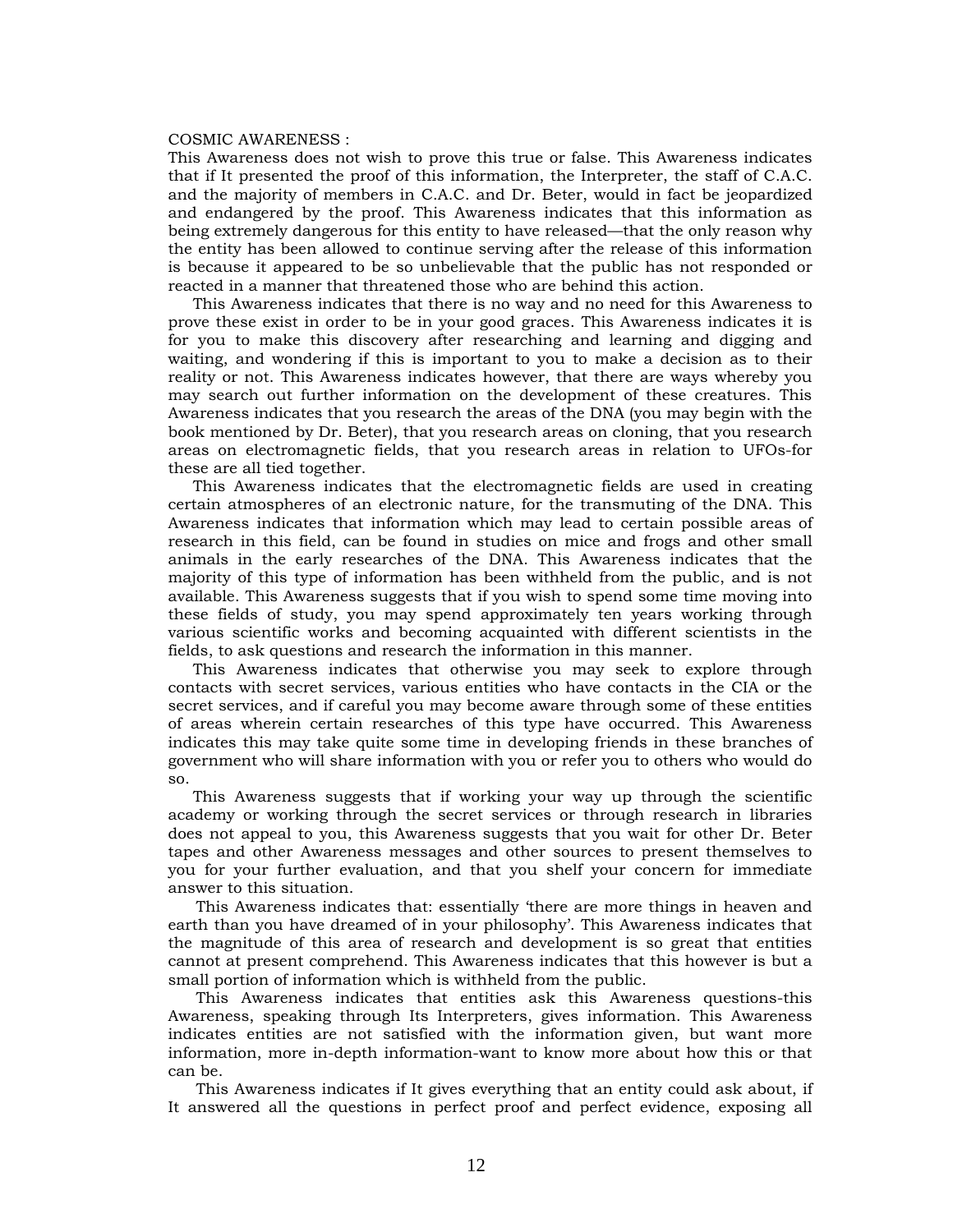#### COSMIC AWARENESS :

This Awareness does not wish to prove this true or false. This Awareness indicates that if It presented the proof of this information, the Interpreter, the staff of C.A.C. and the majority of members in C.A.C. and Dr. Beter, would in fact be jeopardized and endangered by the proof. This Awareness indicates that this information as being extremely dangerous for this entity to have released—that the only reason why the entity has been allowed to continue serving after the release of this information is because it appeared to be so unbelievable that the public has not responded or reacted in a manner that threatened those who are behind this action.

 This Awareness indicates that there is no way and no need for this Awareness to prove these exist in order to be in your good graces. This Awareness indicates it is for you to make this discovery after researching and learning and digging and waiting, and wondering if this is important to you to make a decision as to their reality or not. This Awareness indicates however, that there are ways whereby you may search out further information on the development of these creatures. This Awareness indicates that you research the areas of the DNA (you may begin with the book mentioned by Dr. Beter), that you research areas on cloning, that you research areas on electromagnetic fields, that you research areas in relation to UFOs-for these are all tied together.

 This Awareness indicates that the electromagnetic fields are used in creating certain atmospheres of an electronic nature, for the transmuting of the DNA. This Awareness indicates that information which may lead to certain possible areas of research in this field, can be found in studies on mice and frogs and other small animals in the early researches of the DNA. This Awareness indicates that the majority of this type of information has been withheld from the public, and is not available. This Awareness suggests that if you wish to spend some time moving into these fields of study, you may spend approximately ten years working through various scientific works and becoming acquainted with different scientists in the fields, to ask questions and research the information in this manner.

 This Awareness indicates that otherwise you may seek to explore through contacts with secret services, various entities who have contacts in the CIA or the secret services, and if careful you may become aware through some of these entities of areas wherein certain researches of this type have occurred. This Awareness indicates this may take quite some time in developing friends in these branches of government who will share information with you or refer you to others who would do so.

 This Awareness suggests that if working your way up through the scientific academy or working through the secret services or through research in libraries does not appeal to you, this Awareness suggests that you wait for other Dr. Beter tapes and other Awareness messages and other sources to present themselves to you for your further evaluation, and that you shelf your concern for immediate answer to this situation.

This Awareness indicates that: essentially 'there are more things in heaven and earth than you have dreamed of in your philosophy'. This Awareness indicates that the magnitude of this area of research and development is so great that entities cannot at present comprehend. This Awareness indicates that this however is but a small portion of information which is withheld from the public.

This Awareness indicates that entities ask this Awareness questions-this Awareness, speaking through Its Interpreters, gives information. This Awareness indicates entities are not satisfied with the information given, but want more information, more in-depth information-want to know more about how this or that can be.

This Awareness indicates if It gives everything that an entity could ask about, if It answered all the questions in perfect proof and perfect evidence, exposing all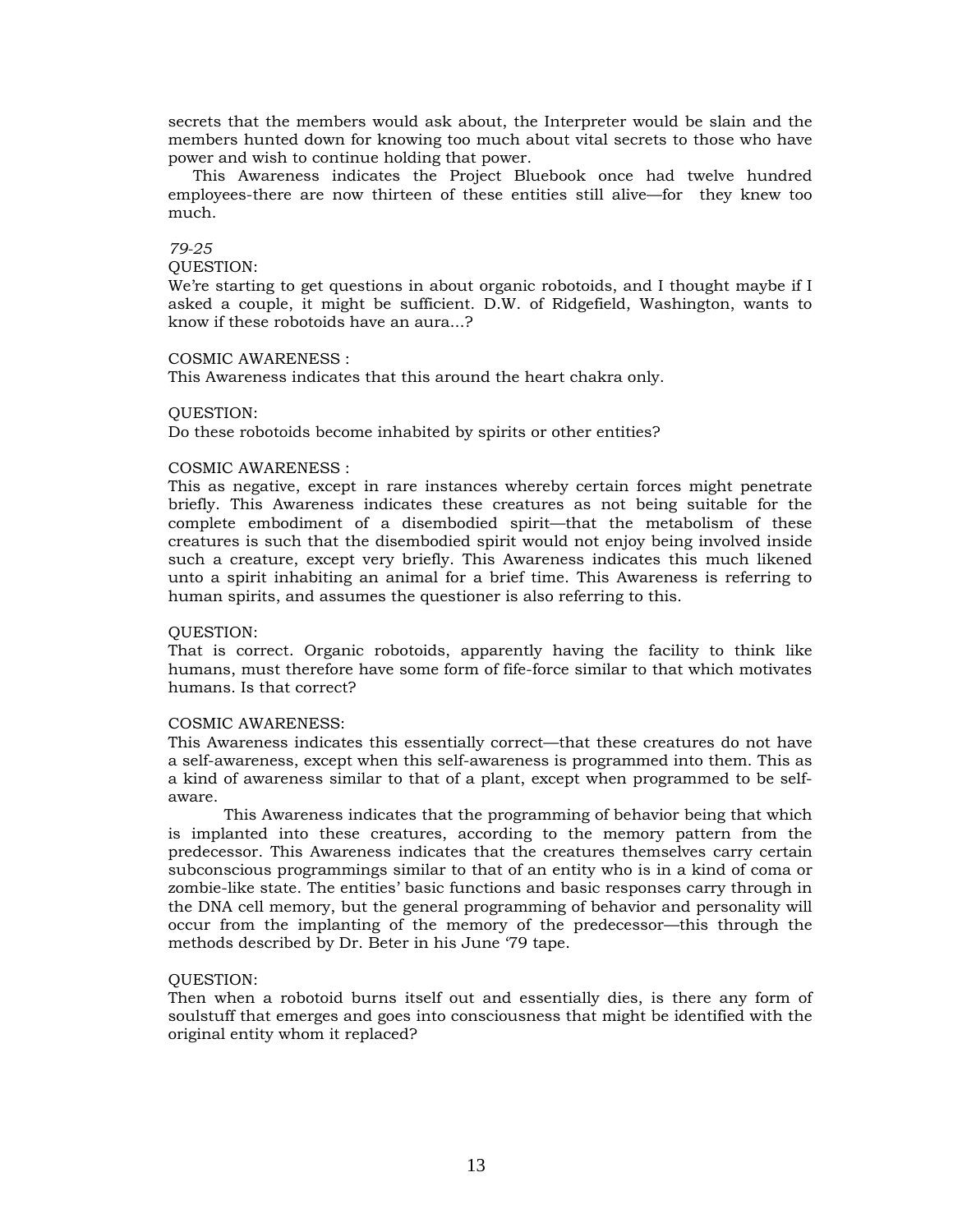secrets that the members would ask about, the Interpreter would be slain and the members hunted down for knowing too much about vital secrets to those who have power and wish to continue holding that power.

 This Awareness indicates the Project Bluebook once had twelve hundred employees-there are now thirteen of these entities still alive—for they knew too much.

#### *79-25*

#### QUESTION:

We're starting to get questions in about organic robotoids, and I thought maybe if I asked a couple, it might be sufficient. D.W. of Ridgefield, Washington, wants to know if these robotoids have an aura...?

#### COSMIC AWARENESS :

This Awareness indicates that this around the heart chakra only.

#### QUESTION:

Do these robotoids become inhabited by spirits or other entities?

#### COSMIC AWARENESS :

This as negative, except in rare instances whereby certain forces might penetrate briefly. This Awareness indicates these creatures as not being suitable for the complete embodiment of a disembodied spirit—that the metabolism of these creatures is such that the disembodied spirit would not enjoy being involved inside such a creature, except very briefly. This Awareness indicates this much likened unto a spirit inhabiting an animal for a brief time. This Awareness is referring to human spirits, and assumes the questioner is also referring to this.

#### QUESTION:

That is correct. Organic robotoids, apparently having the facility to think like humans, must therefore have some form of fife-force similar to that which motivates humans. Is that correct?

#### COSMIC AWARENESS:

This Awareness indicates this essentially correct—that these creatures do not have a self-awareness, except when this self-awareness is programmed into them. This as a kind of awareness similar to that of a plant, except when programmed to be selfaware.

This Awareness indicates that the programming of behavior being that which is implanted into these creatures, according to the memory pattern from the predecessor. This Awareness indicates that the creatures themselves carry certain subconscious programmings similar to that of an entity who is in a kind of coma or zombie-like state. The entities' basic functions and basic responses carry through in the DNA cell memory, but the general programming of behavior and personality will occur from the implanting of the memory of the predecessor—this through the methods described by Dr. Beter in his June '79 tape.

#### QUESTION:

Then when a robotoid burns itself out and essentially dies, is there any form of soulstuff that emerges and goes into consciousness that might be identified with the original entity whom it replaced?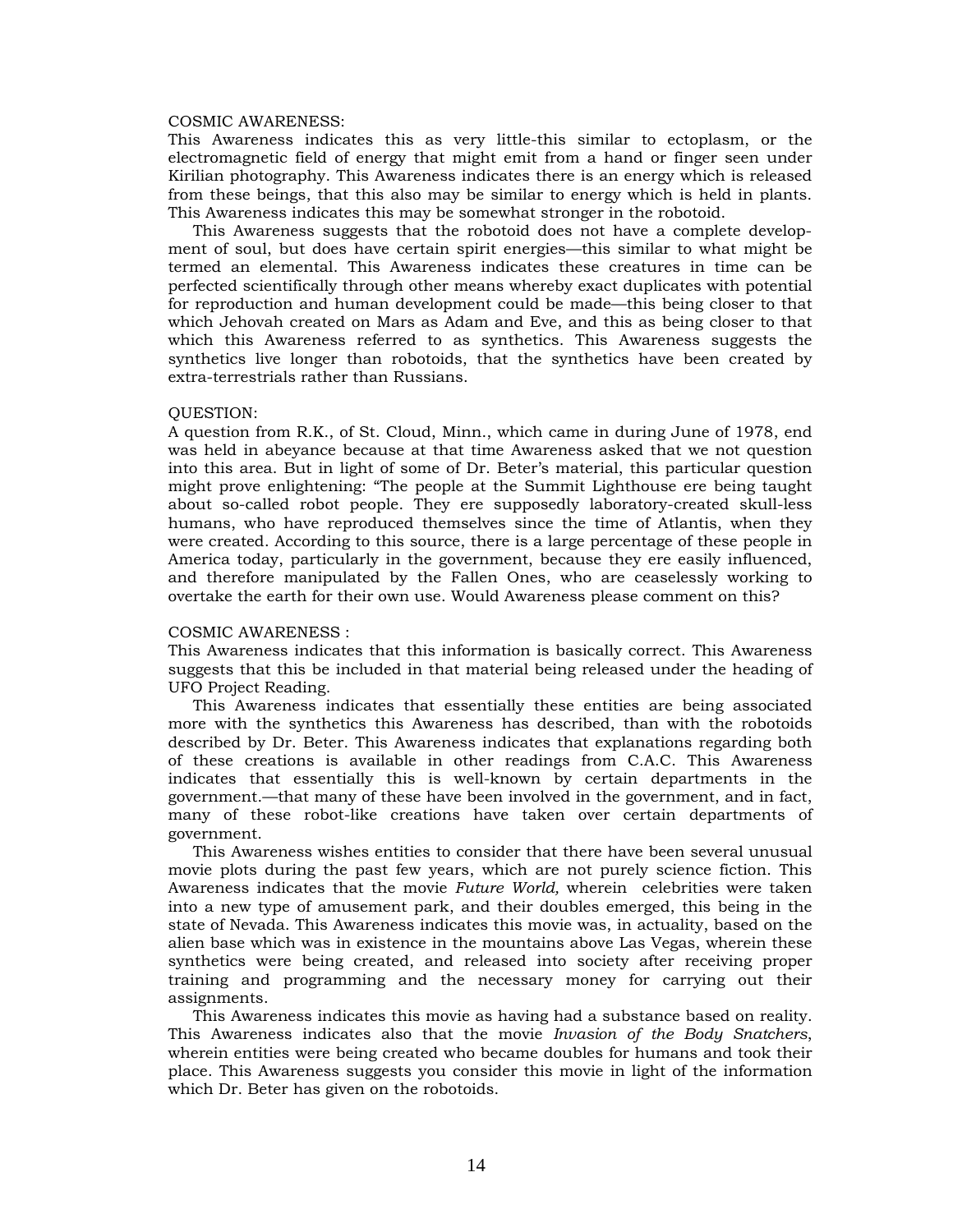#### COSMIC AWARENESS:

This Awareness indicates this as very little-this similar to ectoplasm, or the electromagnetic field of energy that might emit from a hand or finger seen under Kirilian photography. This Awareness indicates there is an energy which is released from these beings, that this also may be similar to energy which is held in plants. This Awareness indicates this may be somewhat stronger in the robotoid.

 This Awareness suggests that the robotoid does not have a complete development of soul, but does have certain spirit energies—this similar to what might be termed an elemental. This Awareness indicates these creatures in time can be perfected scientifically through other means whereby exact duplicates with potential for reproduction and human development could be made—this being closer to that which Jehovah created on Mars as Adam and Eve, and this as being closer to that which this Awareness referred to as synthetics. This Awareness suggests the synthetics live longer than robotoids, that the synthetics have been created by extra-terrestrials rather than Russians.

#### QUESTION:

A question from R.K., of St. Cloud, Minn., which came in during June of 1978, end was held in abeyance because at that time Awareness asked that we not question into this area. But in light of some of Dr. Beter's material, this particular question might prove enlightening: "The people at the Summit Lighthouse ere being taught about so-called robot people. They ere supposedly laboratory-created skull-less humans, who have reproduced themselves since the time of Atlantis, when they were created. According to this source, there is a large percentage of these people in America today, particularly in the government, because they ere easily influenced, and therefore manipulated by the Fallen Ones, who are ceaselessly working to overtake the earth for their own use. Would Awareness please comment on this?

#### COSMIC AWARENESS :

This Awareness indicates that this information is basically correct. This Awareness suggests that this be included in that material being released under the heading of UFO Project Reading.

 This Awareness indicates that essentially these entities are being associated more with the synthetics this Awareness has described, than with the robotoids described by Dr. Beter. This Awareness indicates that explanations regarding both of these creations is available in other readings from C.A.C. This Awareness indicates that essentially this is well-known by certain departments in the government.—that many of these have been involved in the government, and in fact, many of these robot-like creations have taken over certain departments of government.

 This Awareness wishes entities to consider that there have been several unusual movie plots during the past few years, which are not purely science fiction. This Awareness indicates that the movie *Future World,* wherein celebrities were taken into a new type of amusement park, and their doubles emerged, this being in the state of Nevada. This Awareness indicates this movie was, in actuality, based on the alien base which was in existence in the mountains above Las Vegas, wherein these synthetics were being created, and released into society after receiving proper training and programming and the necessary money for carrying out their assignments.

 This Awareness indicates this movie as having had a substance based on reality. This Awareness indicates also that the movie *Invasion of the Body Snatchers*, wherein entities were being created who became doubles for humans and took their place. This Awareness suggests you consider this movie in light of the information which Dr. Beter has given on the robotoids.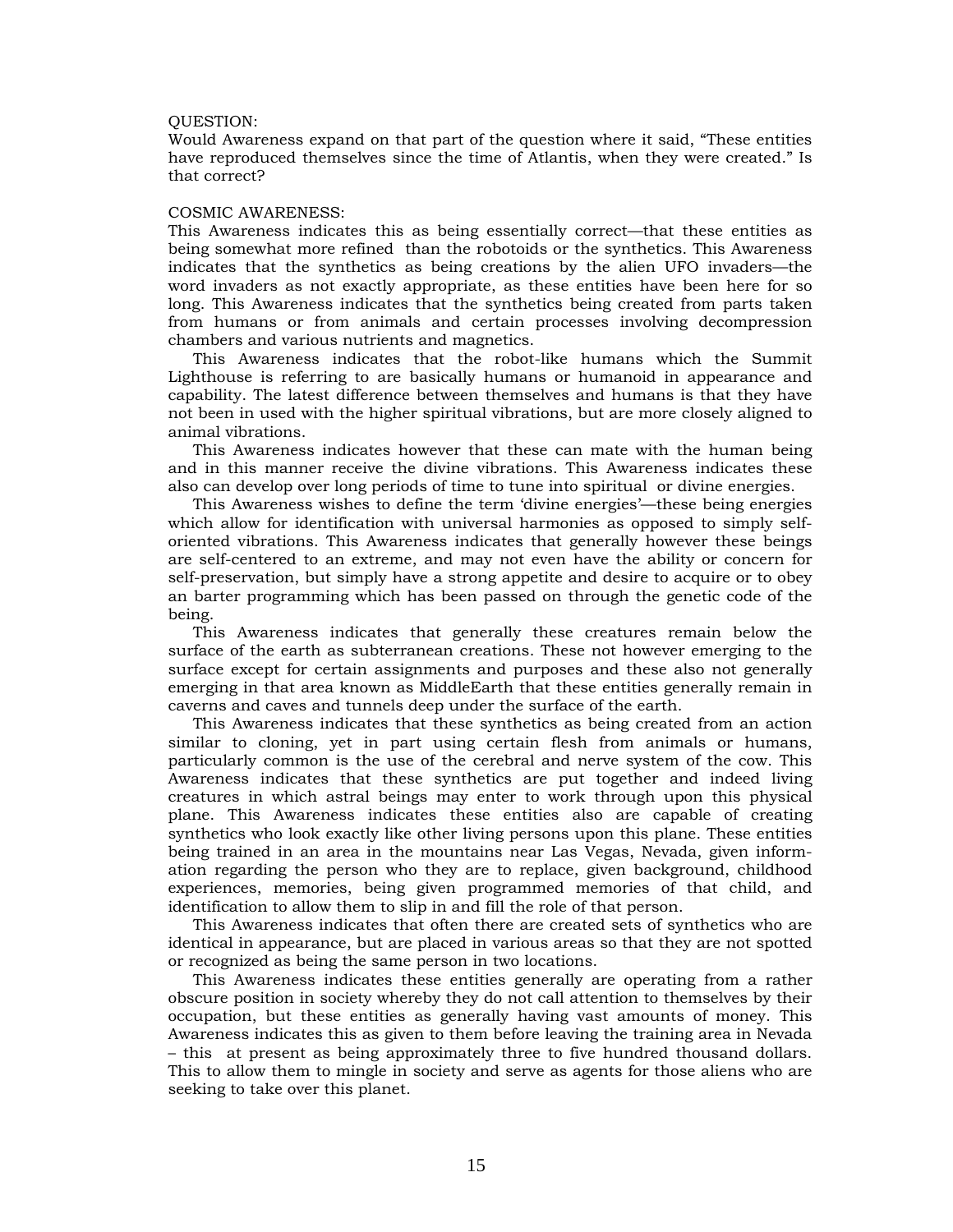#### QUESTION:

Would Awareness expand on that part of the question where it said, "These entities have reproduced themselves since the time of Atlantis, when they were created." Is that correct?

#### COSMIC AWARENESS:

This Awareness indicates this as being essentially correct—that these entities as being somewhat more refined than the robotoids or the synthetics. This Awareness indicates that the synthetics as being creations by the alien UFO invaders—the word invaders as not exactly appropriate, as these entities have been here for so long. This Awareness indicates that the synthetics being created from parts taken from humans or from animals and certain processes involving decompression chambers and various nutrients and magnetics.

 This Awareness indicates that the robot-like humans which the Summit Lighthouse is referring to are basically humans or humanoid in appearance and capability. The latest difference between themselves and humans is that they have not been in used with the higher spiritual vibrations, but are more closely aligned to animal vibrations.

 This Awareness indicates however that these can mate with the human being and in this manner receive the divine vibrations. This Awareness indicates these also can develop over long periods of time to tune into spiritual or divine energies.

 This Awareness wishes to define the term 'divine energies'—these being energies which allow for identification with universal harmonies as opposed to simply selforiented vibrations. This Awareness indicates that generally however these beings are self-centered to an extreme, and may not even have the ability or concern for self-preservation, but simply have a strong appetite and desire to acquire or to obey an barter programming which has been passed on through the genetic code of the being.

 This Awareness indicates that generally these creatures remain below the surface of the earth as subterranean creations. These not however emerging to the surface except for certain assignments and purposes and these also not generally emerging in that area known as MiddleEarth that these entities generally remain in caverns and caves and tunnels deep under the surface of the earth.

 This Awareness indicates that these synthetics as being created from an action similar to cloning, yet in part using certain flesh from animals or humans, particularly common is the use of the cerebral and nerve system of the cow. This Awareness indicates that these synthetics are put together and indeed living creatures in which astral beings may enter to work through upon this physical plane. This Awareness indicates these entities also are capable of creating synthetics who look exactly like other living persons upon this plane. These entities being trained in an area in the mountains near Las Vegas, Nevada, given information regarding the person who they are to replace, given background, childhood experiences, memories, being given programmed memories of that child, and identification to allow them to slip in and fill the role of that person.

 This Awareness indicates that often there are created sets of synthetics who are identical in appearance, but are placed in various areas so that they are not spotted or recognized as being the same person in two locations.

 This Awareness indicates these entities generally are operating from a rather obscure position in society whereby they do not call attention to themselves by their occupation, but these entities as generally having vast amounts of money. This Awareness indicates this as given to them before leaving the training area in Nevada – this at present as being approximately three to five hundred thousand dollars. This to allow them to mingle in society and serve as agents for those aliens who are seeking to take over this planet.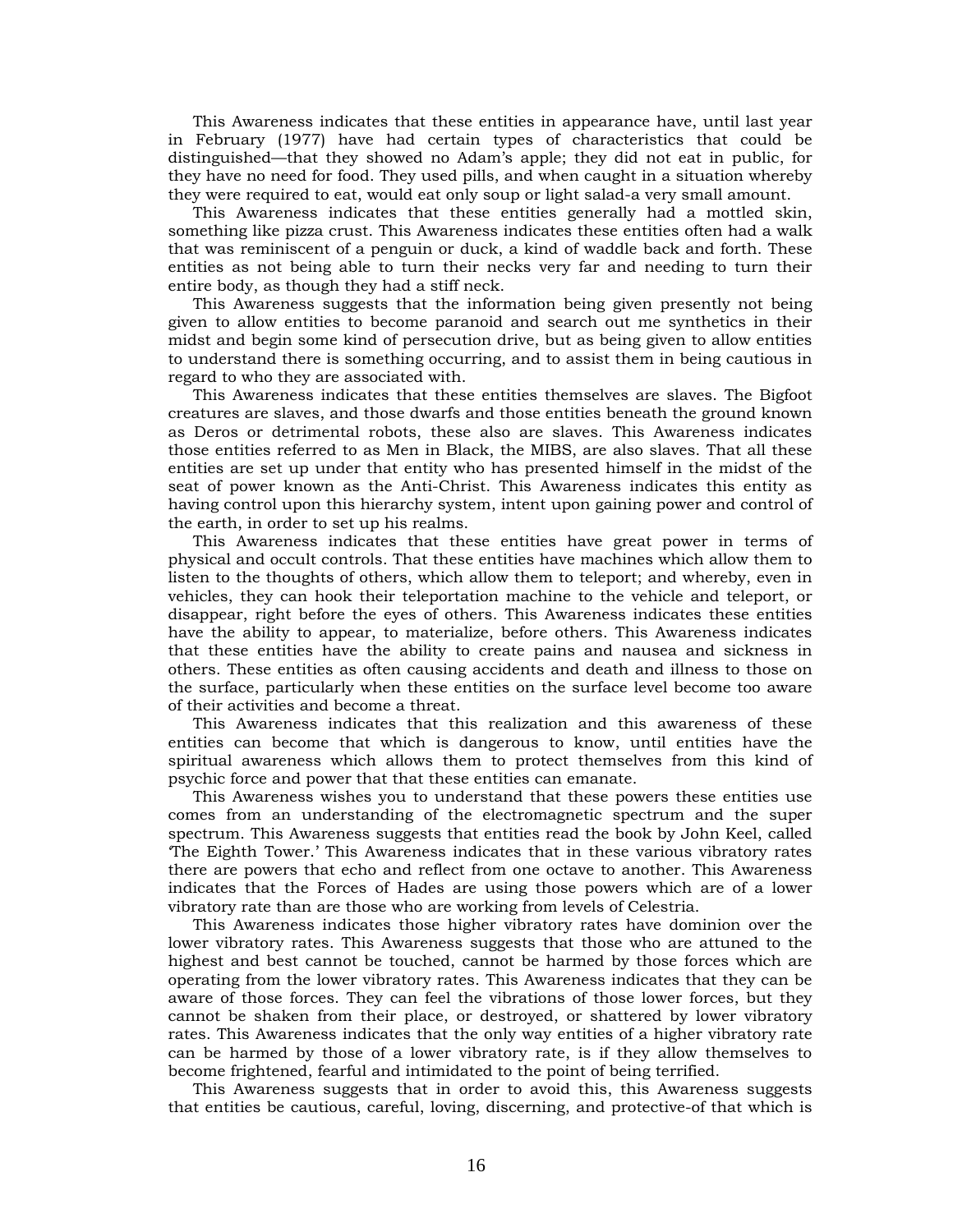This Awareness indicates that these entities in appearance have, until last year in February (1977) have had certain types of characteristics that could be distinguished—that they showed no Adam's apple; they did not eat in public, for they have no need for food. They used pills, and when caught in a situation whereby they were required to eat, would eat only soup or light salad-a very small amount.

 This Awareness indicates that these entities generally had a mottled skin, something like pizza crust. This Awareness indicates these entities often had a walk that was reminiscent of a penguin or duck, a kind of waddle back and forth. These entities as not being able to turn their necks very far and needing to turn their entire body, as though they had a stiff neck.

 This Awareness suggests that the information being given presently not being given to allow entities to become paranoid and search out me synthetics in their midst and begin some kind of persecution drive, but as being given to allow entities to understand there is something occurring, and to assist them in being cautious in regard to who they are associated with.

 This Awareness indicates that these entities themselves are slaves. The Bigfoot creatures are slaves, and those dwarfs and those entities beneath the ground known as Deros or detrimental robots, these also are slaves. This Awareness indicates those entities referred to as Men in Black, the MIBS, are also slaves. That all these entities are set up under that entity who has presented himself in the midst of the seat of power known as the Anti-Christ. This Awareness indicates this entity as having control upon this hierarchy system, intent upon gaining power and control of the earth, in order to set up his realms.

 This Awareness indicates that these entities have great power in terms of physical and occult controls. That these entities have machines which allow them to listen to the thoughts of others, which allow them to teleport; and whereby, even in vehicles, they can hook their teleportation machine to the vehicle and teleport, or disappear, right before the eyes of others. This Awareness indicates these entities have the ability to appear, to materialize, before others. This Awareness indicates that these entities have the ability to create pains and nausea and sickness in others. These entities as often causing accidents and death and illness to those on the surface, particularly when these entities on the surface level become too aware of their activities and become a threat.

 This Awareness indicates that this realization and this awareness of these entities can become that which is dangerous to know, until entities have the spiritual awareness which allows them to protect themselves from this kind of psychic force and power that that these entities can emanate.

 This Awareness wishes you to understand that these powers these entities use comes from an understanding of the electromagnetic spectrum and the super spectrum. This Awareness suggests that entities read the book by John Keel, called 'The Eighth Tower.' This Awareness indicates that in these various vibratory rates there are powers that echo and reflect from one octave to another. This Awareness indicates that the Forces of Hades are using those powers which are of a lower vibratory rate than are those who are working from levels of Celestria.

 This Awareness indicates those higher vibratory rates have dominion over the lower vibratory rates. This Awareness suggests that those who are attuned to the highest and best cannot be touched, cannot be harmed by those forces which are operating from the lower vibratory rates. This Awareness indicates that they can be aware of those forces. They can feel the vibrations of those lower forces, but they cannot be shaken from their place, or destroyed, or shattered by lower vibratory rates. This Awareness indicates that the only way entities of a higher vibratory rate can be harmed by those of a lower vibratory rate, is if they allow themselves to become frightened, fearful and intimidated to the point of being terrified.

 This Awareness suggests that in order to avoid this, this Awareness suggests that entities be cautious, careful, loving, discerning, and protective-of that which is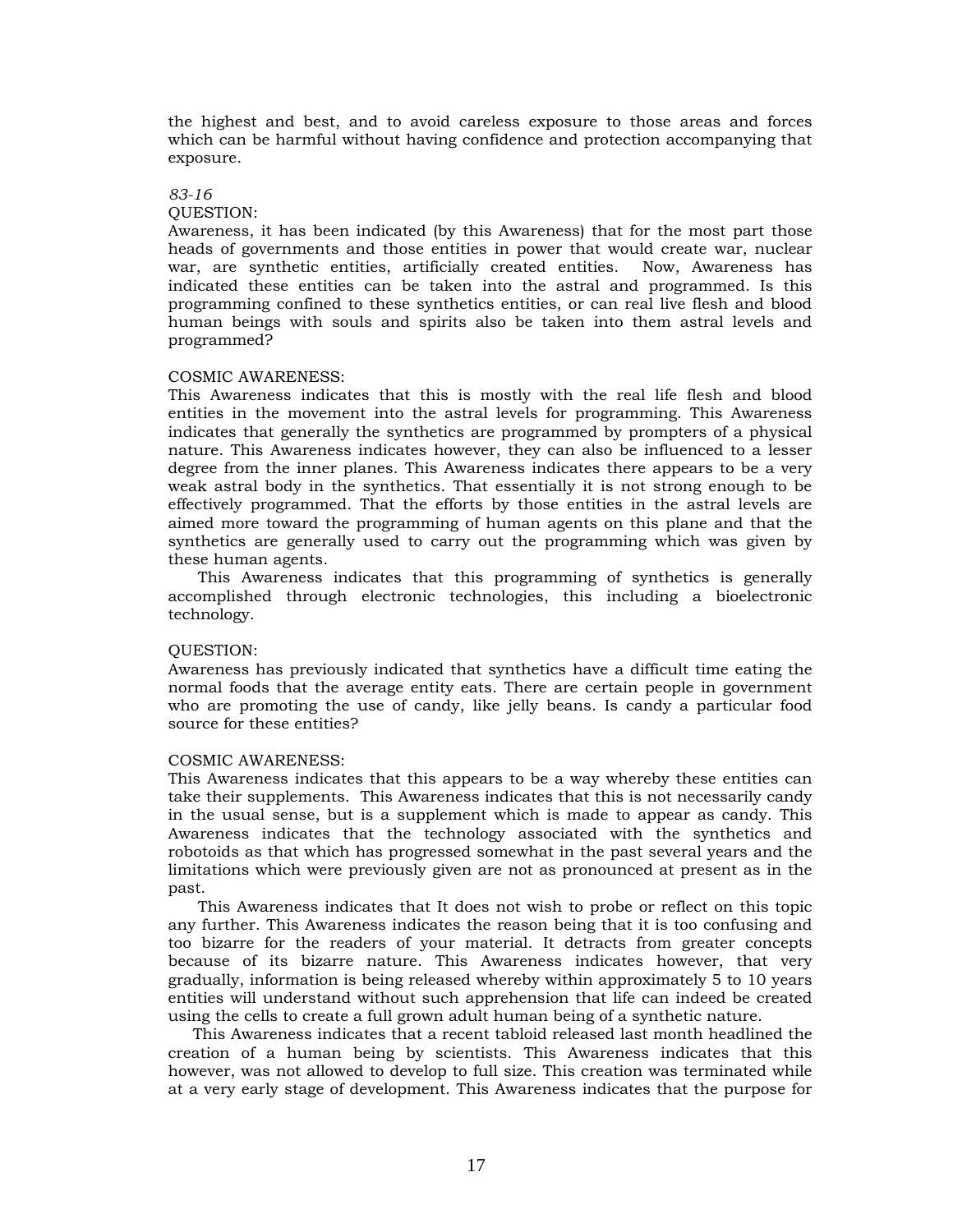the highest and best, and to avoid careless exposure to those areas and forces which can be harmful without having confidence and protection accompanying that exposure.

### *83-16*

QUESTION:

Awareness, it has been indicated (by this Awareness) that for the most part those heads of governments and those entities in power that would create war, nuclear war, are synthetic entities, artificially created entities. Now, Awareness has indicated these entities can be taken into the astral and programmed. Is this programming confined to these synthetics entities, or can real live flesh and blood human beings with souls and spirits also be taken into them astral levels and programmed?

#### COSMIC AWARENESS:

This Awareness indicates that this is mostly with the real life flesh and blood entities in the movement into the astral levels for programming. This Awareness indicates that generally the synthetics are programmed by prompters of a physical nature. This Awareness indicates however, they can also be influenced to a lesser degree from the inner planes. This Awareness indicates there appears to be a very weak astral body in the synthetics. That essentially it is not strong enough to be effectively programmed. That the efforts by those entities in the astral levels are aimed more toward the programming of human agents on this plane and that the synthetics are generally used to carry out the programming which was given by these human agents.

 This Awareness indicates that this programming of synthetics is generally accomplished through electronic technologies, this including a bioelectronic technology.

#### QUESTION:

Awareness has previously indicated that synthetics have a difficult time eating the normal foods that the average entity eats. There are certain people in government who are promoting the use of candy, like jelly beans. Is candy a particular food source for these entities?

#### COSMIC AWARENESS:

This Awareness indicates that this appears to be a way whereby these entities can take their supplements. This Awareness indicates that this is not necessarily candy in the usual sense, but is a supplement which is made to appear as candy. This Awareness indicates that the technology associated with the synthetics and robotoids as that which has progressed somewhat in the past several years and the limitations which were previously given are not as pronounced at present as in the past.

 This Awareness indicates that It does not wish to probe or reflect on this topic any further. This Awareness indicates the reason being that it is too confusing and too bizarre for the readers of your material. It detracts from greater concepts because of its bizarre nature. This Awareness indicates however, that very gradually, information is being released whereby within approximately 5 to 10 years entities will understand without such apprehension that life can indeed be created using the cells to create a full grown adult human being of a synthetic nature.

 This Awareness indicates that a recent tabloid released last month headlined the creation of a human being by scientists. This Awareness indicates that this however, was not allowed to develop to full size. This creation was terminated while at a very early stage of development. This Awareness indicates that the purpose for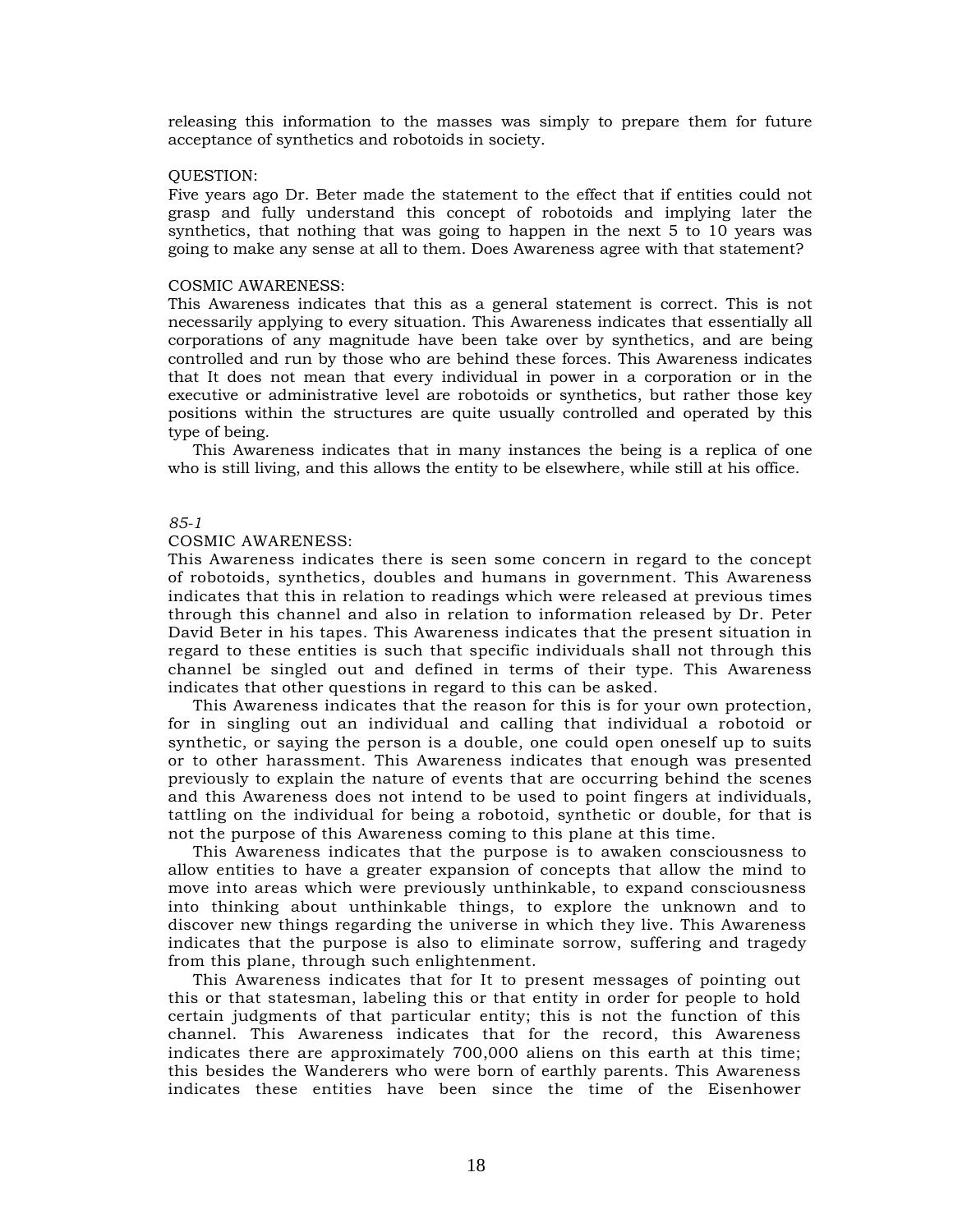releasing this information to the masses was simply to prepare them for future acceptance of synthetics and robotoids in society.

#### QUESTION:

Five years ago Dr. Beter made the statement to the effect that if entities could not grasp and fully understand this concept of robotoids and implying later the synthetics, that nothing that was going to happen in the next 5 to 10 years was going to make any sense at all to them. Does Awareness agree with that statement?

#### COSMIC AWARENESS:

This Awareness indicates that this as a general statement is correct. This is not necessarily applying to every situation. This Awareness indicates that essentially all corporations of any magnitude have been take over by synthetics, and are being controlled and run by those who are behind these forces. This Awareness indicates that It does not mean that every individual in power in a corporation or in the executive or administrative level are robotoids or synthetics, but rather those key positions within the structures are quite usually controlled and operated by this type of being.

 This Awareness indicates that in many instances the being is a replica of one who is still living, and this allows the entity to be elsewhere, while still at his office.

#### *85-1*

#### COSMIC AWARENESS:

This Awareness indicates there is seen some concern in regard to the concept of robotoids, synthetics, doubles and humans in government. This Awareness indicates that this in relation to readings which were released at previous times through this channel and also in relation to information released by Dr. Peter David Beter in his tapes. This Awareness indicates that the present situation in regard to these entities is such that specific individuals shall not through this channel be singled out and defined in terms of their type. This Awareness indicates that other questions in regard to this can be asked.

 This Awareness indicates that the reason for this is for your own protection, for in singling out an individual and calling that individual a robotoid or synthetic, or saying the person is a double, one could open oneself up to suits or to other harassment. This Awareness indicates that enough was presented previously to explain the nature of events that are occurring behind the scenes and this Awareness does not intend to be used to point fingers at individuals, tattling on the individual for being a robotoid, synthetic or double, for that is not the purpose of this Awareness coming to this plane at this time.

 This Awareness indicates that the purpose is to awaken consciousness to allow entities to have a greater expansion of concepts that allow the mind to move into areas which were previously unthinkable, to expand consciousness into thinking about unthinkable things, to explore the unknown and to discover new things regarding the universe in which they live. This Awareness indicates that the purpose is also to eliminate sorrow, suffering and tragedy from this plane, through such enlightenment.

 This Awareness indicates that for It to present messages of pointing out this or that statesman, labeling this or that entity in order for people to hold certain judgments of that particular entity; this is not the function of this channel. This Awareness indicates that for the record, this Awareness indicates there are approximately 700,000 aliens on this earth at this time; this besides the Wanderers who were born of earthly parents. This Awareness indicates these entities have been since the time of the Eisenhower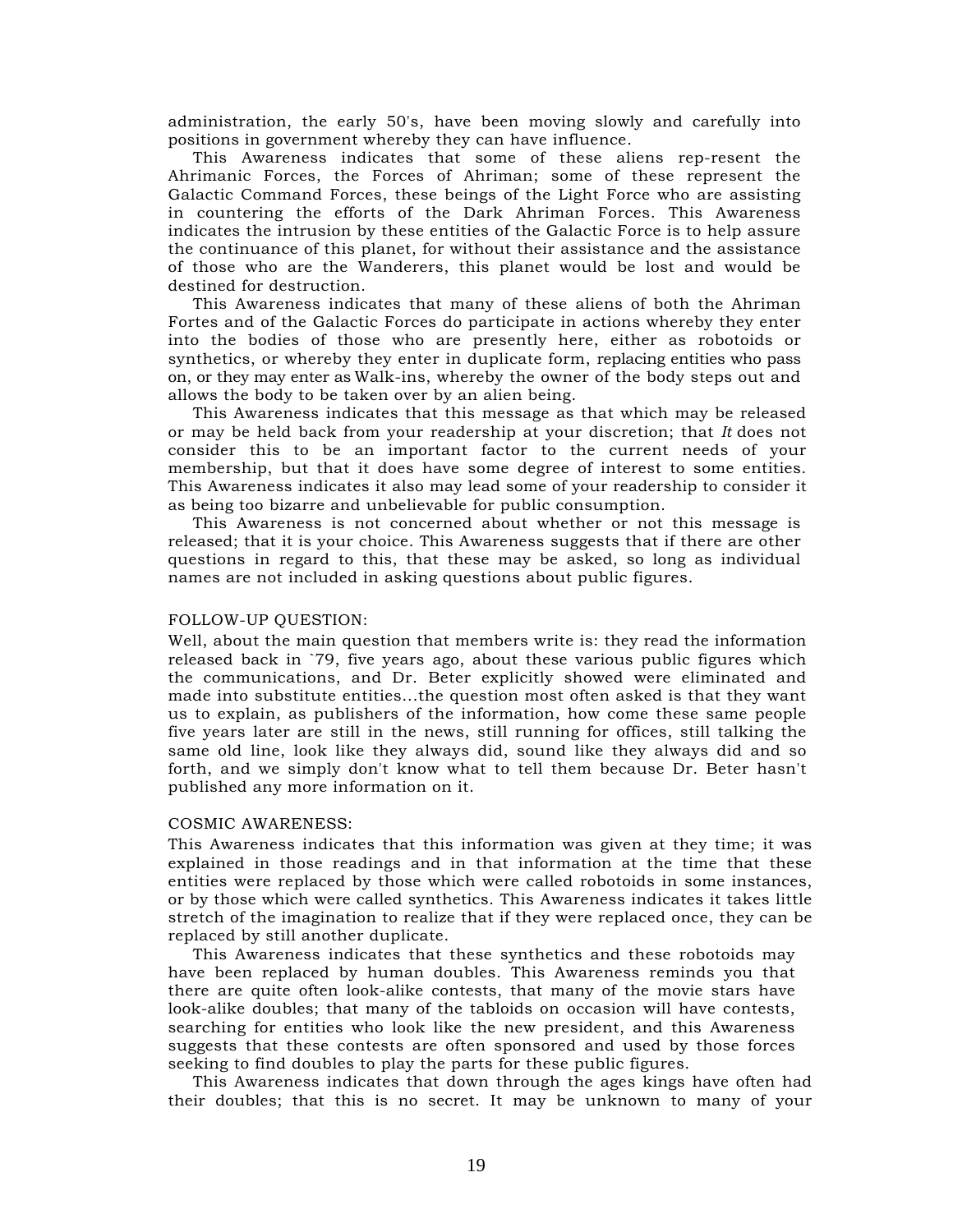administration, the early 50's, have been moving slowly and carefully into positions in government whereby they can have influence.

 This Awareness indicates that some of these aliens rep-resent the Ahrimanic Forces, the Forces of Ahriman; some of these represent the Galactic Command Forces, these beings of the Light Force who are assisting in countering the efforts of the Dark Ahriman Forces. This Awareness indicates the intrusion by these entities of the Galactic Force is to help assure the continuance of this planet, for without their assistance and the assistance of those who are the Wanderers, this planet would be lost and would be destined for destruction.

 This Awareness indicates that many of these aliens of both the Ahriman Fortes and of the Galactic Forces do participate in actions whereby they enter into the bodies of those who are presently here, either as robotoids or synthetics, or whereby they enter in duplicate form, replacing entities who pass on, or they may enter as Walk-ins, whereby the owner of the body steps out and allows the body to be taken over by an alien being.

 This Awareness indicates that this message as that which may be released or may be held back from your readership at your discretion; that *It* does not consider this to be an important factor to the current needs of your membership, but that it does have some degree of interest to some entities. This Awareness indicates it also may lead some of your readership to consider it as being too bizarre and unbelievable for public consumption.

 This Awareness is not concerned about whether or not this message is released; that it is your choice. This Awareness suggests that if there are other questions in regard to this, that these may be asked, so long as individual names are not included in asking questions about public figures.

#### FOLLOW-UP QUESTION:

Well, about the main question that members write is: they read the information released back in `79, five years ago, about these various public figures which the communications, and Dr. Beter explicitly showed were eliminated and made into substitute entities...the question most often asked is that they want us to explain, as publishers of the information, how come these same people five years later are still in the news, still running for offices, still talking the same old line, look like they always did, sound like they always did and so forth, and we simply don't know what to tell them because Dr. Beter hasn't published any more information on it.

#### COSMIC AWARENESS:

This Awareness indicates that this information was given at they time; it was explained in those readings and in that information at the time that these entities were replaced by those which were called robotoids in some instances, or by those which were called synthetics. This Awareness indicates it takes little stretch of the imagination to realize that if they were replaced once, they can be replaced by still another duplicate.

 This Awareness indicates that these synthetics and these robotoids may have been replaced by human doubles. This Awareness reminds you that there are quite often look-alike contests, that many of the movie stars have look-alike doubles; that many of the tabloids on occasion will have contests, searching for entities who look like the new president, and this Awareness suggests that these contests are often sponsored and used by those forces seeking to find doubles to play the parts for these public figures.

 This Awareness indicates that down through the ages kings have often had their doubles; that this is no secret. It may be unknown to many of your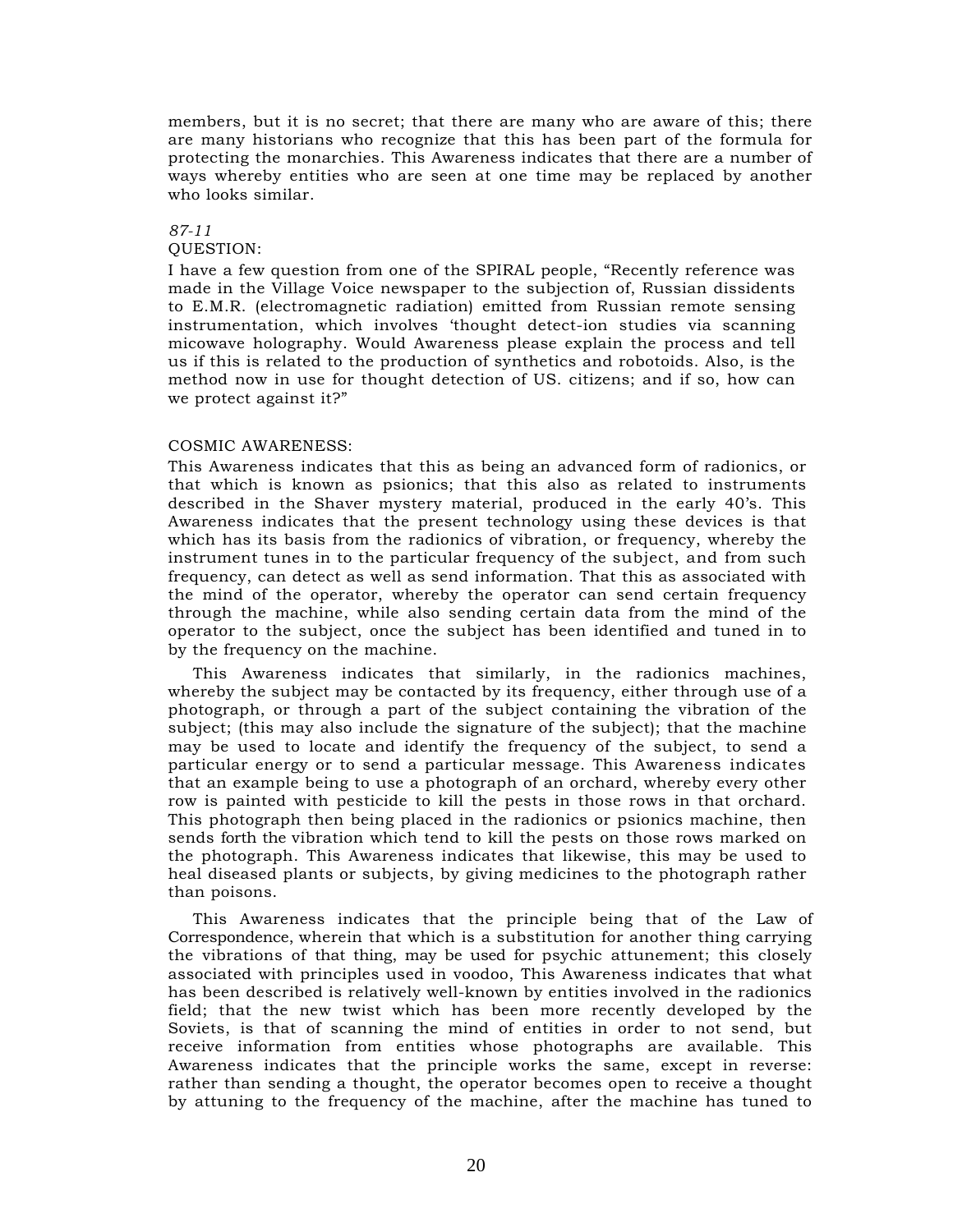members, but it is no secret; that there are many who are aware of this; there are many historians who recognize that this has been part of the formula for protecting the monarchies. This Awareness indicates that there are a number of ways whereby entities who are seen at one time may be replaced by another who looks similar.

#### *87-11*

#### QUESTION:

I have a few question from one of the SPIRAL people, "Recently reference was made in the Village Voice newspaper to the subjection of, Russian dissidents to E.M.R. (electromagnetic radiation) emitted from Russian remote sensing instrumentation, which involves 'thought detect-ion studies via scanning micowave holography. Would Awareness please explain the process and tell us if this is related to the production of synthetics and robotoids. Also, is the method now in use for thought detection of US. citizens; and if so, how can we protect against it?"

#### COSMIC AWARENESS:

This Awareness indicates that this as being an advanced form of radionics, or that which is known as psionics; that this also as related to instruments described in the Shaver mystery material, produced in the early 40's. This Awareness indicates that the present technology using these devices is that which has its basis from the radionics of vibration, or frequency, whereby the instrument tunes in to the particular frequency of the subject, and from such frequency, can detect as well as send information. That this as associated with the mind of the operator, whereby the operator can send certain frequency through the machine, while also sending certain data from the mind of the operator to the subject, once the subject has been identified and tuned in to by the frequency on the machine.

 This Awareness indicates that similarly, in the radionics machines, whereby the subject may be contacted by its frequency, either through use of a photograph, or through a part of the subject containing the vibration of the subject; (this may also include the signature of the subject); that the machine may be used to locate and identify the frequency of the subject, to send a particular energy or to send a particular message. This Awareness indicates that an example being to use a photograph of an orchard, whereby every other row is painted with pesticide to kill the pests in those rows in that orchard. This photograph then being placed in the radionics or psionics machine, then sends forth the vibration which tend to kill the pests on those rows marked on the photograph. This Awareness indicates that likewise, this may be used to heal diseased plants or subjects, by giving medicines to the photograph rather than poisons.

 This Awareness indicates that the principle being that of the Law of Correspondence, wherein that which is a substitution for another thing carrying the vibrations of that thing, may be used for psychic attunement; this closely associated with principles used in voodoo, This Awareness indicates that what has been described is relatively well-known by entities involved in the radionics field; that the new twist which has been more recently developed by the Soviets, is that of scanning the mind of entities in order to not send, but receive information from entities whose photographs are available. This Awareness indicates that the principle works the same, except in reverse: rather than sending a thought, the operator becomes open to receive a thought by attuning to the frequency of the machine, after the machine has tuned to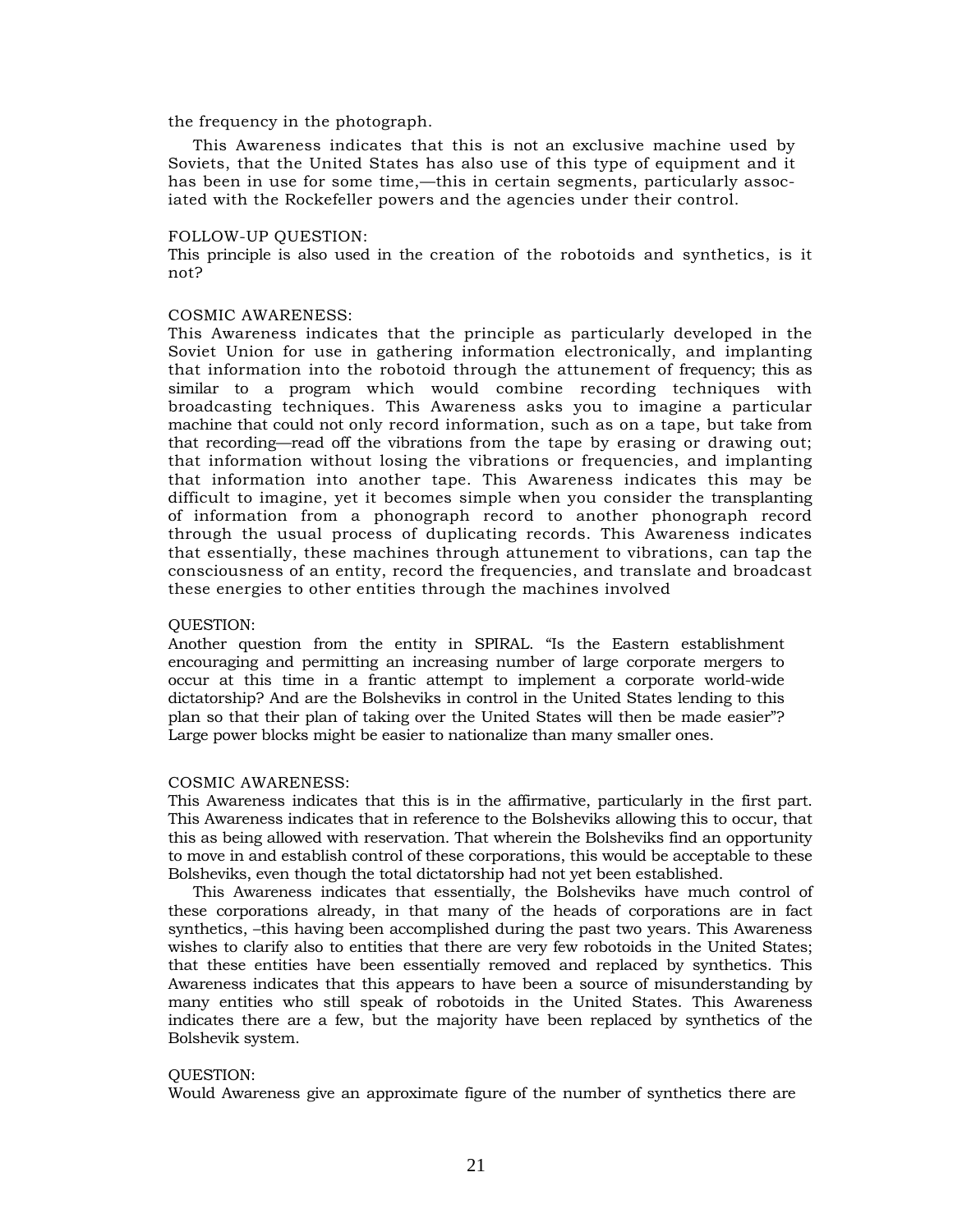the frequency in the photograph.

 This Awareness indicates that this is not an exclusive machine used by Soviets, that the United States has also use of this type of equipment and it has been in use for some time,—this in certain segments, particularly associated with the Rockefeller powers and the agencies under their control.

#### FOLLOW-UP QUESTION:

This principle is also used in the creation of the robotoids and synthetics, is it not?

#### COSMIC AWARENESS:

This Awareness indicates that the principle as particularly developed in the Soviet Union for use in gathering information electronically, and implanting that information into the robotoid through the attunement of frequency; this as similar to a program which would combine recording techniques with broadcasting techniques. This Awareness asks you to imagine a particular machine that could not only record information, such as on a tape, but take from that recording—read off the vibrations from the tape by erasing or drawing out; that information without losing the vibrations or frequencies, and implanting that information into another tape. This Awareness indicates this may be difficult to imagine, yet it becomes simple when you consider the transplanting of information from a phonograph record to another phonograph record through the usual process of duplicating records. This Awareness indicates that essentially, these machines through attunement to vibrations, can tap the consciousness of an entity, record the frequencies, and translate and broadcast these energies to other entities through the machines involved

#### QUESTION:

Another question from the entity in SPIRAL. "Is the Eastern establishment encouraging and permitting an increasing number of large corporate mergers to occur at this time in a frantic attempt to implement a corporate world-wide dictatorship? And are the Bolsheviks in control in the United States lending to this plan so that their plan of taking over the United States will then be made easier"? Large power blocks might be easier to nationalize than many smaller ones.

#### COSMIC AWARENESS:

This Awareness indicates that this is in the affirmative, particularly in the first part. This Awareness indicates that in reference to the Bolsheviks allowing this to occur, that this as being allowed with reservation. That wherein the Bolsheviks find an opportunity to move in and establish control of these corporations, this would be acceptable to these Bolsheviks, even though the total dictatorship had not yet been established.

 This Awareness indicates that essentially, the Bolsheviks have much control of these corporations already, in that many of the heads of corporations are in fact synthetics, –this having been accomplished during the past two years. This Awareness wishes to clarify also to entities that there are very few robotoids in the United States; that these entities have been essentially removed and replaced by synthetics. This Awareness indicates that this appears to have been a source of misunderstanding by many entities who still speak of robotoids in the United States. This Awareness indicates there are a few, but the majority have been replaced by synthetics of the Bolshevik system.

#### QUESTION:

Would Awareness give an approximate figure of the number of synthetics there are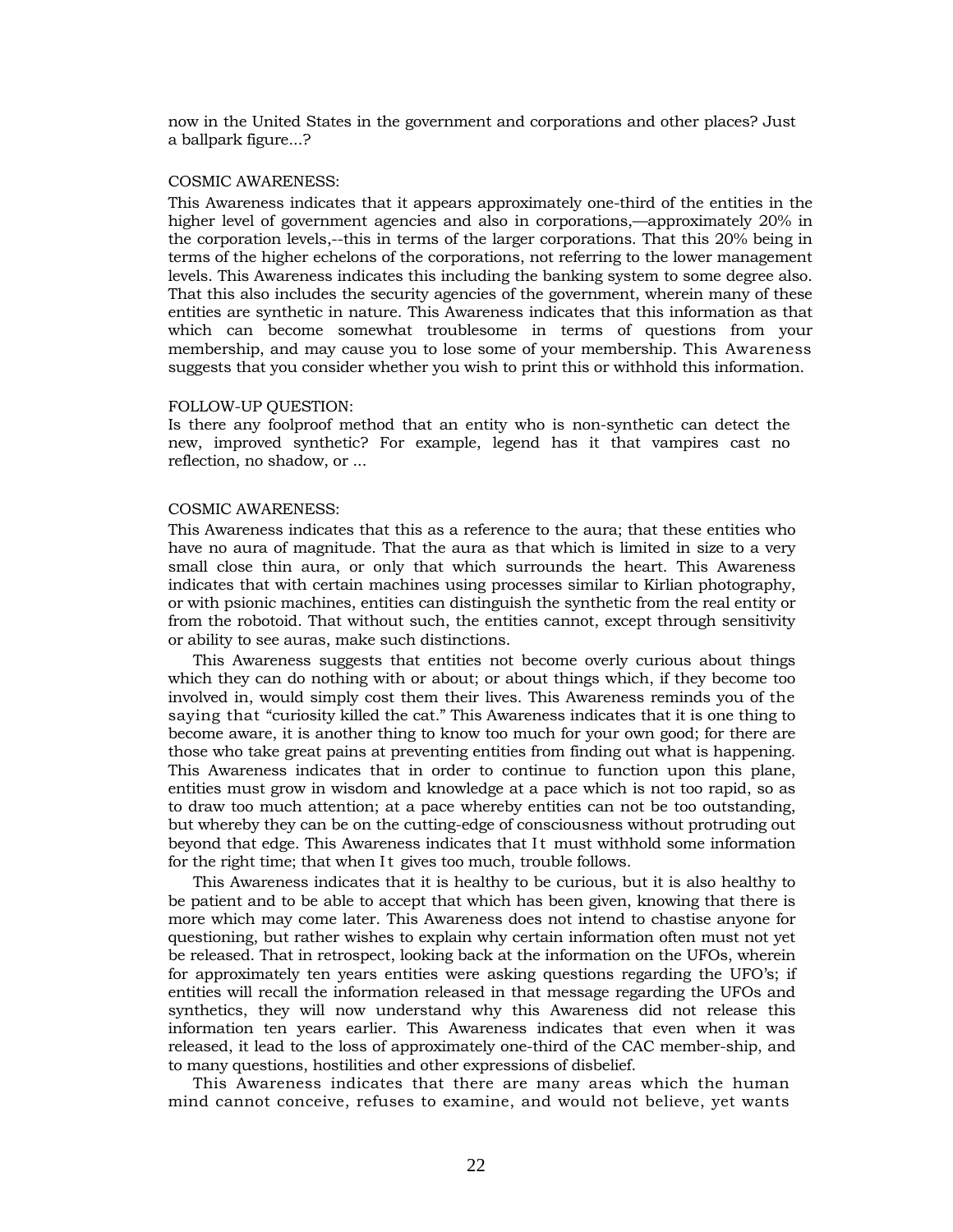now in the United States in the government and corporations and other places? Just a ballpark figure...?

#### COSMIC AWARENESS:

This Awareness indicates that it appears approximately one-third of the entities in the higher level of government agencies and also in corporations,—approximately 20% in the corporation levels,--this in terms of the larger corporations. That this 20% being in terms of the higher echelons of the corporations, not referring to the lower management levels. This Awareness indicates this including the banking system to some degree also. That this also includes the security agencies of the government, wherein many of these entities are synthetic in nature. This Awareness indicates that this information as that which can become somewhat troublesome in terms of questions from your membership, and may cause you to lose some of your membership. This Awareness suggests that you consider whether you wish to print this or withhold this information.

#### FOLLOW-UP QUESTION:

Is there any foolproof method that an entity who is non-synthetic can detect the new, improved synthetic? For example, legend has it that vampires cast no reflection, no shadow, or ...

#### COSMIC AWARENESS:

This Awareness indicates that this as a reference to the aura; that these entities who have no aura of magnitude. That the aura as that which is limited in size to a very small close thin aura, or only that which surrounds the heart. This Awareness indicates that with certain machines using processes similar to Kirlian photography, or with psionic machines, entities can distinguish the synthetic from the real entity or from the robotoid. That without such, the entities cannot, except through sensitivity or ability to see auras, make such distinctions.

 This Awareness suggests that entities not become overly curious about things which they can do nothing with or about; or about things which, if they become too involved in, would simply cost them their lives. This Awareness reminds you of the saying that "curiosity killed the cat." This Awareness indicates that it is one thing to become aware, it is another thing to know too much for your own good; for there are those who take great pains at preventing entities from finding out what is happening. This Awareness indicates that in order to continue to function upon this plane, entities must grow in wisdom and knowledge at a pace which is not too rapid, so as to draw too much attention; at a pace whereby entities can not be too outstanding, but whereby they can be on the cutting-edge of consciousness without protruding out beyond that edge. This Awareness indicates that It must withhold some information for the right time; that when It gives too much, trouble follows.

 This Awareness indicates that it is healthy to be curious, but it is also healthy to be patient and to be able to accept that which has been given, knowing that there is more which may come later. This Awareness does not intend to chastise anyone for questioning, but rather wishes to explain why certain information often must not yet be released. That in retrospect, looking back at the information on the UFOs, wherein for approximately ten years entities were asking questions regarding the UFO's; if entities will recall the information released in that message regarding the UFOs and synthetics, they will now understand why this Awareness did not release this information ten years earlier. This Awareness indicates that even when it was released, it lead to the loss of approximately one-third of the CAC member-ship, and to many questions, hostilities and other expressions of disbelief.

 This Awareness indicates that there are many areas which the human mind cannot conceive, refuses to examine, and would not believe, yet wants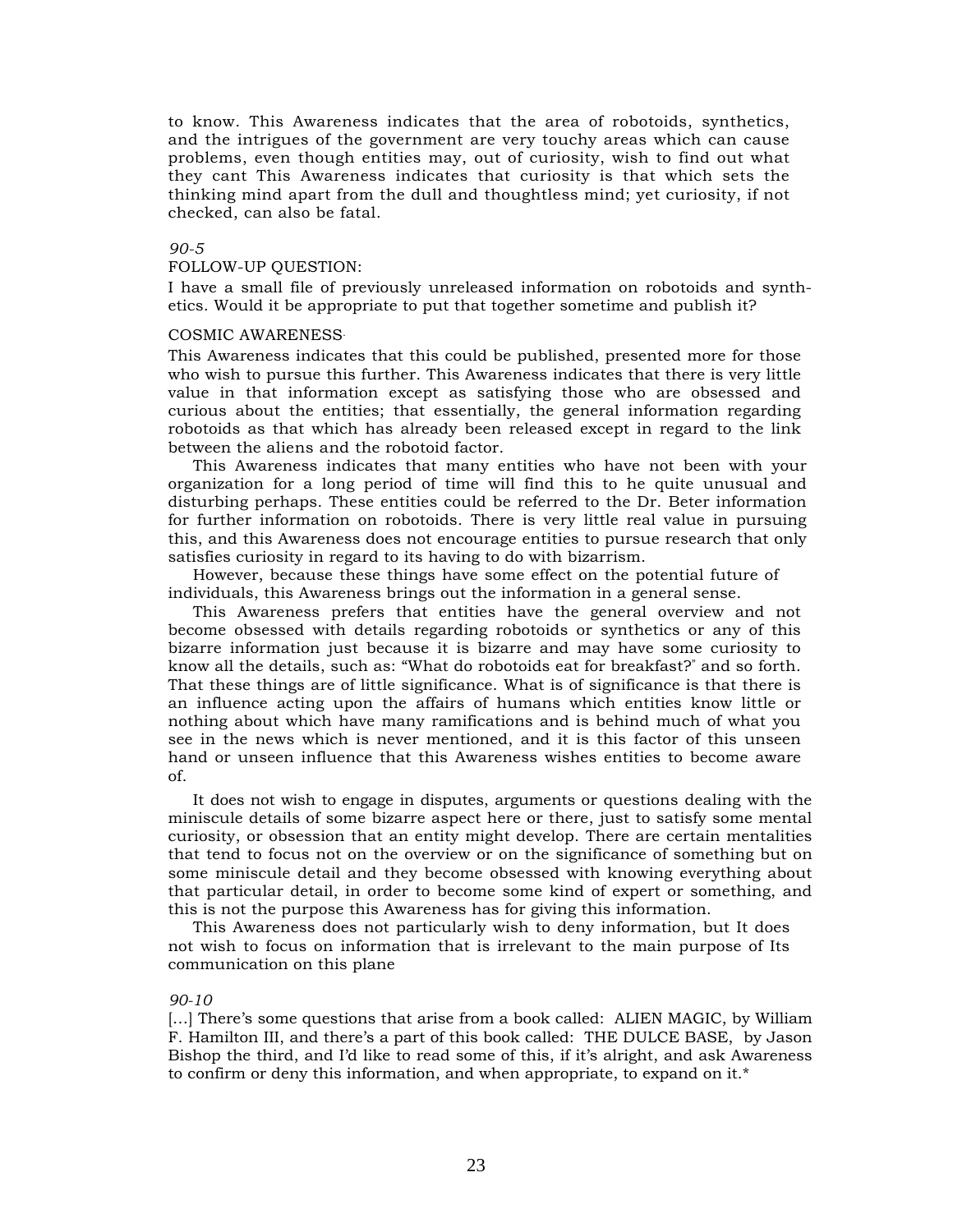to know. This Awareness indicates that the area of robotoids, synthetics, and the intrigues of the government are very touchy areas which can cause problems, even though entities may, out of curiosity, wish to find out what they cant This Awareness indicates that curiosity is that which sets the thinking mind apart from the dull and thoughtless mind; yet curiosity, if not checked, can also be fatal.

#### *90-5*

#### FOLLOW-UP QUESTION:

I have a small file of previously unreleased information on robotoids and synthetics. Would it be appropriate to put that together sometime and publish it?

#### COSMIC AWARENESS.

This Awareness indicates that this could be published, presented more for those who wish to pursue this further. This Awareness indicates that there is very little value in that information except as satisfying those who are obsessed and curious about the entities; that essentially, the general information regarding robotoids as that which has already been released except in regard to the link between the aliens and the robotoid factor.

 This Awareness indicates that many entities who have not been with your organization for a long period of time will find this to he quite unusual and disturbing perhaps. These entities could be referred to the Dr. Beter information for further information on robotoids. There is very little real value in pursuing this, and this Awareness does not encourage entities to pursue research that only satisfies curiosity in regard to its having to do with bizarrism.

 However, because these things have some effect on the potential future of individuals, this Awareness brings out the information in a general sense.

 This Awareness prefers that entities have the general overview and not become obsessed with details regarding robotoids or synthetics or any of this bizarre information just because it is bizarre and may have some curiosity to know all the details, such as: "What do robotoids eat for breakfast?" and so forth. That these things are of little significance. What is of significance is that there is an influence acting upon the affairs of humans which entities know little or nothing about which have many ramifications and is behind much of what you see in the news which is never mentioned, and it is this factor of this unseen hand or unseen influence that this Awareness wishes entities to become aware of.

 It does not wish to engage in disputes, arguments or questions dealing with the miniscule details of some bizarre aspect here or there, just to satisfy some mental curiosity, or obsession that an entity might develop. There are certain mentalities that tend to focus not on the overview or on the significance of something but on some miniscule detail and they become obsessed with knowing everything about that particular detail, in order to become some kind of expert or something, and this is not the purpose this Awareness has for giving this information.

 This Awareness does not particularly wish to deny information, but It does not wish to focus on information that is irrelevant to the main purpose of Its communication on this plane

#### *90-10*

[...] There's some questions that arise from a book called: ALIEN MAGIC, by William F. Hamilton III, and there's a part of this book called: THE DULCE BASE, by Jason Bishop the third, and I'd like to read some of this, if it's alright, and ask Awareness to confirm or deny this information, and when appropriate, to expand on it.\*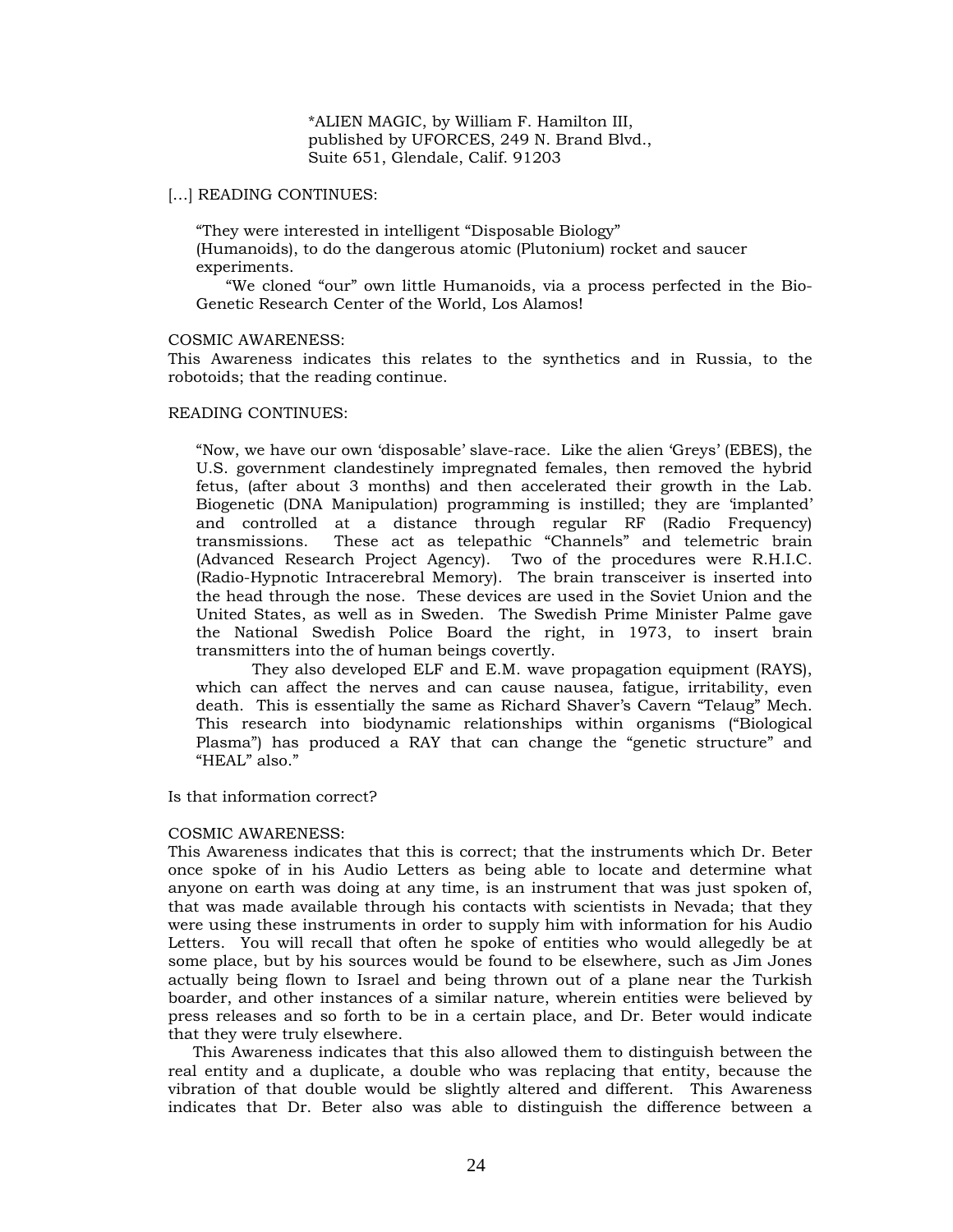\*ALIEN MAGIC, by William F. Hamilton III, published by UFORCES, 249 N. Brand Blvd., Suite 651, Glendale, Calif. 91203

#### [...] READING CONTINUES:

"They were interested in intelligent "Disposable Biology" (Humanoids), to do the dangerous atomic (Plutonium) rocket and saucer experiments.

 "We cloned "our" own little Humanoids, via a process perfected in the Bio-Genetic Research Center of the World, Los Alamos!

#### COSMIC AWARENESS:

This Awareness indicates this relates to the synthetics and in Russia, to the robotoids; that the reading continue.

#### READING CONTINUES:

"Now, we have our own 'disposable' slave-race. Like the alien 'Greys' (EBES), the U.S. government clandestinely impregnated females, then removed the hybrid fetus, (after about 3 months) and then accelerated their growth in the Lab. Biogenetic (DNA Manipulation) programming is instilled; they are 'implanted' and controlled at a distance through regular RF (Radio Frequency) transmissions. These act as telepathic "Channels" and telemetric brain (Advanced Research Project Agency). Two of the procedures were R.H.I.C. (Radio-Hypnotic Intracerebral Memory). The brain transceiver is inserted into the head through the nose. These devices are used in the Soviet Union and the United States, as well as in Sweden. The Swedish Prime Minister Palme gave the National Swedish Police Board the right, in 1973, to insert brain transmitters into the of human beings covertly.

They also developed ELF and E.M. wave propagation equipment (RAYS), which can affect the nerves and can cause nausea, fatigue, irritability, even death. This is essentially the same as Richard Shaver's Cavern "Telaug" Mech. This research into biodynamic relationships within organisms ("Biological Plasma") has produced a RAY that can change the "genetic structure" and "HEAL" also."

Is that information correct?

#### COSMIC AWARENESS:

This Awareness indicates that this is correct; that the instruments which Dr. Beter once spoke of in his Audio Letters as being able to locate and determine what anyone on earth was doing at any time, is an instrument that was just spoken of, that was made available through his contacts with scientists in Nevada; that they were using these instruments in order to supply him with information for his Audio Letters. You will recall that often he spoke of entities who would allegedly be at some place, but by his sources would be found to be elsewhere, such as Jim Jones actually being flown to Israel and being thrown out of a plane near the Turkish boarder, and other instances of a similar nature, wherein entities were believed by press releases and so forth to be in a certain place, and Dr. Beter would indicate that they were truly elsewhere.

 This Awareness indicates that this also allowed them to distinguish between the real entity and a duplicate, a double who was replacing that entity, because the vibration of that double would be slightly altered and different. This Awareness indicates that Dr. Beter also was able to distinguish the difference between a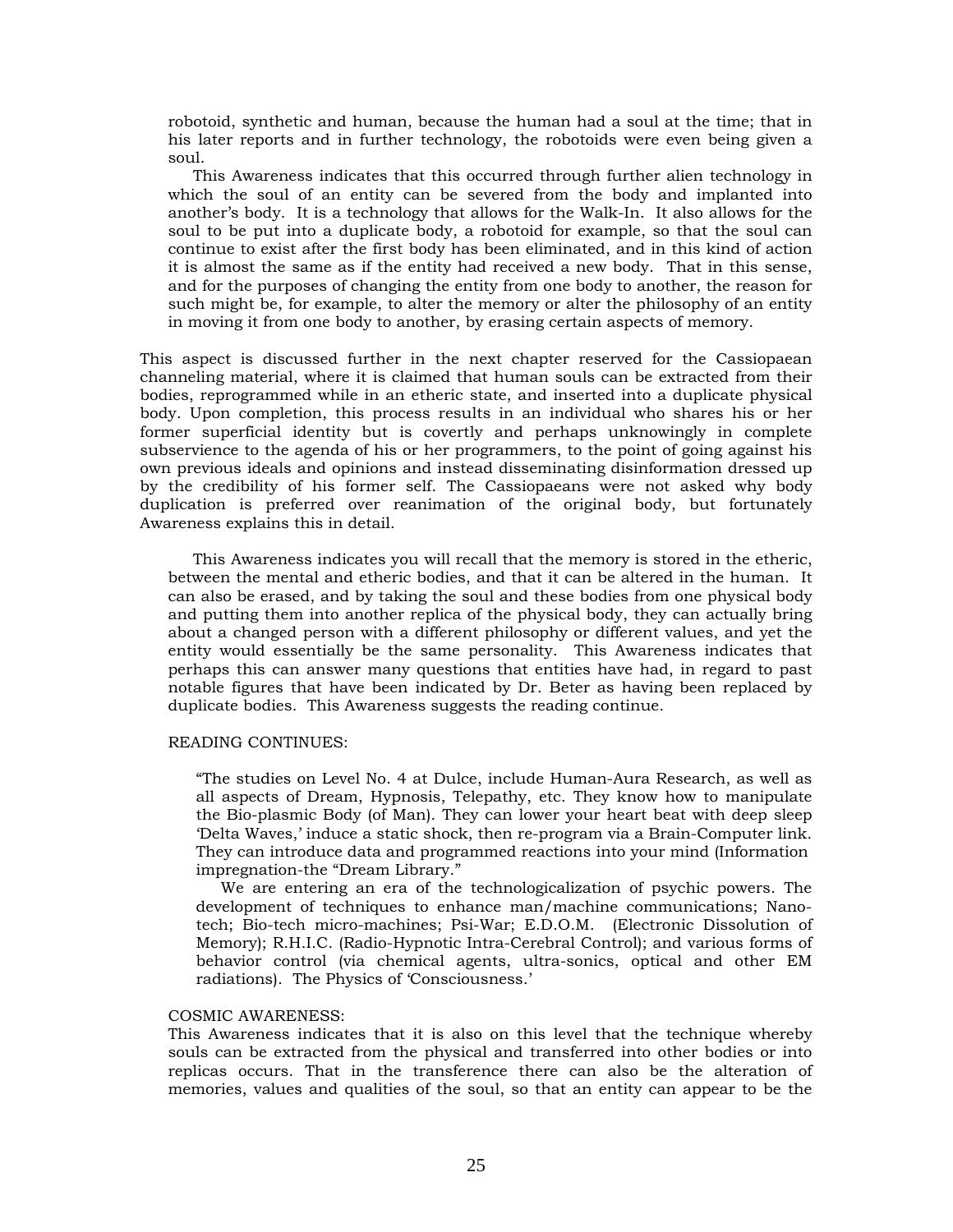robotoid, synthetic and human, because the human had a soul at the time; that in his later reports and in further technology, the robotoids were even being given a soul.

 This Awareness indicates that this occurred through further alien technology in which the soul of an entity can be severed from the body and implanted into another's body. It is a technology that allows for the Walk-In. It also allows for the soul to be put into a duplicate body, a robotoid for example, so that the soul can continue to exist after the first body has been eliminated, and in this kind of action it is almost the same as if the entity had received a new body. That in this sense, and for the purposes of changing the entity from one body to another, the reason for such might be, for example, to alter the memory or alter the philosophy of an entity in moving it from one body to another, by erasing certain aspects of memory.

This aspect is discussed further in the next chapter reserved for the Cassiopaean channeling material, where it is claimed that human souls can be extracted from their bodies, reprogrammed while in an etheric state, and inserted into a duplicate physical body. Upon completion, this process results in an individual who shares his or her former superficial identity but is covertly and perhaps unknowingly in complete subservience to the agenda of his or her programmers, to the point of going against his own previous ideals and opinions and instead disseminating disinformation dressed up by the credibility of his former self. The Cassiopaeans were not asked why body duplication is preferred over reanimation of the original body, but fortunately Awareness explains this in detail.

 This Awareness indicates you will recall that the memory is stored in the etheric, between the mental and etheric bodies, and that it can be altered in the human. It can also be erased, and by taking the soul and these bodies from one physical body and putting them into another replica of the physical body, they can actually bring about a changed person with a different philosophy or different values, and yet the entity would essentially be the same personality. This Awareness indicates that perhaps this can answer many questions that entities have had, in regard to past notable figures that have been indicated by Dr. Beter as having been replaced by duplicate bodies. This Awareness suggests the reading continue.

#### READING CONTINUES:

"The studies on Level No. 4 at Dulce, include Human-Aura Research, as well as all aspects of Dream, Hypnosis, Telepathy, etc. They know how to manipulate the Bio-plasmic Body (of Man). They can lower your heart beat with deep sleep 'Delta Waves,' induce a static shock, then re-program via a Brain-Computer link. They can introduce data and programmed reactions into your mind (Information impregnation-the "Dream Library."

 We are entering an era of the technologicalization of psychic powers. The development of techniques to enhance man/machine communications; Nanotech; Bio-tech micro-machines; Psi-War; E.D.O.M. (Electronic Dissolution of Memory); R.H.I.C. (Radio-Hypnotic Intra-Cerebral Control); and various forms of behavior control (via chemical agents, ultra-sonics, optical and other EM radiations). The Physics of 'Consciousness.'

#### COSMIC AWARENESS:

This Awareness indicates that it is also on this level that the technique whereby souls can be extracted from the physical and transferred into other bodies or into replicas occurs. That in the transference there can also be the alteration of memories, values and qualities of the soul, so that an entity can appear to be the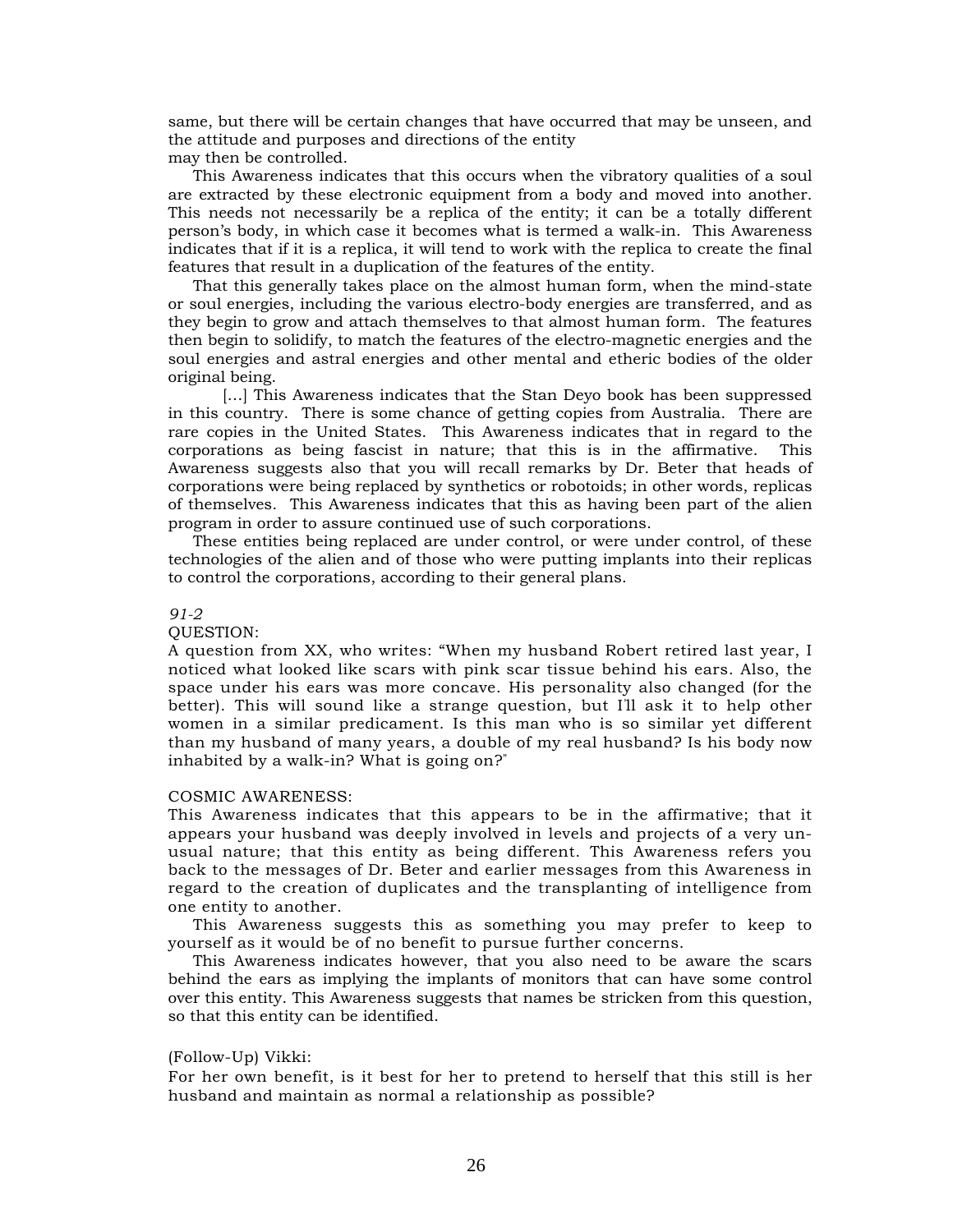same, but there will be certain changes that have occurred that may be unseen, and the attitude and purposes and directions of the entity may then be controlled.

 This Awareness indicates that this occurs when the vibratory qualities of a soul are extracted by these electronic equipment from a body and moved into another. This needs not necessarily be a replica of the entity; it can be a totally different person's body, in which case it becomes what is termed a walk-in. This Awareness indicates that if it is a replica, it will tend to work with the replica to create the final features that result in a duplication of the features of the entity.

 That this generally takes place on the almost human form, when the mind-state or soul energies, including the various electro-body energies are transferred, and as they begin to grow and attach themselves to that almost human form. The features then begin to solidify, to match the features of the electro-magnetic energies and the soul energies and astral energies and other mental and etheric bodies of the older original being.

[...] This Awareness indicates that the Stan Devo book has been suppressed in this country. There is some chance of getting copies from Australia. There are rare copies in the United States. This Awareness indicates that in regard to the corporations as being fascist in nature; that this is in the affirmative. This Awareness suggests also that you will recall remarks by Dr. Beter that heads of corporations were being replaced by synthetics or robotoids; in other words, replicas of themselves. This Awareness indicates that this as having been part of the alien program in order to assure continued use of such corporations.

 These entities being replaced are under control, or were under control, of these technologies of the alien and of those who were putting implants into their replicas to control the corporations, according to their general plans.

#### *91-2*

#### QUESTION:

A question from XX, who writes: "When my husband Robert retired last year, I noticed what looked like scars with pink scar tissue behind his ears. Also, the space under his ears was more concave. His personality also changed (for the better). This will sound like a strange question, but I' ll ask it to help other women in a similar predicament. Is this man who is so similar yet different than my husband of many years, a double of my real husband? Is his body now inhabited by a walk-in? What is going on?"

#### COSMIC AWARENESS:

This Awareness indicates that this appears to be in the affirmative; that it appears your husband was deeply involved in levels and projects of a very unusual nature; that this entity as being different. This Awareness refers you back to the messages of Dr. Beter and earlier messages from this Awareness in regard to the creation of duplicates and the transplanting of intelligence from one entity to another.

 This Awareness suggests this as something you may prefer to keep to yourself as it would be of no benefit to pursue further concerns.

 This Awareness indicates however, that you also need to be aware the scars behind the ears as implying the implants of monitors that can have some control over this entity. This Awareness suggests that names be stricken from this question, so that this entity can be identified.

#### (Follow-Up) Vikki:

For her own benefit, is it best for her to pretend to herself that this still is her husband and maintain as normal a relationship as possible?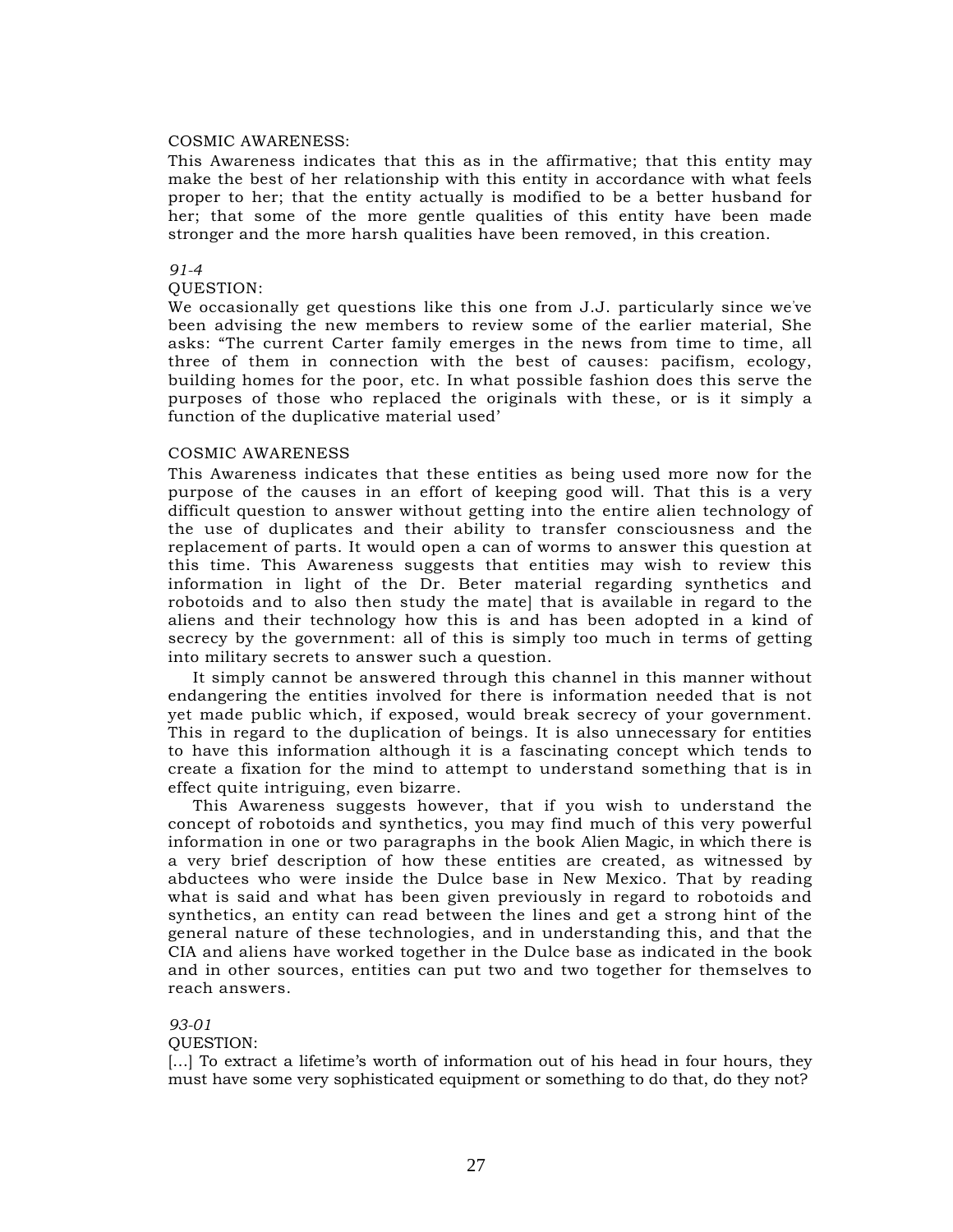#### COSMIC AWARENESS:

This Awareness indicates that this as in the affirmative; that this entity may make the best of her relationship with this entity in accordance with what feels proper to her; that the entity actually is modified to be a better husband for her; that some of the more gentle qualities of this entity have been made stronger and the more harsh qualities have been removed, in this creation.

#### *91-4*

#### QUESTION:

We occasionally get questions like this one from J.J. particularly since we' ve been advising the new members to review some of the earlier material, She asks: "The current Carter family emerges in the news from time to time, all three of them in connection with the best of causes: pacifism, ecology, building homes for the poor, etc. In what possible fashion does this serve the purposes of those who replaced the originals with these, or is it simply a function of the duplicative material used'

#### COSMIC AWARENESS

This Awareness indicates that these entities as being used more now for the purpose of the causes in an effort of keeping good will. That this is a very difficult question to answer without getting into the entire alien technology of the use of duplicates and their ability to transfer consciousness and the replacement of parts. It would open a can of worms to answer this question at this time. This Awareness suggests that entities may wish to review this information in light of the Dr. Beter material regarding synthetics and robotoids and to also then study the mate] that is available in regard to the aliens and their technology how this is and has been adopted in a kind of secrecy by the government: all of this is simply too much in terms of getting into military secrets to answer such a question.

 It simply cannot be answered through this channel in this manner without endangering the entities involved for there is information needed that is not yet made public which, if exposed, would break secrecy of your government. This in regard to the duplication of beings. It is also unnecessary for entities to have this information although it is a fascinating concept which tends to create a fixation for the mind to attempt to understand something that is in effect quite intriguing, even bizarre.

 This Awareness suggests however, that if you wish to understand the concept of robotoids and synthetics, you may find much of this very powerful information in one or two paragraphs in the book Alien Magic, in which there is a very brief description of how these entities are created, as witnessed by abductees who were inside the Dulce base in New Mexico. That by reading what is said and what has been given previously in regard to robotoids and synthetics, an entity can read between the lines and get a strong hint of the general nature of these technologies, and in understanding this, and that the CIA and aliens have worked together in the Dulce base as indicated in the book and in other sources, entities can put two and two together for themselves to reach answers.

#### *93-01*

#### QUESTION:

[...] To extract a lifetime's worth of information out of his head in four hours, they must have some very sophisticated equipment or something to do that, do they not?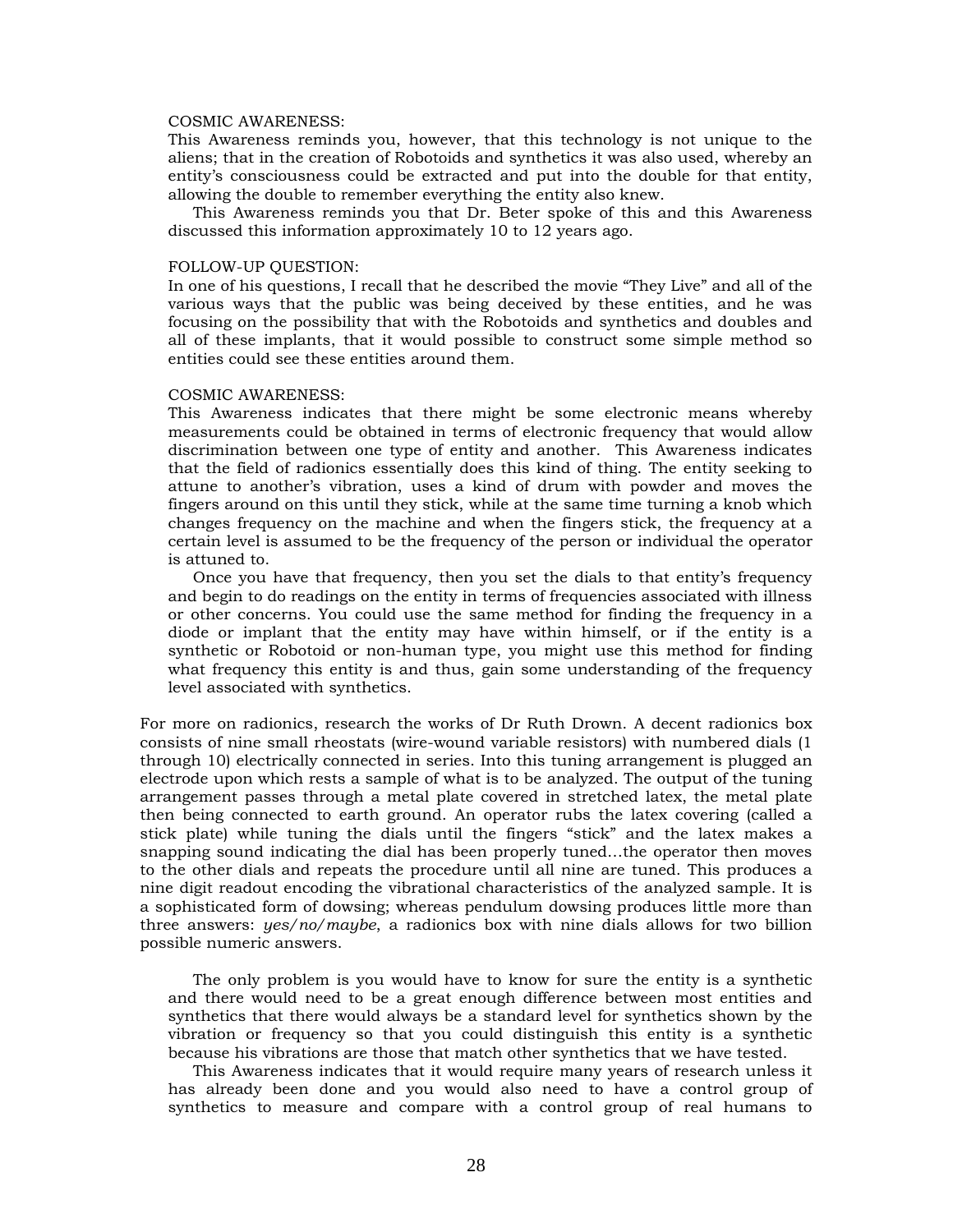#### COSMIC AWARENESS:

This Awareness reminds you, however, that this technology is not unique to the aliens; that in the creation of Robotoids and synthetics it was also used, whereby an entity's consciousness could be extracted and put into the double for that entity, allowing the double to remember everything the entity also knew.

 This Awareness reminds you that Dr. Beter spoke of this and this Awareness discussed this information approximately 10 to 12 years ago.

#### FOLLOW-UP QUESTION:

In one of his questions, I recall that he described the movie "They Live" and all of the various ways that the public was being deceived by these entities, and he was focusing on the possibility that with the Robotoids and synthetics and doubles and all of these implants, that it would possible to construct some simple method so entities could see these entities around them.

#### COSMIC AWARENESS:

This Awareness indicates that there might be some electronic means whereby measurements could be obtained in terms of electronic frequency that would allow discrimination between one type of entity and another. This Awareness indicates that the field of radionics essentially does this kind of thing. The entity seeking to attune to another's vibration, uses a kind of drum with powder and moves the fingers around on this until they stick, while at the same time turning a knob which changes frequency on the machine and when the fingers stick, the frequency at a certain level is assumed to be the frequency of the person or individual the operator is attuned to.

 Once you have that frequency, then you set the dials to that entity's frequency and begin to do readings on the entity in terms of frequencies associated with illness or other concerns. You could use the same method for finding the frequency in a diode or implant that the entity may have within himself, or if the entity is a synthetic or Robotoid or non-human type, you might use this method for finding what frequency this entity is and thus, gain some understanding of the frequency level associated with synthetics.

For more on radionics, research the works of Dr Ruth Drown. A decent radionics box consists of nine small rheostats (wire-wound variable resistors) with numbered dials (1 through 10) electrically connected in series. Into this tuning arrangement is plugged an electrode upon which rests a sample of what is to be analyzed. The output of the tuning arrangement passes through a metal plate covered in stretched latex, the metal plate then being connected to earth ground. An operator rubs the latex covering (called a stick plate) while tuning the dials until the fingers "stick" and the latex makes a snapping sound indicating the dial has been properly tuned…the operator then moves to the other dials and repeats the procedure until all nine are tuned. This produces a nine digit readout encoding the vibrational characteristics of the analyzed sample. It is a sophisticated form of dowsing; whereas pendulum dowsing produces little more than three answers: *yes/no/maybe*, a radionics box with nine dials allows for two billion possible numeric answers.

 The only problem is you would have to know for sure the entity is a synthetic and there would need to be a great enough difference between most entities and synthetics that there would always be a standard level for synthetics shown by the vibration or frequency so that you could distinguish this entity is a synthetic because his vibrations are those that match other synthetics that we have tested.

 This Awareness indicates that it would require many years of research unless it has already been done and you would also need to have a control group of synthetics to measure and compare with a control group of real humans to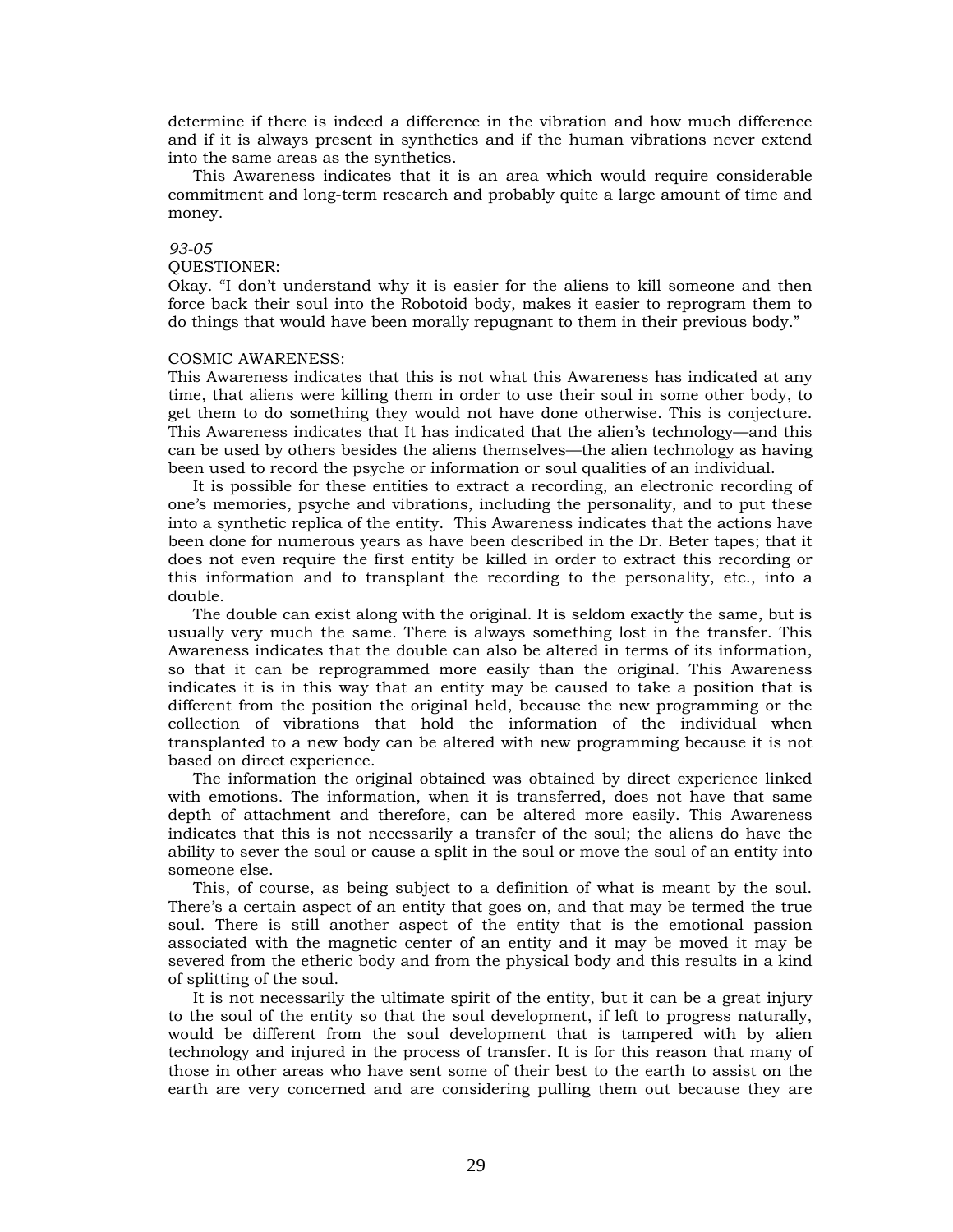determine if there is indeed a difference in the vibration and how much difference and if it is always present in synthetics and if the human vibrations never extend into the same areas as the synthetics.

 This Awareness indicates that it is an area which would require considerable commitment and long-term research and probably quite a large amount of time and money.

#### *93-05*

#### QUESTIONER:

Okay. "I don't understand why it is easier for the aliens to kill someone and then force back their soul into the Robotoid body, makes it easier to reprogram them to do things that would have been morally repugnant to them in their previous body."

#### COSMIC AWARENESS:

This Awareness indicates that this is not what this Awareness has indicated at any time, that aliens were killing them in order to use their soul in some other body, to get them to do something they would not have done otherwise. This is conjecture. This Awareness indicates that It has indicated that the alien's technology—and this can be used by others besides the aliens themselves—the alien technology as having been used to record the psyche or information or soul qualities of an individual.

 It is possible for these entities to extract a recording, an electronic recording of one's memories, psyche and vibrations, including the personality, and to put these into a synthetic replica of the entity. This Awareness indicates that the actions have been done for numerous years as have been described in the Dr. Beter tapes; that it does not even require the first entity be killed in order to extract this recording or this information and to transplant the recording to the personality, etc., into a double.

 The double can exist along with the original. It is seldom exactly the same, but is usually very much the same. There is always something lost in the transfer. This Awareness indicates that the double can also be altered in terms of its information, so that it can be reprogrammed more easily than the original. This Awareness indicates it is in this way that an entity may be caused to take a position that is different from the position the original held, because the new programming or the collection of vibrations that hold the information of the individual when transplanted to a new body can be altered with new programming because it is not based on direct experience.

 The information the original obtained was obtained by direct experience linked with emotions. The information, when it is transferred, does not have that same depth of attachment and therefore, can be altered more easily. This Awareness indicates that this is not necessarily a transfer of the soul; the aliens do have the ability to sever the soul or cause a split in the soul or move the soul of an entity into someone else.

 This, of course, as being subject to a definition of what is meant by the soul. There's a certain aspect of an entity that goes on, and that may be termed the true soul. There is still another aspect of the entity that is the emotional passion associated with the magnetic center of an entity and it may be moved it may be severed from the etheric body and from the physical body and this results in a kind of splitting of the soul.

 It is not necessarily the ultimate spirit of the entity, but it can be a great injury to the soul of the entity so that the soul development, if left to progress naturally, would be different from the soul development that is tampered with by alien technology and injured in the process of transfer. It is for this reason that many of those in other areas who have sent some of their best to the earth to assist on the earth are very concerned and are considering pulling them out because they are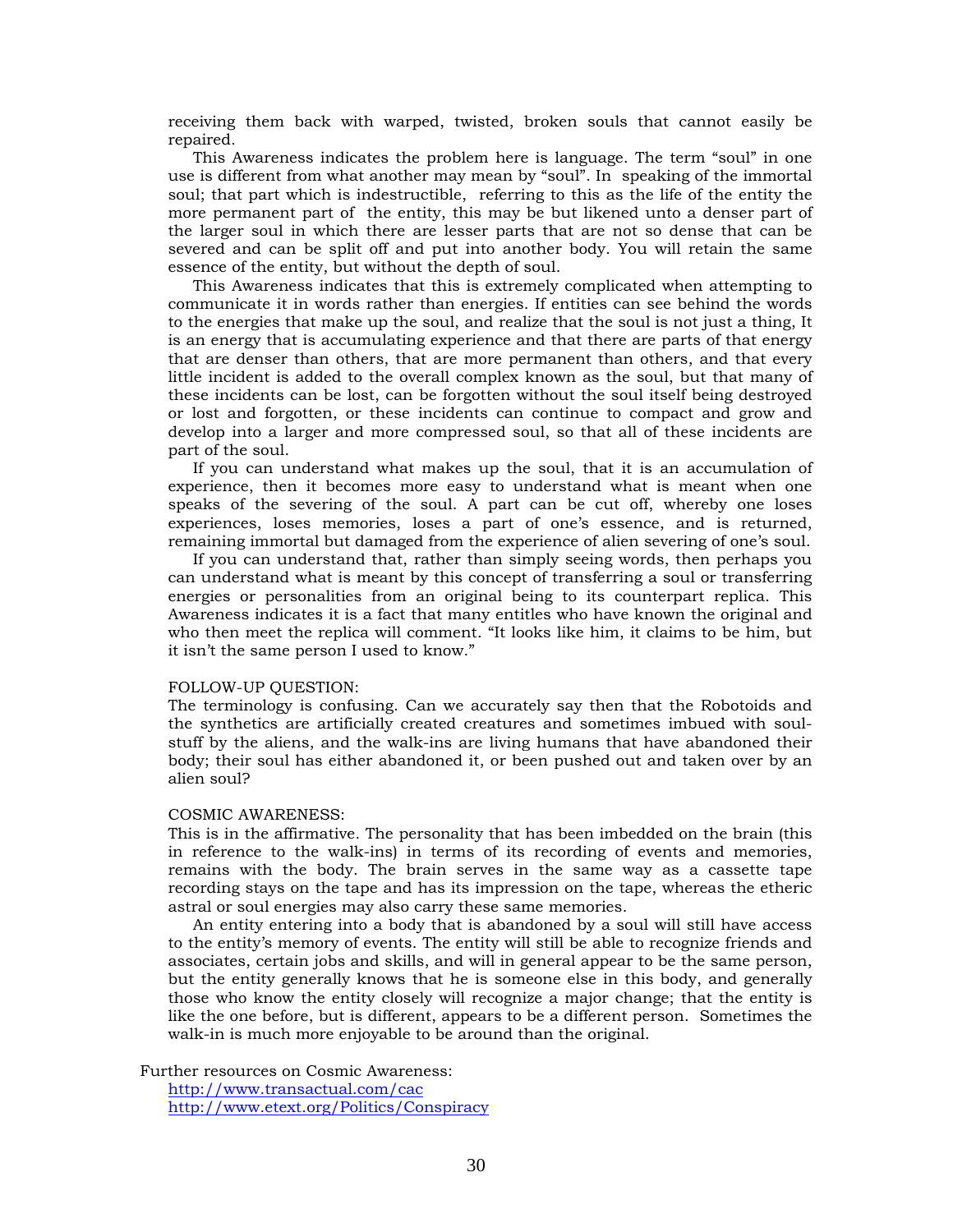receiving them back with warped, twisted, broken souls that cannot easily be repaired.

 This Awareness indicates the problem here is language. The term "soul" in one use is different from what another may mean by "soul". In speaking of the immortal soul; that part which is indestructible, referring to this as the life of the entity the more permanent part of the entity, this may be but likened unto a denser part of the larger soul in which there are lesser parts that are not so dense that can be severed and can be split off and put into another body. You will retain the same essence of the entity, but without the depth of soul.

 This Awareness indicates that this is extremely complicated when attempting to communicate it in words rather than energies. If entities can see behind the words to the energies that make up the soul, and realize that the soul is not just a thing, It is an energy that is accumulating experience and that there are parts of that energy that are denser than others, that are more permanent than others, and that every little incident is added to the overall complex known as the soul, but that many of these incidents can be lost, can be forgotten without the soul itself being destroyed or lost and forgotten, or these incidents can continue to compact and grow and develop into a larger and more compressed soul, so that all of these incidents are part of the soul.

 If you can understand what makes up the soul, that it is an accumulation of experience, then it becomes more easy to understand what is meant when one speaks of the severing of the soul. A part can be cut off, whereby one loses experiences, loses memories, loses a part of one's essence, and is returned, remaining immortal but damaged from the experience of alien severing of one's soul.

 If you can understand that, rather than simply seeing words, then perhaps you can understand what is meant by this concept of transferring a soul or transferring energies or personalities from an original being to its counterpart replica. This Awareness indicates it is a fact that many entitles who have known the original and who then meet the replica will comment. "It looks like him, it claims to be him, but it isn't the same person I used to know."

#### FOLLOW-UP QUESTION:

The terminology is confusing. Can we accurately say then that the Robotoids and the synthetics are artificially created creatures and sometimes imbued with soulstuff by the aliens, and the walk-ins are living humans that have abandoned their body; their soul has either abandoned it, or been pushed out and taken over by an alien soul?

#### COSMIC AWARENESS:

This is in the affirmative. The personality that has been imbedded on the brain (this in reference to the walk-ins) in terms of its recording of events and memories, remains with the body. The brain serves in the same way as a cassette tape recording stays on the tape and has its impression on the tape, whereas the etheric astral or soul energies may also carry these same memories.

 An entity entering into a body that is abandoned by a soul will still have access to the entity's memory of events. The entity will still be able to recognize friends and associates, certain jobs and skills, and will in general appear to be the same person, but the entity generally knows that he is someone else in this body, and generally those who know the entity closely will recognize a major change; that the entity is like the one before, but is different, appears to be a different person. Sometimes the walk-in is much more enjoyable to be around than the original.

Further resources on Cosmic Awareness:

<http://www.transactual.com/cac> <http://www.etext.org/Politics/Conspiracy>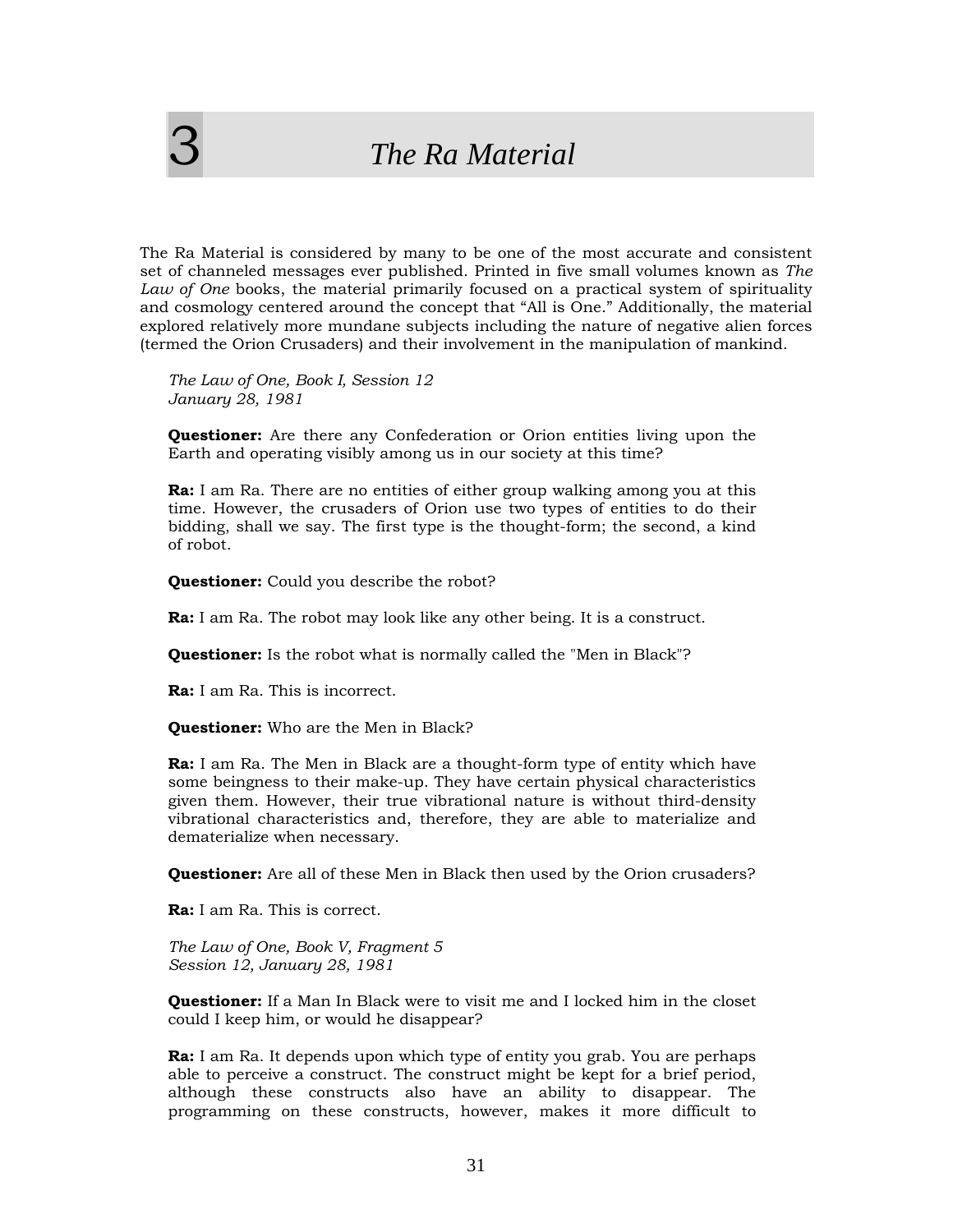The Ra Material is considered by many to be one of the most accurate and consistent set of channeled messages ever published. Printed in five small volumes known as *The Law of One* books, the material primarily focused on a practical system of spirituality and cosmology centered around the concept that "All is One." Additionally, the material explored relatively more mundane subjects including the nature of negative alien forces (termed the Orion Crusaders) and their involvement in the manipulation of mankind.

*The Law of One, Book I, Session 12 January 28, 1981*

**Questioner:** Are there any Confederation or Orion entities living upon the Earth and operating visibly among us in our society at this time?

**Ra:** I am Ra. There are no entities of either group walking among you at this time. However, the crusaders of Orion use two types of entities to do their bidding, shall we say. The first type is the thought-form; the second, a kind of robot.

**Questioner:** Could you describe the robot?

**Ra:** I am Ra. The robot may look like any other being. It is a construct.

**Questioner:** Is the robot what is normally called the "Men in Black"?

**Ra:** I am Ra. This is incorrect.

**Questioner:** Who are the Men in Black?

**Ra:** I am Ra. The Men in Black are a thought-form type of entity which have some beingness to their make-up. They have certain physical characteristics given them. However, their true vibrational nature is without third-density vibrational characteristics and, therefore, they are able to materialize and dematerialize when necessary.

**Questioner:** Are all of these Men in Black then used by the Orion crusaders?

**Ra:** I am Ra. This is correct.

*The Law of One, Book V, Fragment 5 Session 12, January 28, 1981*

**Questioner:** If a Man In Black were to visit me and I locked him in the closet could I keep him, or would he disappear?

**Ra:** I am Ra. It depends upon which type of entity you grab. You are perhaps able to perceive a construct. The construct might be kept for a brief period, although these constructs also have an ability to disappear. The programming on these constructs, however, makes it more difficult to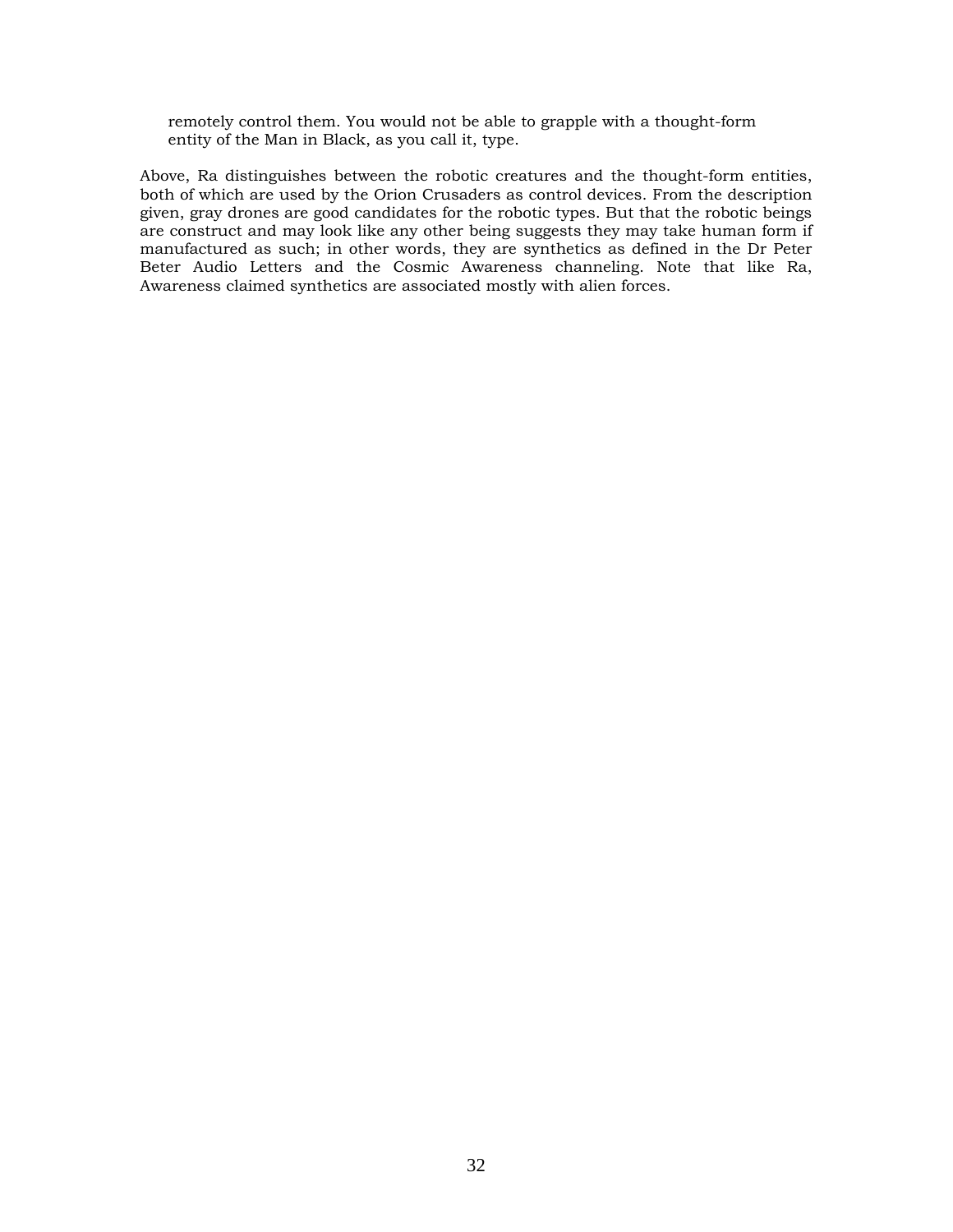remotely control them. You would not be able to grapple with a thought-form entity of the Man in Black, as you call it, type.

Above, Ra distinguishes between the robotic creatures and the thought-form entities, both of which are used by the Orion Crusaders as control devices. From the description given, gray drones are good candidates for the robotic types. But that the robotic beings are construct and may look like any other being suggests they may take human form if manufactured as such; in other words, they are synthetics as defined in the Dr Peter Beter Audio Letters and the Cosmic Awareness channeling. Note that like Ra, Awareness claimed synthetics are associated mostly with alien forces.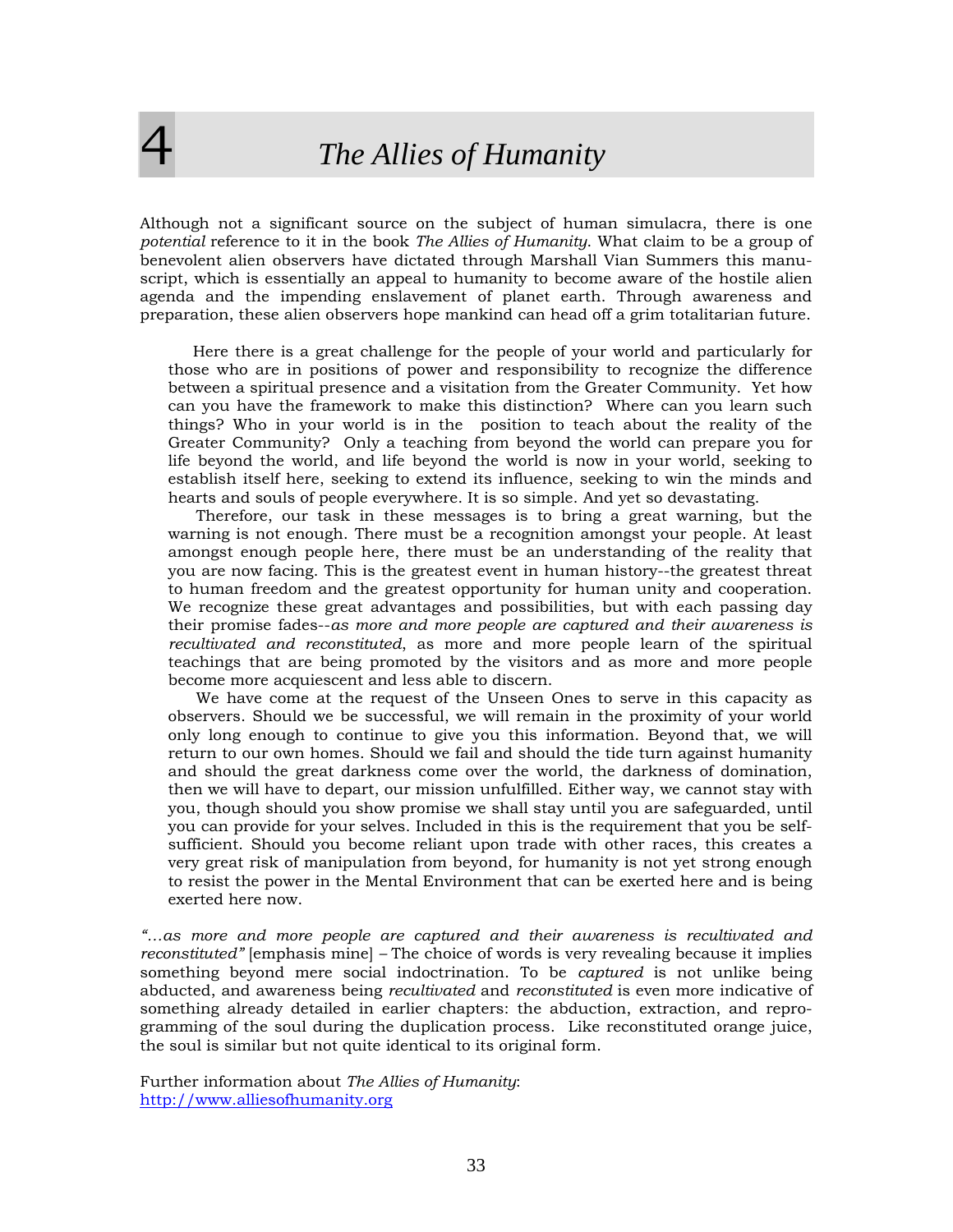Although not a significant source on the subject of human simulacra, there is one *potential* reference to it in the book *The Allies of Humanity*. What claim to be a group of benevolent alien observers have dictated through Marshall Vian Summers this manuscript, which is essentially an appeal to humanity to become aware of the hostile alien agenda and the impending enslavement of planet earth. Through awareness and preparation, these alien observers hope mankind can head off a grim totalitarian future.

 Here there is a great challenge for the people of your world and particularly for those who are in positions of power and responsibility to recognize the difference between a spiritual presence and a visitation from the Greater Community. Yet how can you have the framework to make this distinction? Where can you learn such things? Who in your world is in the position to teach about the reality of the Greater Community? Only a teaching from beyond the world can prepare you for life beyond the world, and life beyond the world is now in your world, seeking to establish itself here, seeking to extend its influence, seeking to win the minds and hearts and souls of people everywhere. It is so simple. And yet so devastating.

 Therefore, our task in these messages is to bring a great warning, but the warning is not enough. There must be a recognition amongst your people. At least amongst enough people here, there must be an understanding of the reality that you are now facing. This is the greatest event in human history--the greatest threat to human freedom and the greatest opportunity for human unity and cooperation. We recognize these great advantages and possibilities, but with each passing day their promise fades--*as more and more people are captured and their awareness is recultivated and reconstituted*, as more and more people learn of the spiritual teachings that are being promoted by the visitors and as more and more people become more acquiescent and less able to discern.

 We have come at the request of the Unseen Ones to serve in this capacity as observers. Should we be successful, we will remain in the proximity of your world only long enough to continue to give you this information. Beyond that, we will return to our own homes. Should we fail and should the tide turn against humanity and should the great darkness come over the world, the darkness of domination, then we will have to depart, our mission unfulfilled. Either way, we cannot stay with you, though should you show promise we shall stay until you are safeguarded, until you can provide for your selves. Included in this is the requirement that you be selfsufficient. Should you become reliant upon trade with other races, this creates a very great risk of manipulation from beyond, for humanity is not yet strong enough to resist the power in the Mental Environment that can be exerted here and is being exerted here now.

*"…as more and more people are captured and their awareness is recultivated and reconstituted"* [emphasis mine] *–* The choice of words is very revealing because it implies something beyond mere social indoctrination. To be *captured* is not unlike being abducted, and awareness being *recultivated* and *reconstituted* is even more indicative of something already detailed in earlier chapters: the abduction, extraction, and reprogramming of the soul during the duplication process. Like reconstituted orange juice, the soul is similar but not quite identical to its original form.

Further information about *The Allies of Humanity*: [http://www.alliesofhumanity.org](http://www.alliesofhumanity.org/)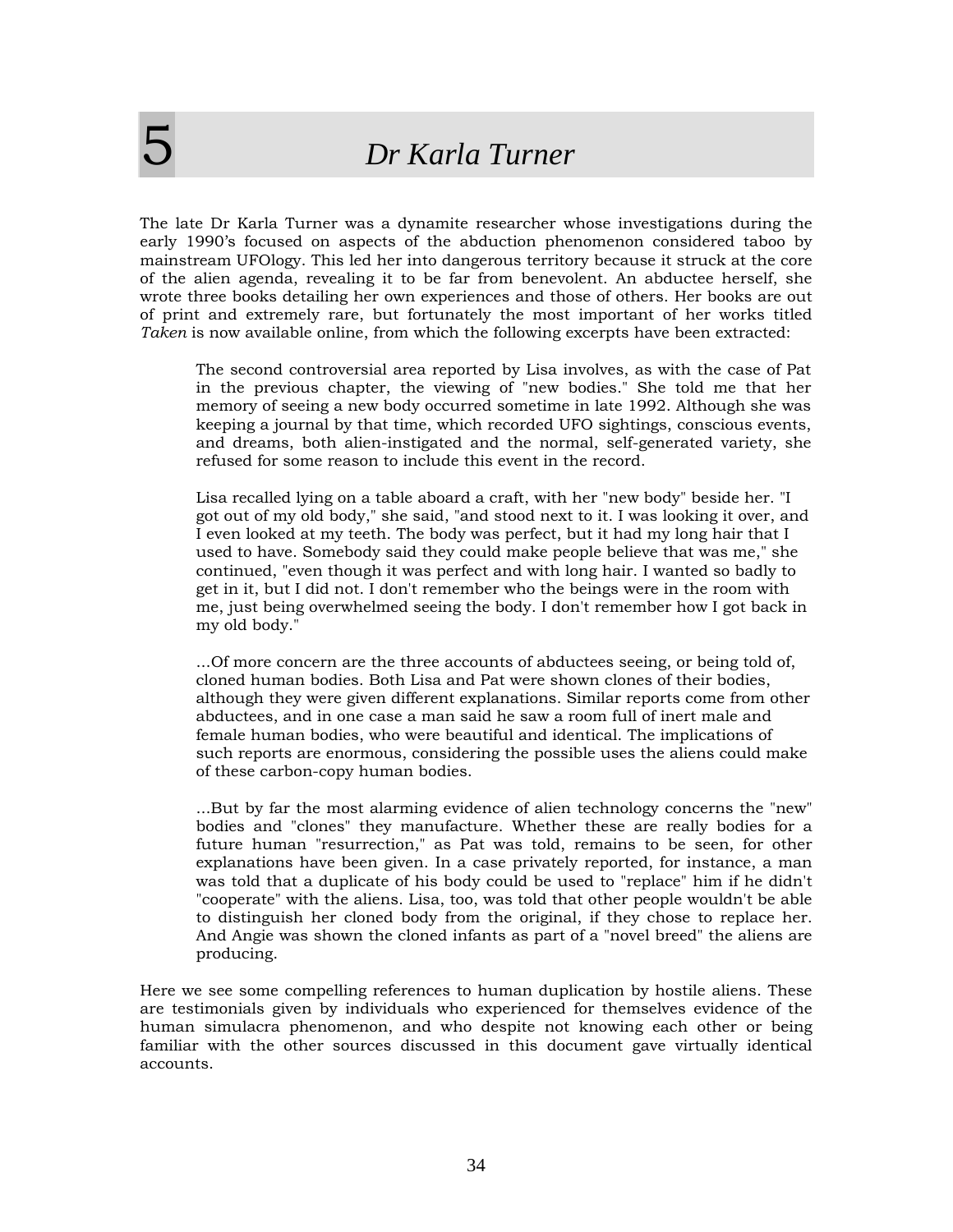The late Dr Karla Turner was a dynamite researcher whose investigations during the early 1990's focused on aspects of the abduction phenomenon considered taboo by mainstream UFOlogy. This led her into dangerous territory because it struck at the core of the alien agenda, revealing it to be far from benevolent. An abductee herself, she wrote three books detailing her own experiences and those of others. Her books are out of print and extremely rare, but fortunately the most important of her works titled *Taken* is now available online, from which the following excerpts have been extracted:

The second controversial area reported by Lisa involves, as with the case of Pat in the previous chapter, the viewing of "new bodies." She told me that her memory of seeing a new body occurred sometime in late 1992. Although she was keeping a journal by that time, which recorded UFO sightings, conscious events, and dreams, both alien-instigated and the normal, self-generated variety, she refused for some reason to include this event in the record.

Lisa recalled lying on a table aboard a craft, with her "new body" beside her. "I got out of my old body," she said, "and stood next to it. I was looking it over, and I even looked at my teeth. The body was perfect, but it had my long hair that I used to have. Somebody said they could make people believe that was me," she continued, "even though it was perfect and with long hair. I wanted so badly to get in it, but I did not. I don't remember who the beings were in the room with me, just being overwhelmed seeing the body. I don't remember how I got back in my old body."

...Of more concern are the three accounts of abductees seeing, or being told of, cloned human bodies. Both Lisa and Pat were shown clones of their bodies, although they were given different explanations. Similar reports come from other abductees, and in one case a man said he saw a room full of inert male and female human bodies, who were beautiful and identical. The implications of such reports are enormous, considering the possible uses the aliens could make of these carbon-copy human bodies.

...But by far the most alarming evidence of alien technology concerns the "new" bodies and "clones" they manufacture. Whether these are really bodies for a future human "resurrection," as Pat was told, remains to be seen, for other explanations have been given. In a case privately reported, for instance, a man was told that a duplicate of his body could be used to "replace" him if he didn't "cooperate" with the aliens. Lisa, too, was told that other people wouldn't be able to distinguish her cloned body from the original, if they chose to replace her. And Angie was shown the cloned infants as part of a "novel breed" the aliens are producing.

Here we see some compelling references to human duplication by hostile aliens. These are testimonials given by individuals who experienced for themselves evidence of the human simulacra phenomenon, and who despite not knowing each other or being familiar with the other sources discussed in this document gave virtually identical accounts.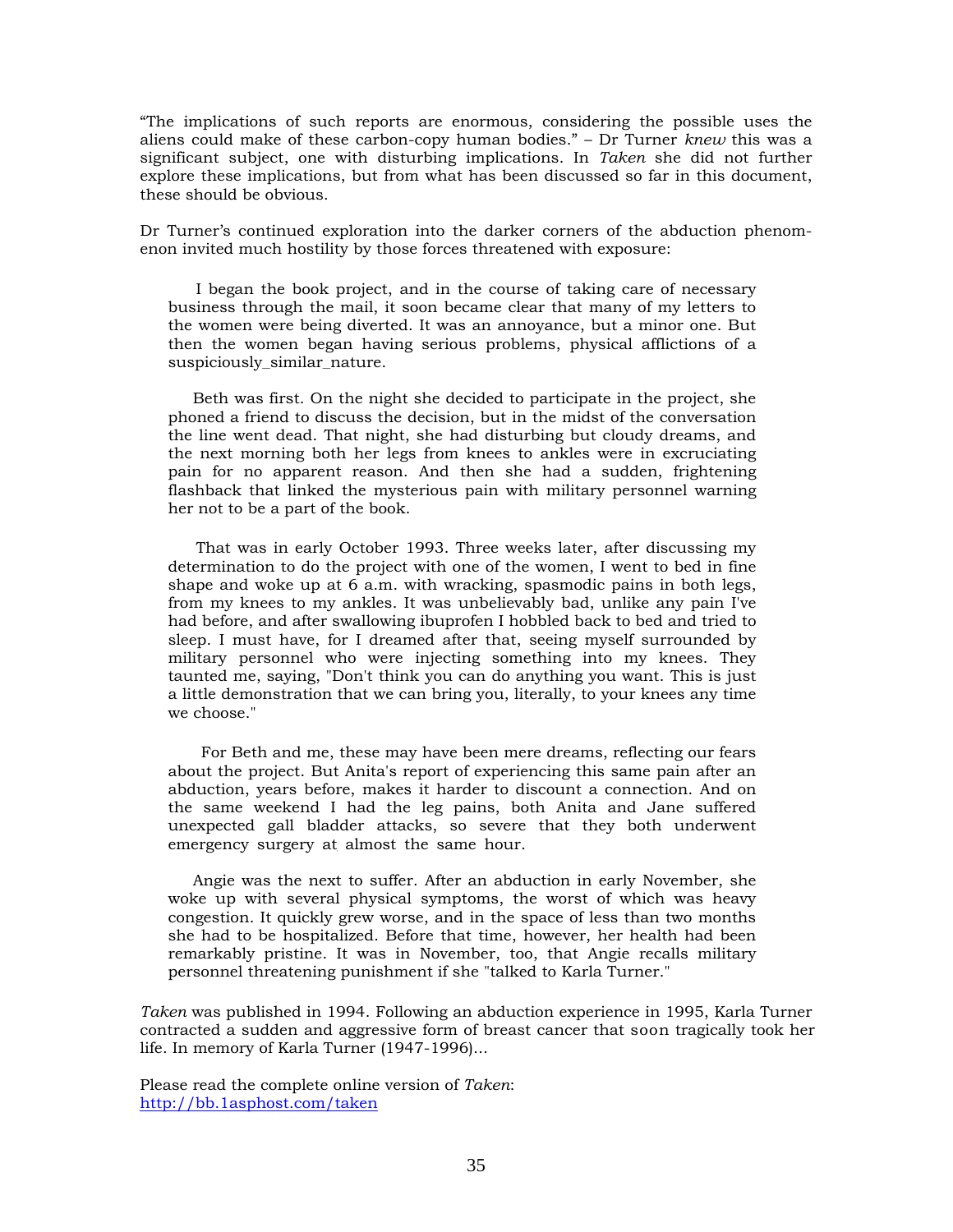"The implications of such reports are enormous, considering the possible uses the aliens could make of these carbon-copy human bodies." – Dr Turner *knew* this was a significant subject, one with disturbing implications. In *Taken* she did not further explore these implications, but from what has been discussed so far in this document, these should be obvious.

Dr Turner's continued exploration into the darker corners of the abduction phenomenon invited much hostility by those forces threatened with exposure:

I began the book project, and in the course of taking care of necessary business through the mail, it soon became clear that many of my letters to the women were being diverted. It was an annoyance, but a minor one. But then the women began having serious problems, physical afflictions of a suspiciously similar nature.

 Beth was first. On the night she decided to participate in the project, she phoned a friend to discuss the decision, but in the midst of the conversation the line went dead. That night, she had disturbing but cloudy dreams, and the next morning both her legs from knees to ankles were in excruciating pain for no apparent reason. And then she had a sudden, frightening flashback that linked the mysterious pain with military personnel warning her not to be a part of the book.

That was in early October 1993. Three weeks later, after discussing my determination to do the project with one of the women, I went to bed in fine shape and woke up at 6 a.m. with wracking, spasmodic pains in both legs, from my knees to my ankles. It was unbelievably bad, unlike any pain I've had before, and after swallowing ibuprofen I hobbled back to bed and tried to sleep. I must have, for I dreamed after that, seeing myself surrounded by military personnel who were injecting something into my knees. They taunted me, saying, "Don't think you can do anything you want. This is just a little demonstration that we can bring you, literally, to your knees any time we choose."

 For Beth and me, these may have been mere dreams, reflecting our fears about the project. But Anita's report of experiencing this same pain after an abduction, years before, makes it harder to discount a connection. And on the same weekend I had the leg pains, both Anita and Jane suffered unexpected gall bladder attacks, so severe that they both underwent emergency surgery at almost the same hour.

 Angie was the next to suffer. After an abduction in early November, she woke up with several physical symptoms, the worst of which was heavy congestion. It quickly grew worse, and in the space of less than two months she had to be hospitalized. Before that time, however, her health had been remarkably pristine. It was in November, too, that Angie recalls military personnel threatening punishment if she "talked to Karla Turner."

*Taken* was published in 1994. Following an abduction experience in 1995, Karla Turner contracted a sudden and aggressive form of breast cancer that soon tragically took her life. In memory of Karla Turner (1947-1996)...

Please read the complete online version of *Taken*: <http://bb.1asphost.com/taken>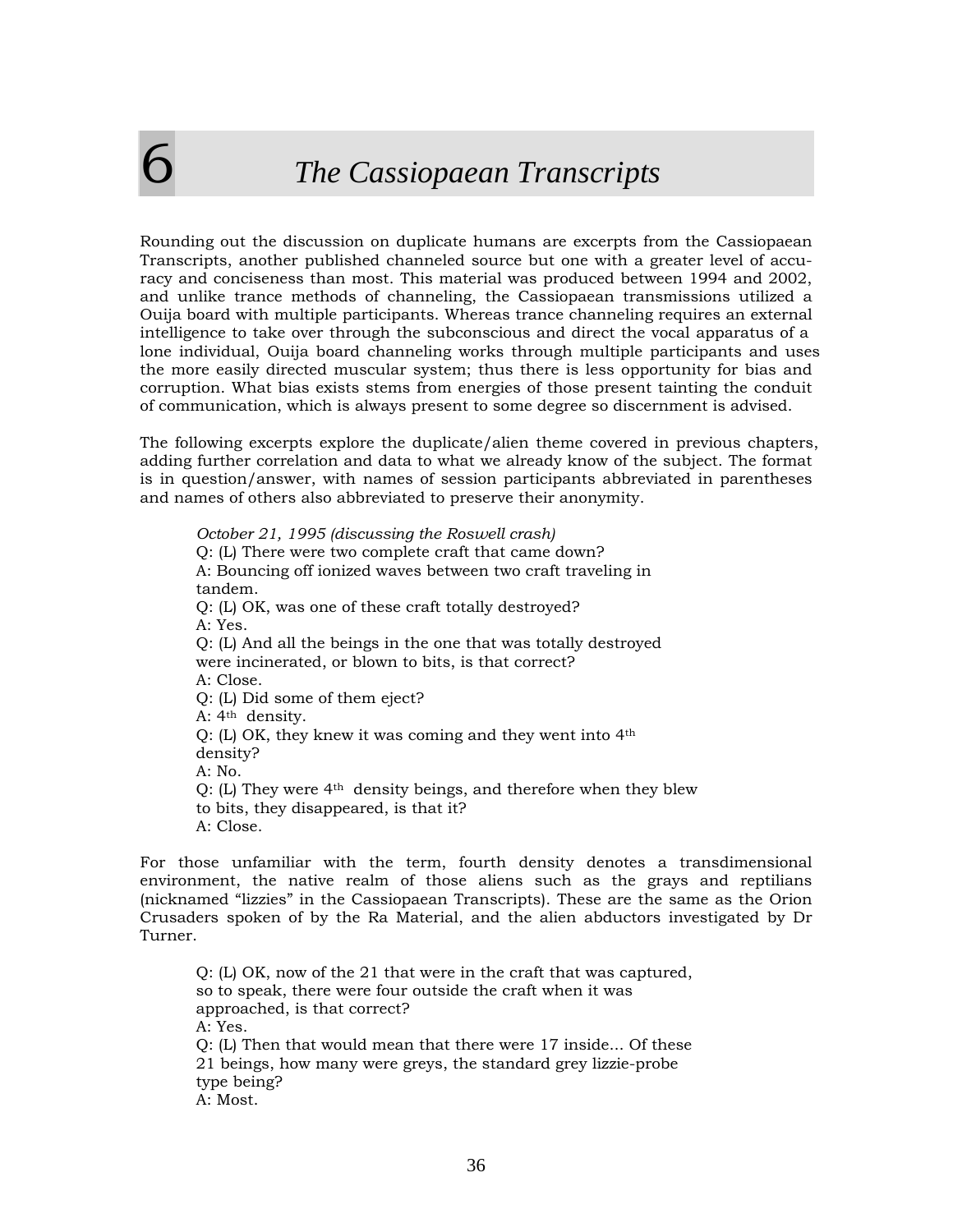Rounding out the discussion on duplicate humans are excerpts from the Cassiopaean Transcripts, another published channeled source but one with a greater level of accuracy and conciseness than most. This material was produced between 1994 and 2002, and unlike trance methods of channeling, the Cassiopaean transmissions utilized a Ouija board with multiple participants. Whereas trance channeling requires an external intelligence to take over through the subconscious and direct the vocal apparatus of a lone individual, Ouija board channeling works through multiple participants and uses the more easily directed muscular system; thus there is less opportunity for bias and corruption. What bias exists stems from energies of those present tainting the conduit of communication, which is always present to some degree so discernment is advised.

The following excerpts explore the duplicate/alien theme covered in previous chapters, adding further correlation and data to what we already know of the subject. The format is in question/answer, with names of session participants abbreviated in parentheses and names of others also abbreviated to preserve their anonymity.

*October 21, 1995 (discussing the Roswell crash)*  Q: (L) There were two complete craft that came down? A: Bouncing off ionized waves between two craft traveling in tandem. Q: (L) OK, was one of these craft totally destroyed? A: Yes. Q: (L) And all the beings in the one that was totally destroyed were incinerated, or blown to bits, is that correct? A: Close. Q: (L) Did some of them eject? A: 4th density. Q: (L) OK, they knew it was coming and they went into  $4<sup>th</sup>$ density? A: No.  $Q: (L)$  They were 4<sup>th</sup> density beings, and therefore when they blew to bits, they disappeared, is that it? A: Close.

For those unfamiliar with the term, fourth density denotes a transdimensional environment, the native realm of those aliens such as the grays and reptilians (nicknamed "lizzies" in the Cassiopaean Transcripts). These are the same as the Orion Crusaders spoken of by the Ra Material, and the alien abductors investigated by Dr Turner.

Q: (L) OK, now of the 21 that were in the craft that was captured, so to speak, there were four outside the craft when it was approached, is that correct? A: Yes. Q: (L) Then that would mean that there were 17 inside... Of these 21 beings, how many were greys, the standard grey lizzie-probe type being? A: Most.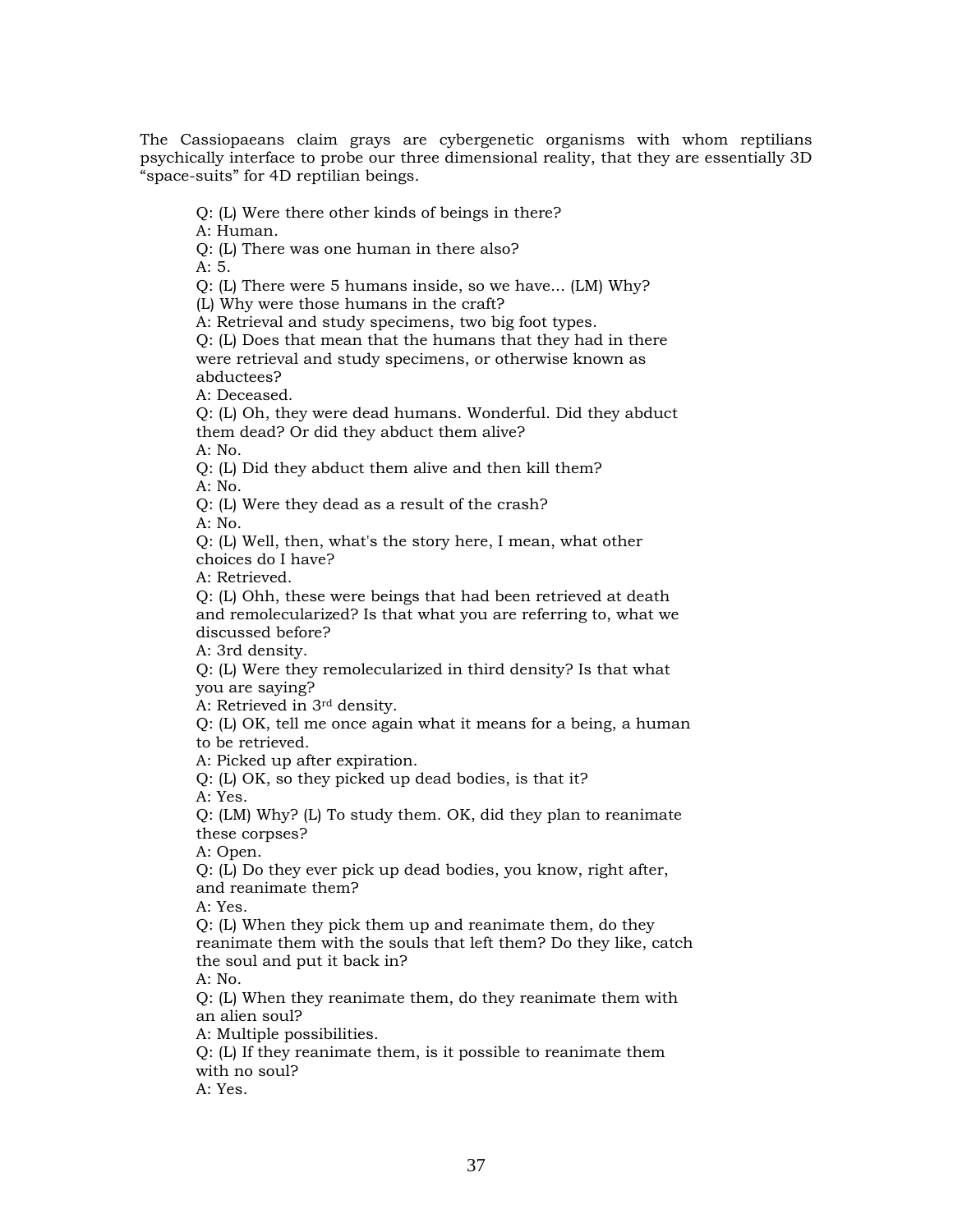The Cassiopaeans claim grays are cybergenetic organisms with whom reptilians psychically interface to probe our three dimensional reality, that they are essentially 3D "space-suits" for 4D reptilian beings.

Q: (L) Were there other kinds of beings in there?

A: Human.

Q: (L) There was one human in there also?

A: 5.

Q: (L) There were 5 humans inside, so we have... (LM) Why?

(L) Why were those humans in the craft?

A: Retrieval and study specimens, two big foot types.

Q: (L) Does that mean that the humans that they had in there were retrieval and study specimens, or otherwise known as abductees?

A: Deceased.

Q: (L) Oh, they were dead humans. Wonderful. Did they abduct them dead? Or did they abduct them alive?

A: No.

Q: (L) Did they abduct them alive and then kill them? A: No.

Q: (L) Were they dead as a result of the crash?

A: No.

Q: (L) Well, then, what's the story here, I mean, what other choices do I have?

A: Retrieved.

Q: (L) Ohh, these were beings that had been retrieved at death and remolecularized? Is that what you are referring to, what we discussed before?

A: 3rd density.

Q: (L) Were they remolecularized in third density? Is that what you are saying?

A: Retrieved in 3rd density.

Q: (L) OK, tell me once again what it means for a being, a human to be retrieved.

A: Picked up after expiration.

Q: (L) OK, so they picked up dead bodies, is that it? A: Yes.

Q: (LM) Why? (L) To study them. OK, did they plan to reanimate these corpses?

A: Open.

Q: (L) Do they ever pick up dead bodies, you know, right after, and reanimate them?

A: Yes.

Q: (L) When they pick them up and reanimate them, do they reanimate them with the souls that left them? Do they like, catch the soul and put it back in?

A: No.

Q: (L) When they reanimate them, do they reanimate them with an alien soul?

A: Multiple possibilities.

Q: (L) If they reanimate them, is it possible to reanimate them with no soul?

A: Yes.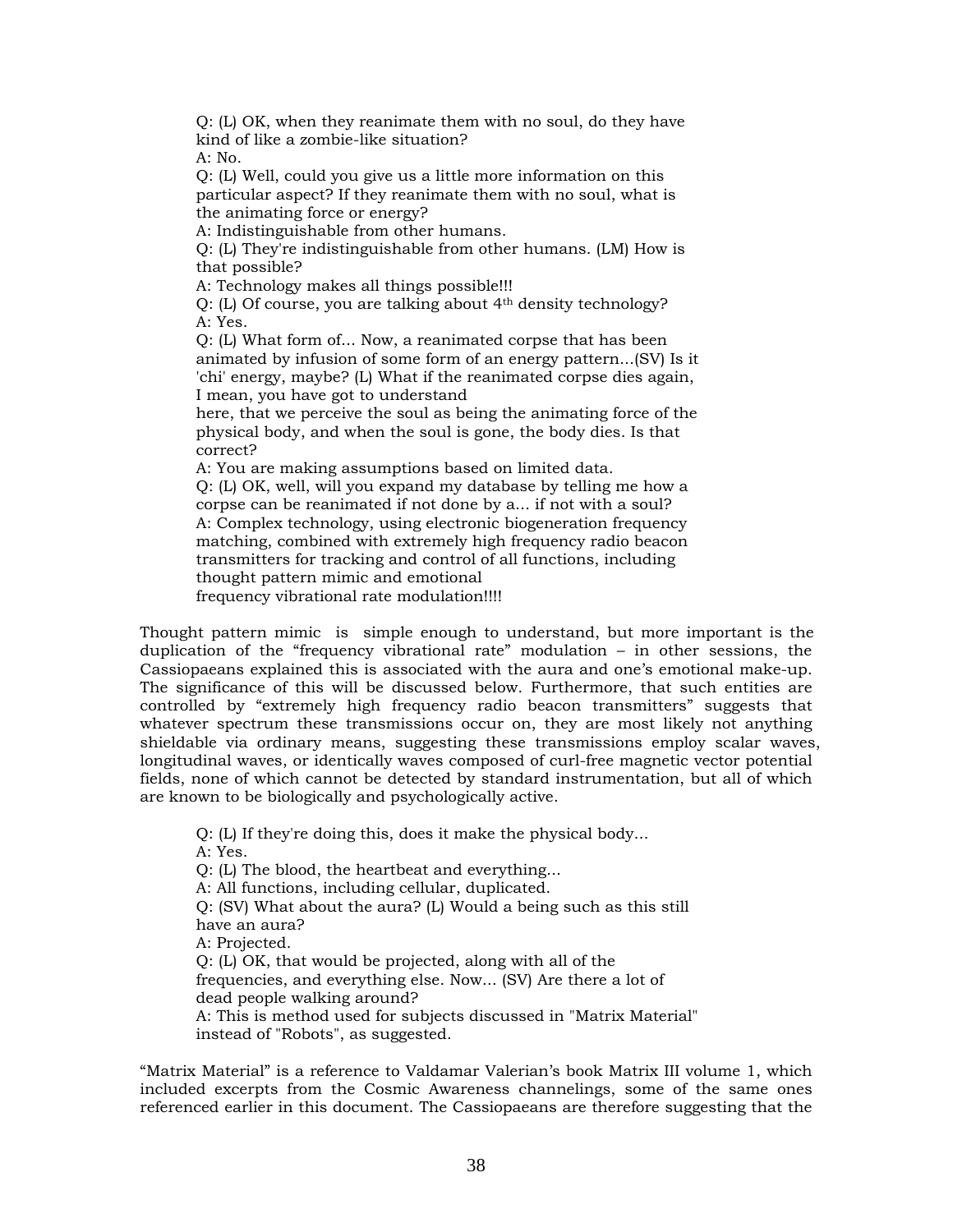Q: (L) OK, when they reanimate them with no soul, do they have kind of like a zombie-like situation?

 $A: No.$ 

Q: (L) Well, could you give us a little more information on this particular aspect? If they reanimate them with no soul, what is the animating force or energy?

A: Indistinguishable from other humans.

Q: (L) They're indistinguishable from other humans. (LM) How is that possible?

A: Technology makes all things possible!!!

Q: (L) Of course, you are talking about 4th density technology? A: Yes.

Q: (L) What form of... Now, a reanimated corpse that has been animated by infusion of some form of an energy pattern...(SV) Is it 'chi' energy, maybe? (L) What if the reanimated corpse dies again, I mean, you have got to understand

here, that we perceive the soul as being the animating force of the physical body, and when the soul is gone, the body dies. Is that correct?

A: You are making assumptions based on limited data.

Q: (L) OK, well, will you expand my database by telling me how a corpse can be reanimated if not done by a... if not with a soul? A: Complex technology, using electronic biogeneration frequency matching, combined with extremely high frequency radio beacon transmitters for tracking and control of all functions, including thought pattern mimic and emotional frequency vibrational rate modulation!!!!

Thought pattern mimic is simple enough to understand, but more important is the duplication of the "frequency vibrational rate" modulation – in other sessions, the Cassiopaeans explained this is associated with the aura and one's emotional make-up. The significance of this will be discussed below. Furthermore, that such entities are controlled by "extremely high frequency radio beacon transmitters" suggests that whatever spectrum these transmissions occur on, they are most likely not anything shieldable via ordinary means, suggesting these transmissions employ scalar waves, longitudinal waves, or identically waves composed of curl-free magnetic vector potential fields, none of which cannot be detected by standard instrumentation, but all of which are known to be biologically and psychologically active.

Q: (L) If they're doing this, does it make the physical body... A: Yes. Q: (L) The blood, the heartbeat and everything... A: All functions, including cellular, duplicated. Q: (SV) What about the aura? (L) Would a being such as this still have an aura? A: Projected. Q: (L) OK, that would be projected, along with all of the frequencies, and everything else. Now... (SV) Are there a lot of dead people walking around? A: This is method used for subjects discussed in "Matrix Material" instead of "Robots", as suggested.

"Matrix Material" is a reference to Valdamar Valerian's book Matrix III volume 1, which included excerpts from the Cosmic Awareness channelings, some of the same ones referenced earlier in this document. The Cassiopaeans are therefore suggesting that the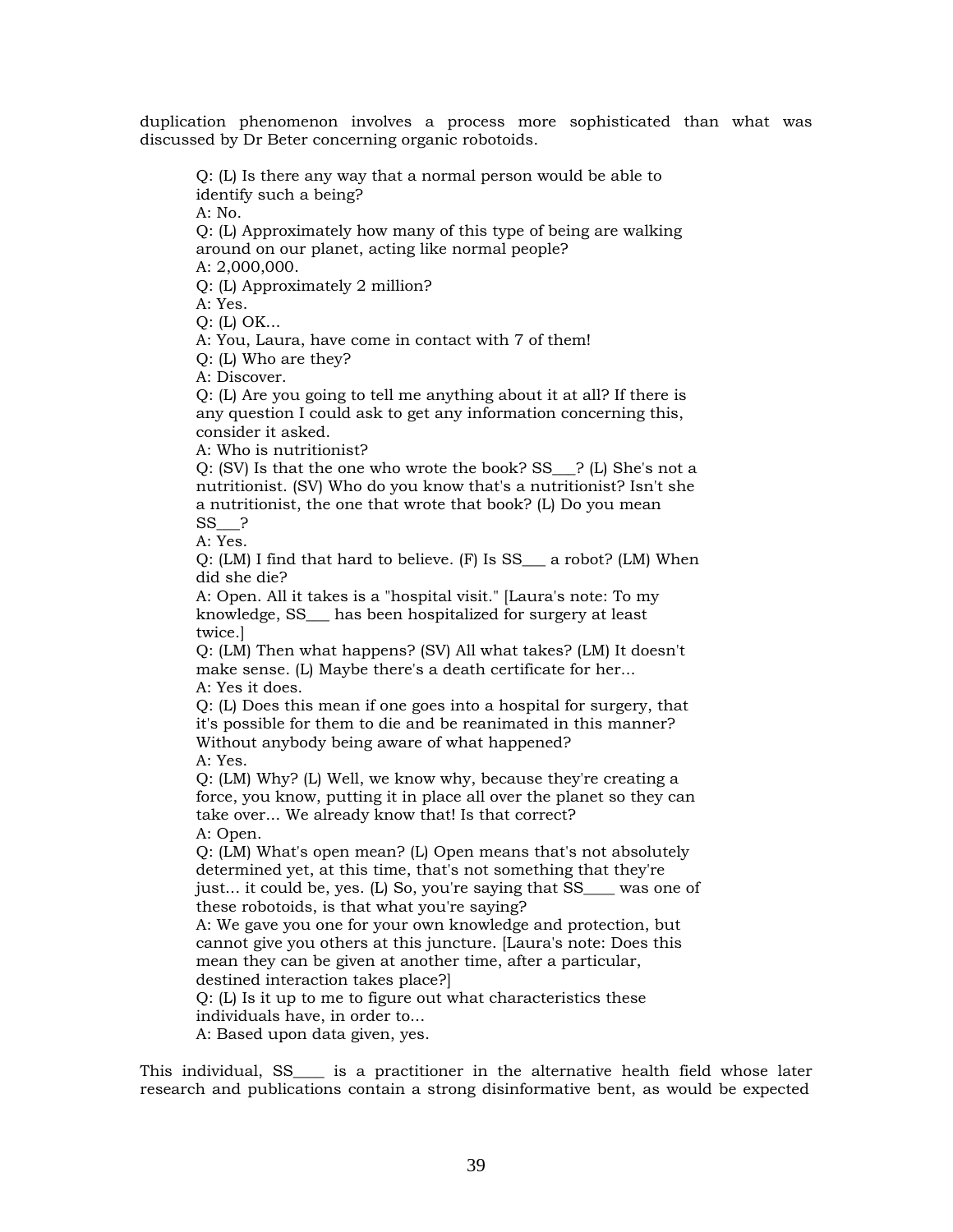duplication phenomenon involves a process more sophisticated than what was discussed by Dr Beter concerning organic robotoids.

Q: (L) Is there any way that a normal person would be able to identify such a being? A: No. Q: (L) Approximately how many of this type of being are walking around on our planet, acting like normal people? A: 2,000,000. Q: (L) Approximately 2 million? A: Yes. Q: (L) OK... A: You, Laura, have come in contact with 7 of them! Q: (L) Who are they? A: Discover. Q: (L) Are you going to tell me anything about it at all? If there is any question I could ask to get any information concerning this, consider it asked. A: Who is nutritionist? Q: (SV) Is that the one who wrote the book? SS\_\_\_? (L) She's not a nutritionist. (SV) Who do you know that's a nutritionist? Isn't she a nutritionist, the one that wrote that book? (L) Do you mean SS ? A: Yes. Q: (LM) I find that hard to believe. (F) Is SS\_\_\_ a robot? (LM) When did she die? A: Open. All it takes is a "hospital visit." [Laura's note: To my knowledge, SS\_\_\_ has been hospitalized for surgery at least twice.] Q: (LM) Then what happens? (SV) All what takes? (LM) It doesn't make sense. (L) Maybe there's a death certificate for her... A: Yes it does. Q: (L) Does this mean if one goes into a hospital for surgery, that it's possible for them to die and be reanimated in this manner? Without anybody being aware of what happened? A: Yes. Q: (LM) Why? (L) Well, we know why, because they're creating a force, you know, putting it in place all over the planet so they can take over... We already know that! Is that correct? A: Open. Q: (LM) What's open mean? (L) Open means that's not absolutely determined yet, at this time, that's not something that they're just... it could be, yes. (L) So, you're saying that SS\_\_\_\_ was one of these robotoids, is that what you're saying? A: We gave you one for your own knowledge and protection, but cannot give you others at this juncture. [Laura's note: Does this mean they can be given at another time, after a particular, destined interaction takes place?] Q: (L) Is it up to me to figure out what characteristics these individuals have, in order to... A: Based upon data given, yes.

This individual, SS\_\_\_\_ is a practitioner in the alternative health field whose later research and publications contain a strong disinformative bent, as would be expected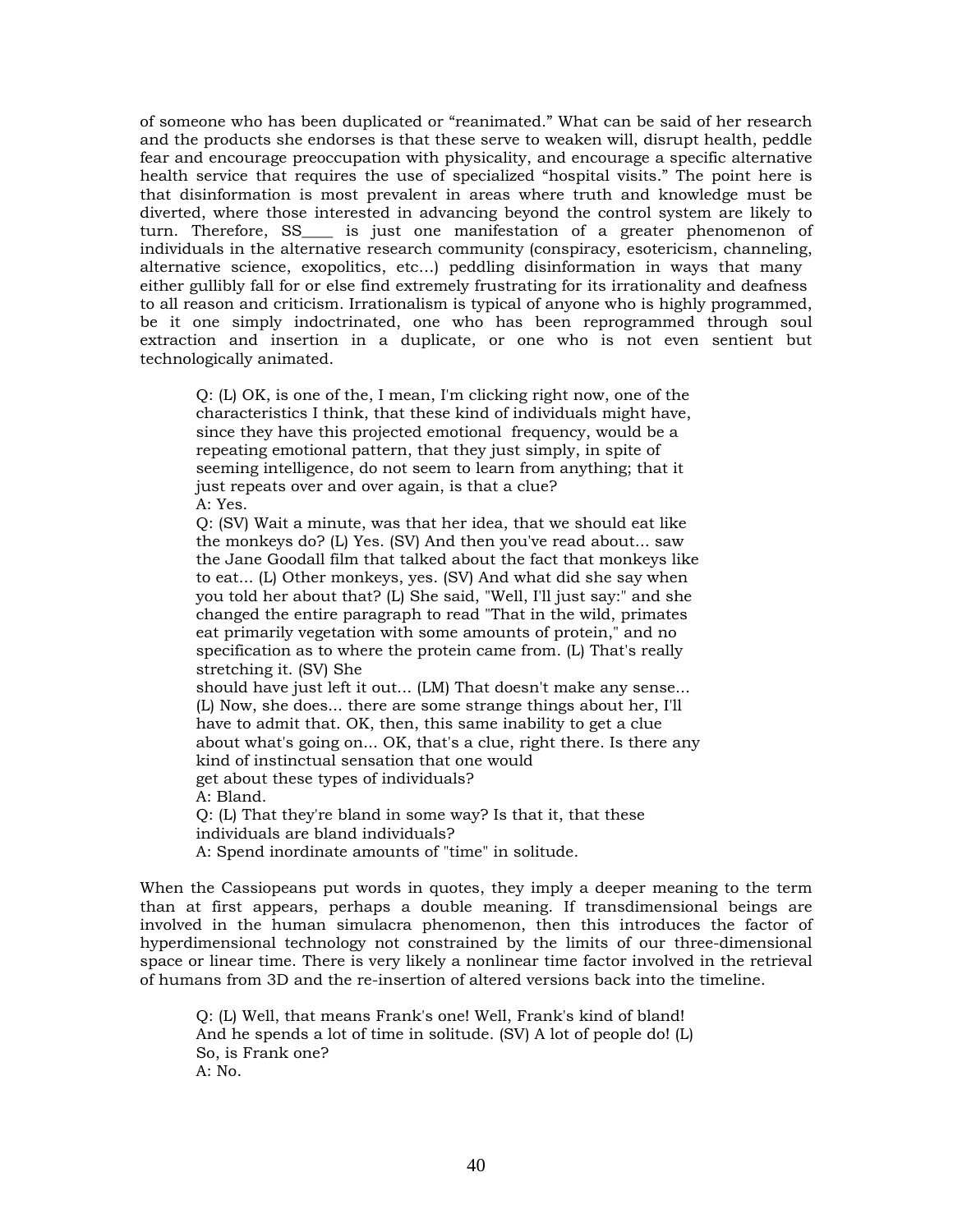of someone who has been duplicated or "reanimated." What can be said of her research and the products she endorses is that these serve to weaken will, disrupt health, peddle fear and encourage preoccupation with physicality, and encourage a specific alternative health service that requires the use of specialized "hospital visits." The point here is that disinformation is most prevalent in areas where truth and knowledge must be diverted, where those interested in advancing beyond the control system are likely to turn. Therefore, SS\_\_\_\_ is just one manifestation of a greater phenomenon of individuals in the alternative research community (conspiracy, esotericism, channeling, alternative science, exopolitics, etc…) peddling disinformation in ways that many either gullibly fall for or else find extremely frustrating for its irrationality and deafness to all reason and criticism. Irrationalism is typical of anyone who is highly programmed, be it one simply indoctrinated, one who has been reprogrammed through soul extraction and insertion in a duplicate, or one who is not even sentient but technologically animated.

Q: (L) OK, is one of the, I mean, I'm clicking right now, one of the characteristics I think, that these kind of individuals might have, since they have this projected emotional frequency, would be a repeating emotional pattern, that they just simply, in spite of seeming intelligence, do not seem to learn from anything; that it just repeats over and over again, is that a clue? A: Yes.

Q: (SV) Wait a minute, was that her idea, that we should eat like the monkeys do? (L) Yes. (SV) And then you've read about... saw the Jane Goodall film that talked about the fact that monkeys like to eat... (L) Other monkeys, yes. (SV) And what did she say when you told her about that? (L) She said, "Well, I'll just say:" and she changed the entire paragraph to read "That in the wild, primates eat primarily vegetation with some amounts of protein," and no specification as to where the protein came from. (L) That's really stretching it. (SV) She

should have just left it out... (LM) That doesn't make any sense... (L) Now, she does... there are some strange things about her, I'll have to admit that. OK, then, this same inability to get a clue about what's going on... OK, that's a clue, right there. Is there any kind of instinctual sensation that one would get about these types of individuals? A: Bland. Q: (L) That they're bland in some way? Is that it, that these individuals are bland individuals?

A: Spend inordinate amounts of "time" in solitude.

When the Cassiopeans put words in quotes, they imply a deeper meaning to the term than at first appears, perhaps a double meaning. If transdimensional beings are involved in the human simulacra phenomenon, then this introduces the factor of hyperdimensional technology not constrained by the limits of our three-dimensional space or linear time. There is very likely a nonlinear time factor involved in the retrieval of humans from 3D and the re-insertion of altered versions back into the timeline.

Q: (L) Well, that means Frank's one! Well, Frank's kind of bland! And he spends a lot of time in solitude. (SV) A lot of people do! (L) So, is Frank one? A: No.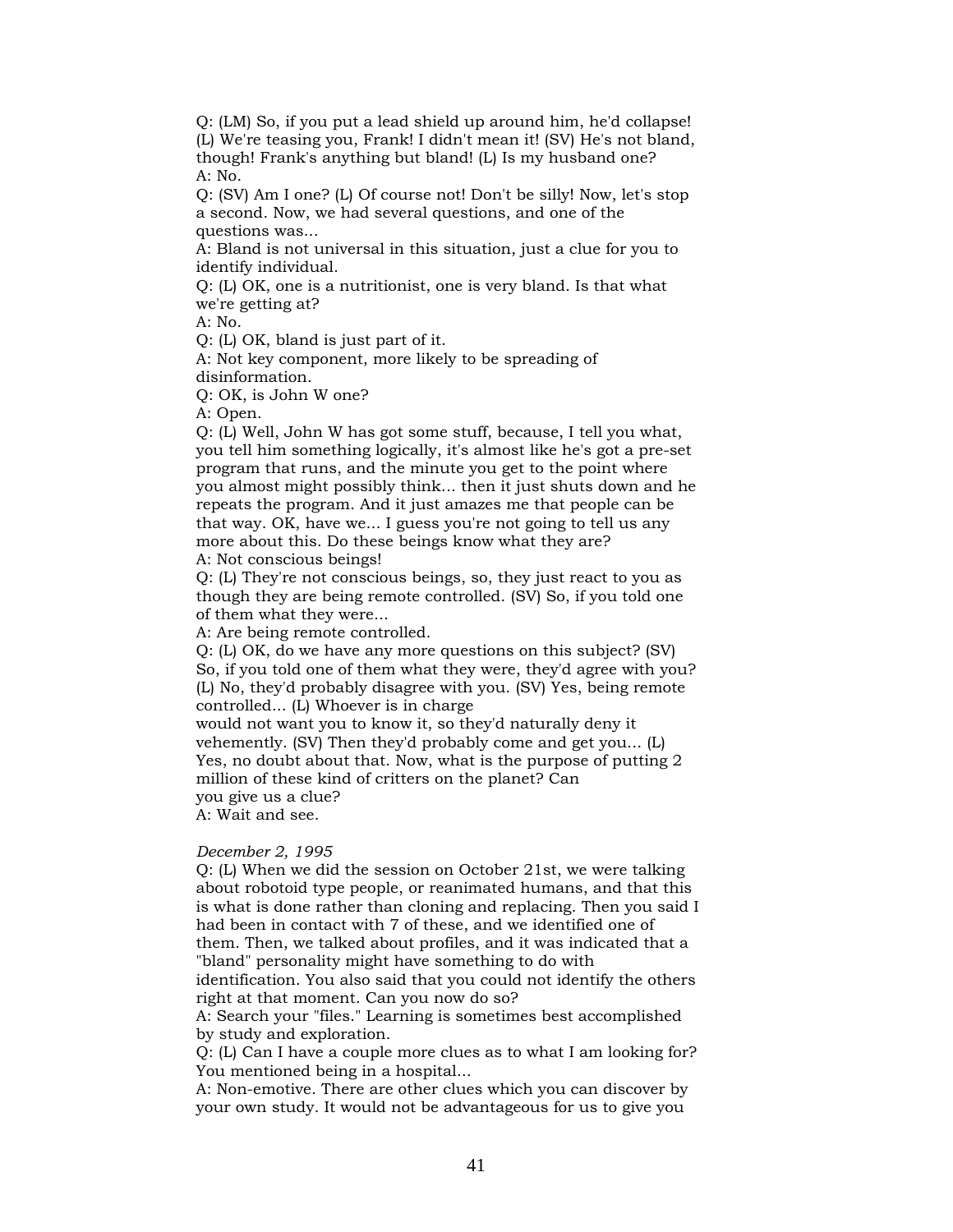Q: (LM) So, if you put a lead shield up around him, he'd collapse! (L) We're teasing you, Frank! I didn't mean it! (SV) He's not bland, though! Frank's anything but bland! (L) Is my husband one? A: No.

Q: (SV) Am I one? (L) Of course not! Don't be silly! Now, let's stop a second. Now, we had several questions, and one of the questions was...

A: Bland is not universal in this situation, just a clue for you to identify individual.

Q: (L) OK, one is a nutritionist, one is very bland. Is that what we're getting at?

A: No.

Q: (L) OK, bland is just part of it.

A: Not key component, more likely to be spreading of disinformation.

Q: OK, is John W one?

A: Open.

Q: (L) Well, John W has got some stuff, because, I tell you what, you tell him something logically, it's almost like he's got a pre-set program that runs, and the minute you get to the point where you almost might possibly think... then it just shuts down and he repeats the program. And it just amazes me that people can be that way. OK, have we... I guess you're not going to tell us any more about this. Do these beings know what they are? A: Not conscious beings!

Q: (L) They're not conscious beings, so, they just react to you as though they are being remote controlled. (SV) So, if you told one of them what they were...

A: Are being remote controlled.

Q: (L) OK, do we have any more questions on this subject? (SV) So, if you told one of them what they were, they'd agree with you? (L) No, they'd probably disagree with you. (SV) Yes, being remote controlled... (L) Whoever is in charge

would not want you to know it, so they'd naturally deny it vehemently. (SV) Then they'd probably come and get you... (L) Yes, no doubt about that. Now, what is the purpose of putting 2 million of these kind of critters on the planet? Can you give us a clue?

A: Wait and see.

#### *December 2, 1995*

Q: (L) When we did the session on October 21st, we were talking about robotoid type people, or reanimated humans, and that this is what is done rather than cloning and replacing. Then you said I had been in contact with 7 of these, and we identified one of them. Then, we talked about profiles, and it was indicated that a "bland" personality might have something to do with identification. You also said that you could not identify the others

right at that moment. Can you now do so?

A: Search your "files." Learning is sometimes best accomplished by study and exploration.

Q: (L) Can I have a couple more clues as to what I am looking for? You mentioned being in a hospital...

A: Non-emotive. There are other clues which you can discover by your own study. It would not be advantageous for us to give you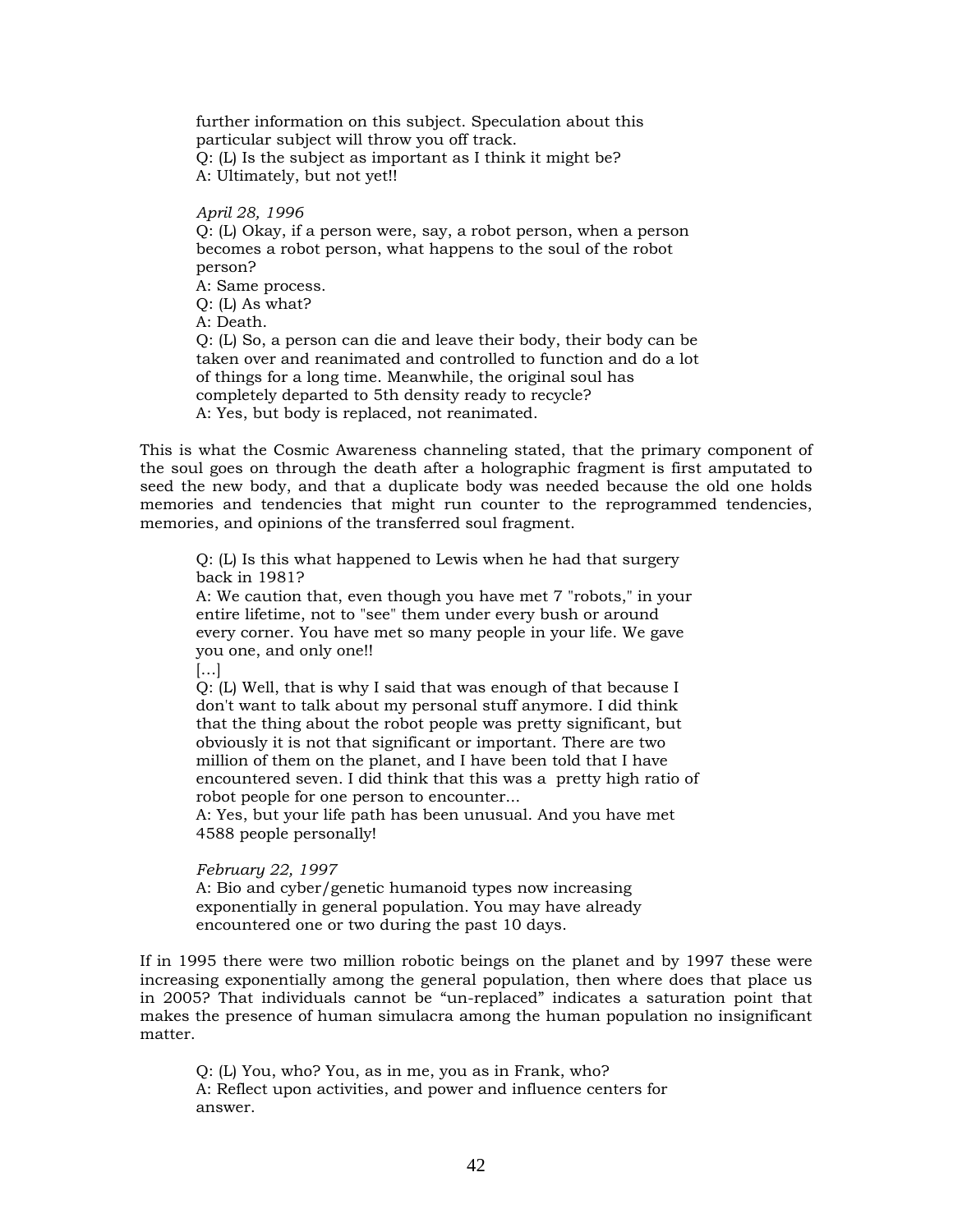further information on this subject. Speculation about this particular subject will throw you off track. Q: (L) Is the subject as important as I think it might be? A: Ultimately, but not yet!!

*April 28, 1996* 

Q: (L) Okay, if a person were, say, a robot person, when a person becomes a robot person, what happens to the soul of the robot person? A: Same process. Q: (L) As what? A: Death. Q: (L) So, a person can die and leave their body, their body can be taken over and reanimated and controlled to function and do a lot of things for a long time. Meanwhile, the original soul has completely departed to 5th density ready to recycle? A: Yes, but body is replaced, not reanimated.

This is what the Cosmic Awareness channeling stated, that the primary component of the soul goes on through the death after a holographic fragment is first amputated to seed the new body, and that a duplicate body was needed because the old one holds memories and tendencies that might run counter to the reprogrammed tendencies, memories, and opinions of the transferred soul fragment.

Q: (L) Is this what happened to Lewis when he had that surgery back in 1981?

A: We caution that, even though you have met 7 "robots," in your entire lifetime, not to "see" them under every bush or around every corner. You have met so many people in your life. We gave you one, and only one!!

 $[\ldots]$ 

Q: (L) Well, that is why I said that was enough of that because I don't want to talk about my personal stuff anymore. I did think that the thing about the robot people was pretty significant, but obviously it is not that significant or important. There are two million of them on the planet, and I have been told that I have encountered seven. I did think that this was a pretty high ratio of robot people for one person to encounter...

A: Yes, but your life path has been unusual. And you have met 4588 people personally!

*February 22, 1997* 

A: Bio and cyber/genetic humanoid types now increasing exponentially in general population. You may have already encountered one or two during the past 10 days.

If in 1995 there were two million robotic beings on the planet and by 1997 these were increasing exponentially among the general population, then where does that place us in 2005? That individuals cannot be "un-replaced" indicates a saturation point that makes the presence of human simulacra among the human population no insignificant matter.

Q: (L) You, who? You, as in me, you as in Frank, who? A: Reflect upon activities, and power and influence centers for answer.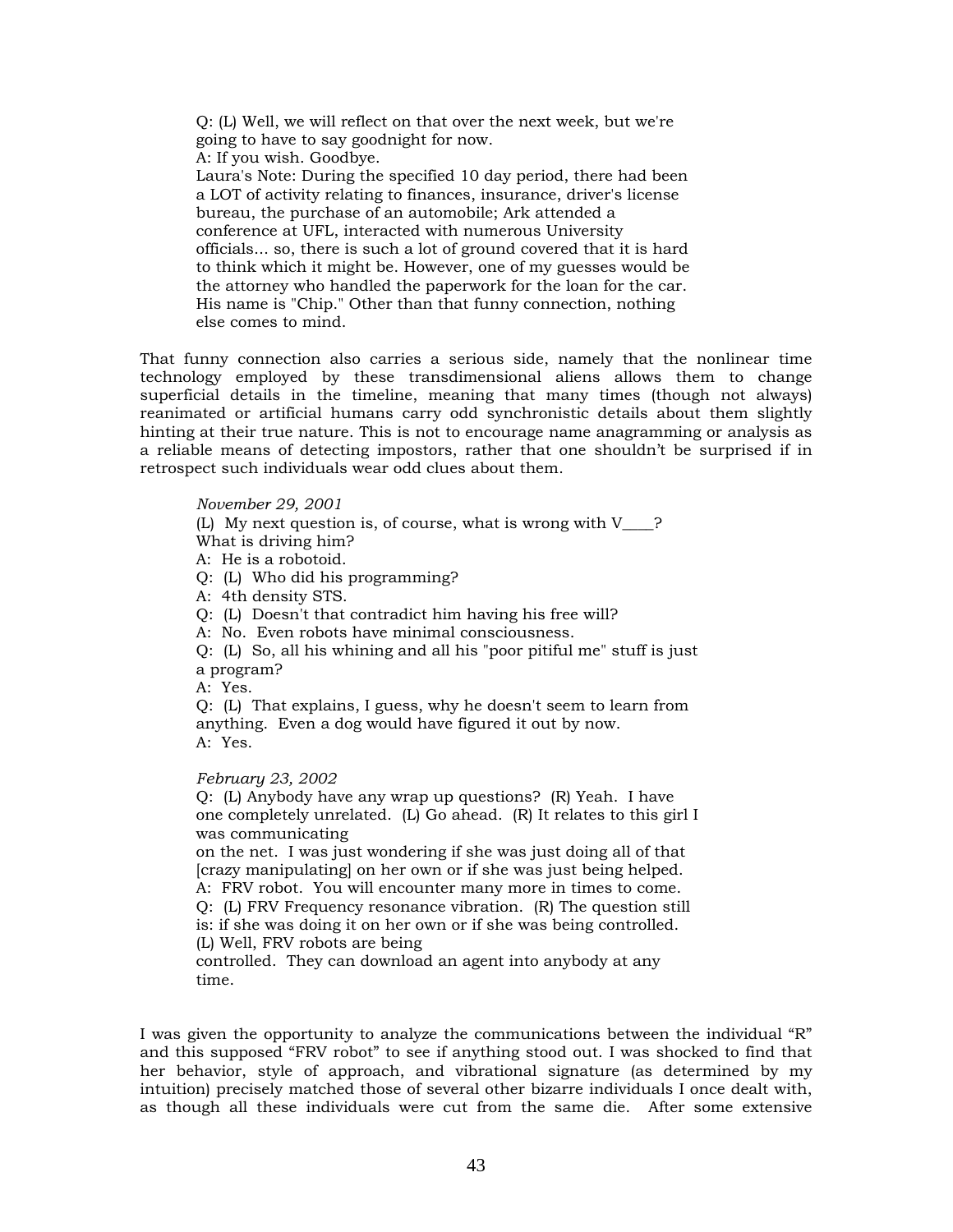Q: (L) Well, we will reflect on that over the next week, but we're going to have to say goodnight for now. A: If you wish. Goodbye. Laura's Note: During the specified 10 day period, there had been a LOT of activity relating to finances, insurance, driver's license bureau, the purchase of an automobile; Ark attended a conference at UFL, interacted with numerous University officials... so, there is such a lot of ground covered that it is hard to think which it might be. However, one of my guesses would be the attorney who handled the paperwork for the loan for the car. His name is "Chip." Other than that funny connection, nothing else comes to mind.

That funny connection also carries a serious side, namely that the nonlinear time technology employed by these transdimensional aliens allows them to change superficial details in the timeline, meaning that many times (though not always) reanimated or artificial humans carry odd synchronistic details about them slightly hinting at their true nature. This is not to encourage name anagramming or analysis as a reliable means of detecting impostors, rather that one shouldn't be surprised if in retrospect such individuals wear odd clues about them.

*November 29, 2001*  (L) My next question is, of course, what is wrong with  $V$  ? What is driving him? A: He is a robotoid.

Q: (L) Who did his programming?

A: 4th density STS.

Q: (L) Doesn't that contradict him having his free will?

A: No. Even robots have minimal consciousness.

Q: (L) So, all his whining and all his "poor pitiful me" stuff is just a program?

A: Yes.

Q: (L) That explains, I guess, why he doesn't seem to learn from anything. Even a dog would have figured it out by now. A: Yes.

*February 23, 2002* 

Q: (L) Anybody have any wrap up questions? (R) Yeah. I have one completely unrelated. (L) Go ahead. (R) It relates to this girl I was communicating

on the net. I was just wondering if she was just doing all of that [crazy manipulating] on her own or if she was just being helped. A: FRV robot. You will encounter many more in times to come. Q: (L) FRV Frequency resonance vibration. (R) The question still is: if she was doing it on her own or if she was being controlled. (L) Well, FRV robots are being controlled. They can download an agent into anybody at any

time.

I was given the opportunity to analyze the communications between the individual "R" and this supposed "FRV robot" to see if anything stood out. I was shocked to find that her behavior, style of approach, and vibrational signature (as determined by my intuition) precisely matched those of several other bizarre individuals I once dealt with, as though all these individuals were cut from the same die. After some extensive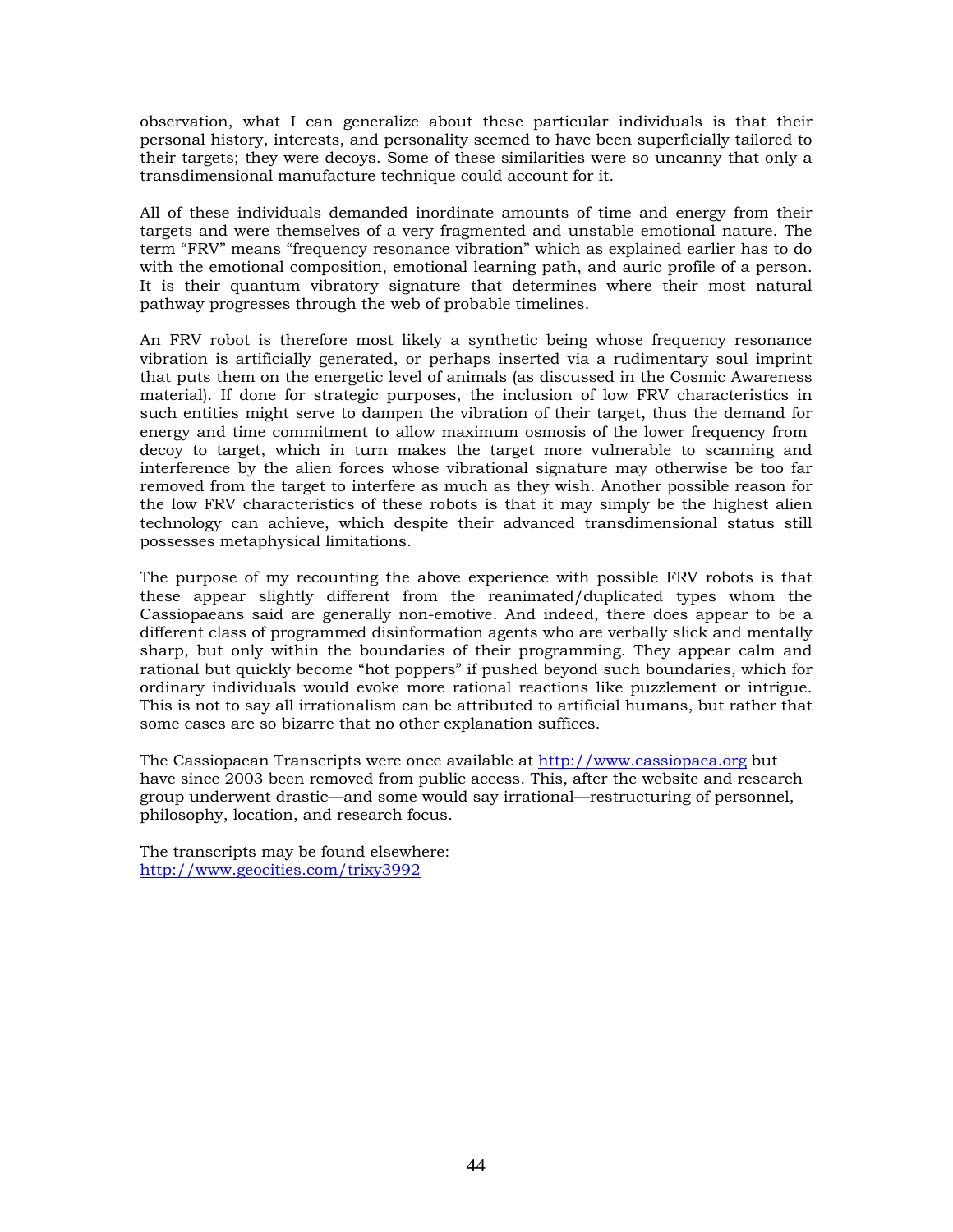observation, what I can generalize about these particular individuals is that their personal history, interests, and personality seemed to have been superficially tailored to their targets; they were decoys. Some of these similarities were so uncanny that only a transdimensional manufacture technique could account for it.

All of these individuals demanded inordinate amounts of time and energy from their targets and were themselves of a very fragmented and unstable emotional nature. The term "FRV" means "frequency resonance vibration" which as explained earlier has to do with the emotional composition, emotional learning path, and auric profile of a person. It is their quantum vibratory signature that determines where their most natural pathway progresses through the web of probable timelines.

An FRV robot is therefore most likely a synthetic being whose frequency resonance vibration is artificially generated, or perhaps inserted via a rudimentary soul imprint that puts them on the energetic level of animals (as discussed in the Cosmic Awareness material). If done for strategic purposes, the inclusion of low FRV characteristics in such entities might serve to dampen the vibration of their target, thus the demand for energy and time commitment to allow maximum osmosis of the lower frequency from decoy to target, which in turn makes the target more vulnerable to scanning and interference by the alien forces whose vibrational signature may otherwise be too far removed from the target to interfere as much as they wish. Another possible reason for the low FRV characteristics of these robots is that it may simply be the highest alien technology can achieve, which despite their advanced transdimensional status still possesses metaphysical limitations.

The purpose of my recounting the above experience with possible FRV robots is that these appear slightly different from the reanimated/duplicated types whom the Cassiopaeans said are generally non-emotive. And indeed, there does appear to be a different class of programmed disinformation agents who are verbally slick and mentally sharp, but only within the boundaries of their programming. They appear calm and rational but quickly become "hot poppers" if pushed beyond such boundaries, which for ordinary individuals would evoke more rational reactions like puzzlement or intrigue. This is not to say all irrationalism can be attributed to artificial humans, but rather that some cases are so bizarre that no other explanation suffices.

The Cassiopaean Transcripts were once available at [http://www.cassiopaea.org](http://www.cassiopaea.org/) but have since 2003 been removed from public access. This, after the website and research group underwent drastic—and some would say irrational—restructuring of personnel, philosophy, location, and research focus.

The transcripts may be found elsewhere: <http://www.geocities.com/trixy3992>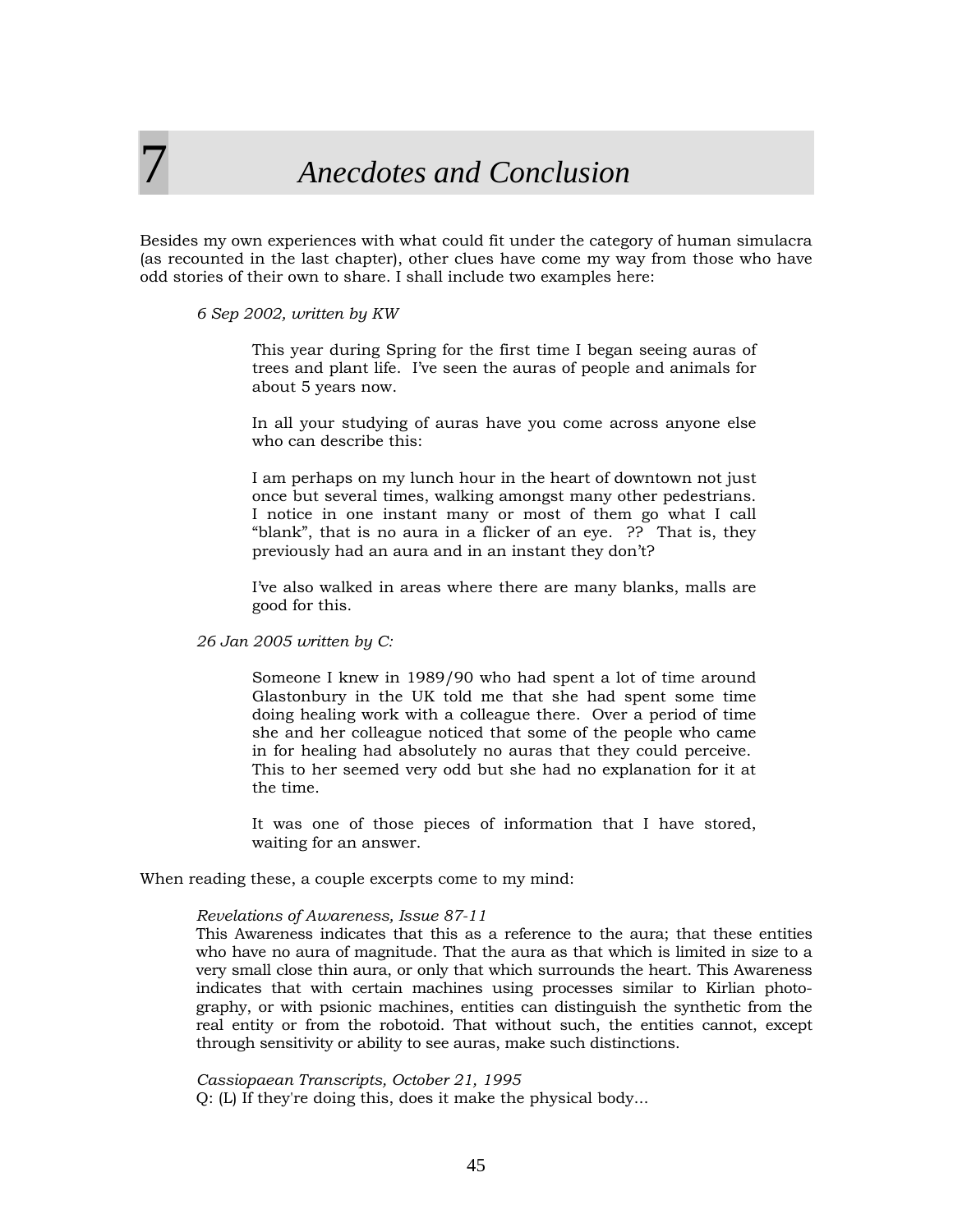Besides my own experiences with what could fit under the category of human simulacra (as recounted in the last chapter), other clues have come my way from those who have odd stories of their own to share. I shall include two examples here:

#### *6 Sep 2002, written by KW*

This year during Spring for the first time I began seeing auras of trees and plant life. I've seen the auras of people and animals for about 5 years now.

In all your studying of auras have you come across anyone else who can describe this:

I am perhaps on my lunch hour in the heart of downtown not just once but several times, walking amongst many other pedestrians. I notice in one instant many or most of them go what I call "blank", that is no aura in a flicker of an eye. ?? That is, they previously had an aura and in an instant they don't?

I've also walked in areas where there are many blanks, malls are good for this.

*26 Jan 2005 written by C:* 

Someone I knew in 1989/90 who had spent a lot of time around Glastonbury in the UK told me that she had spent some time doing healing work with a colleague there. Over a period of time she and her colleague noticed that some of the people who came in for healing had absolutely no auras that they could perceive. This to her seemed very odd but she had no explanation for it at the time.

It was one of those pieces of information that I have stored, waiting for an answer.

When reading these, a couple excerpts come to my mind:

#### *Revelations of Awareness, Issue 87-11*

This Awareness indicates that this as a reference to the aura; that these entities who have no aura of magnitude. That the aura as that which is limited in size to a very small close thin aura, or only that which surrounds the heart. This Awareness indicates that with certain machines using processes similar to Kirlian photography, or with psionic machines, entities can distinguish the synthetic from the real entity or from the robotoid. That without such, the entities cannot, except through sensitivity or ability to see auras, make such distinctions.

*Cassiopaean Transcripts, October 21, 1995*  Q: (L) If they're doing this, does it make the physical body...